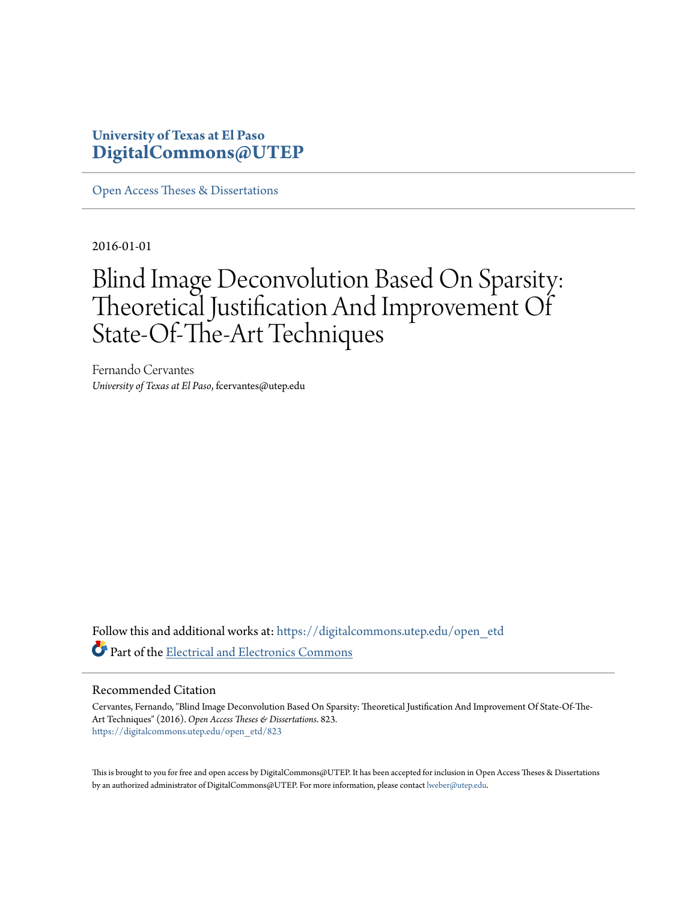#### **University of Texas at El Paso [DigitalCommons@UTEP](https://digitalcommons.utep.edu/?utm_source=digitalcommons.utep.edu%2Fopen_etd%2F823&utm_medium=PDF&utm_campaign=PDFCoverPages)**

[Open Access Theses & Dissertations](https://digitalcommons.utep.edu/open_etd?utm_source=digitalcommons.utep.edu%2Fopen_etd%2F823&utm_medium=PDF&utm_campaign=PDFCoverPages)

2016-01-01

### Blind Image Deconvolution Based On Sparsity: Theoretical Justification And Improvement Of State-Of-The-Art Techniques

Fernando Cervantes *University of Texas at El Paso*, fcervantes@utep.edu

Follow this and additional works at: [https://digitalcommons.utep.edu/open\\_etd](https://digitalcommons.utep.edu/open_etd?utm_source=digitalcommons.utep.edu%2Fopen_etd%2F823&utm_medium=PDF&utm_campaign=PDFCoverPages) Part of the [Electrical and Electronics Commons](http://network.bepress.com/hgg/discipline/270?utm_source=digitalcommons.utep.edu%2Fopen_etd%2F823&utm_medium=PDF&utm_campaign=PDFCoverPages)

#### Recommended Citation

Cervantes, Fernando, "Blind Image Deconvolution Based On Sparsity: Theoretical Justification And Improvement Of State-Of-The-Art Techniques" (2016). *Open Access Theses & Dissertations*. 823. [https://digitalcommons.utep.edu/open\\_etd/823](https://digitalcommons.utep.edu/open_etd/823?utm_source=digitalcommons.utep.edu%2Fopen_etd%2F823&utm_medium=PDF&utm_campaign=PDFCoverPages)

This is brought to you for free and open access by DigitalCommons@UTEP. It has been accepted for inclusion in Open Access Theses & Dissertations by an authorized administrator of DigitalCommons@UTEP. For more information, please contact [lweber@utep.edu.](mailto:lweber@utep.edu)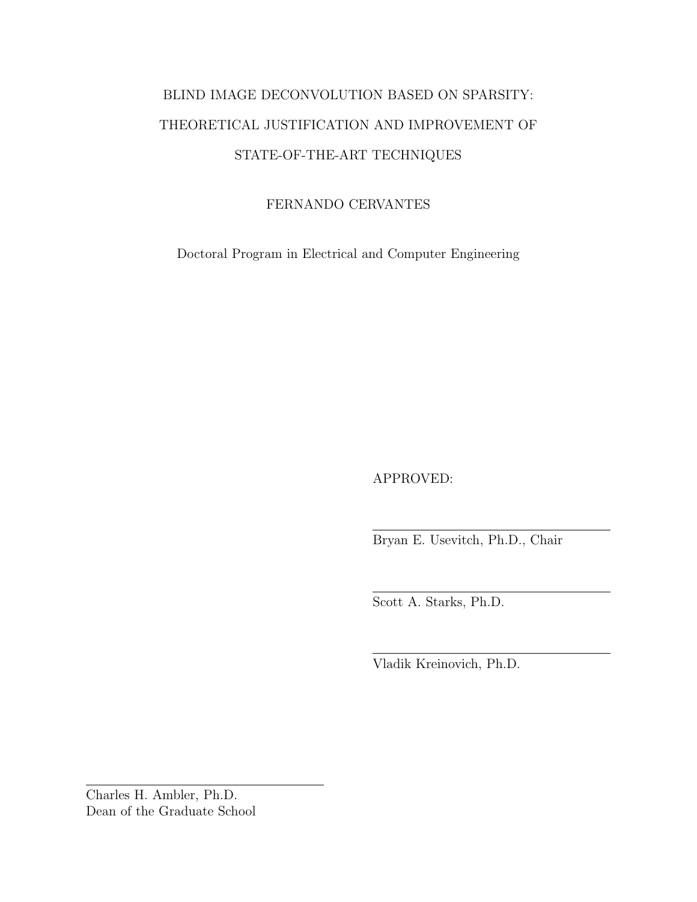#### BLIND IMAGE DECONVOLUTION BASED ON SPARSITY: THEORETICAL JUSTIFICATION AND IMPROVEMENT OF STATE-OF-THE-ART TECHNIQUES

#### FERNANDO CERVANTES

Doctoral Program in Electrical and Computer Engineering

APPROVED:

Bryan E. Usevitch, Ph.D., Chair

Scott A. Starks, Ph.D.

Vladik Kreinovich, Ph.D.

Charles H. Ambler, Ph.D. Dean of the Graduate School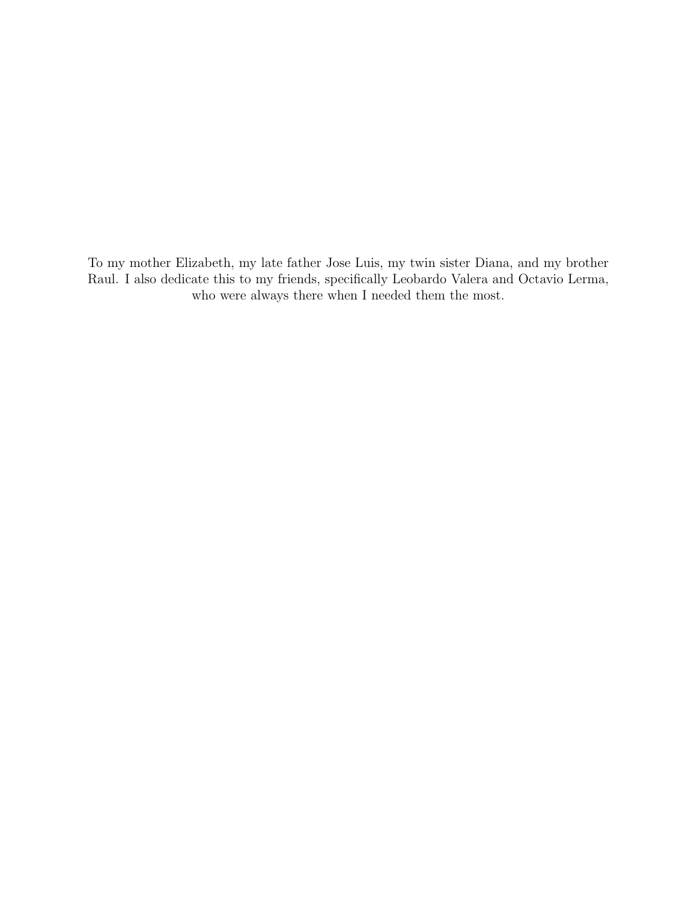To my mother Elizabeth, my late father Jose Luis, my twin sister Diana, and my brother Raul. I also dedicate this to my friends, specifically Leobardo Valera and Octavio Lerma, who were always there when I needed them the most.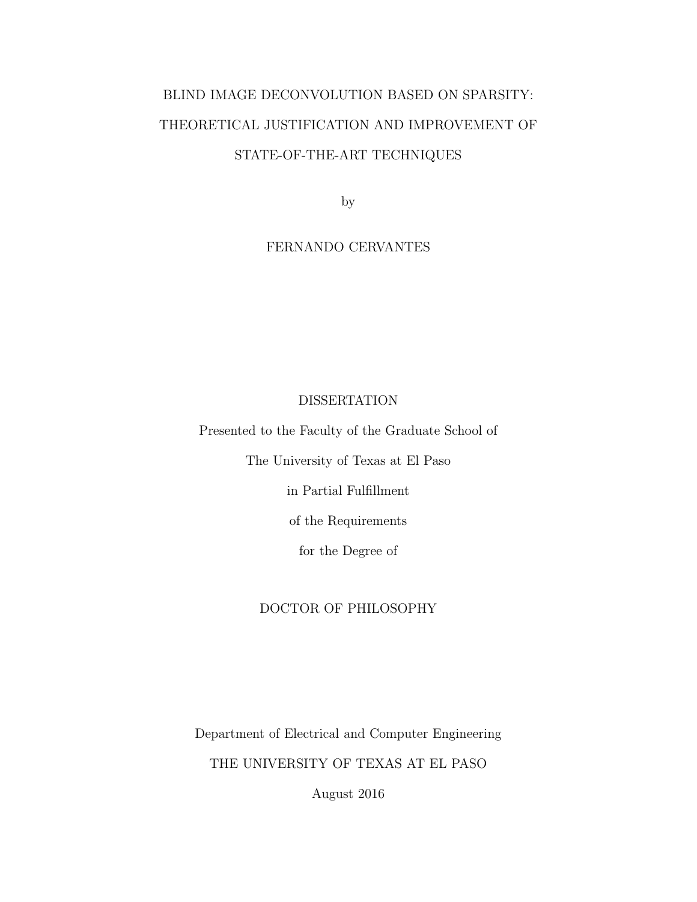#### BLIND IMAGE DECONVOLUTION BASED ON SPARSITY: THEORETICAL JUSTIFICATION AND IMPROVEMENT OF STATE-OF-THE-ART TECHNIQUES

by

#### FERNANDO CERVANTES

#### DISSERTATION

Presented to the Faculty of the Graduate School of

The University of Texas at El Paso

in Partial Fulfillment

of the Requirements

for the Degree of

#### DOCTOR OF PHILOSOPHY

Department of Electrical and Computer Engineering THE UNIVERSITY OF TEXAS AT EL PASO

August 2016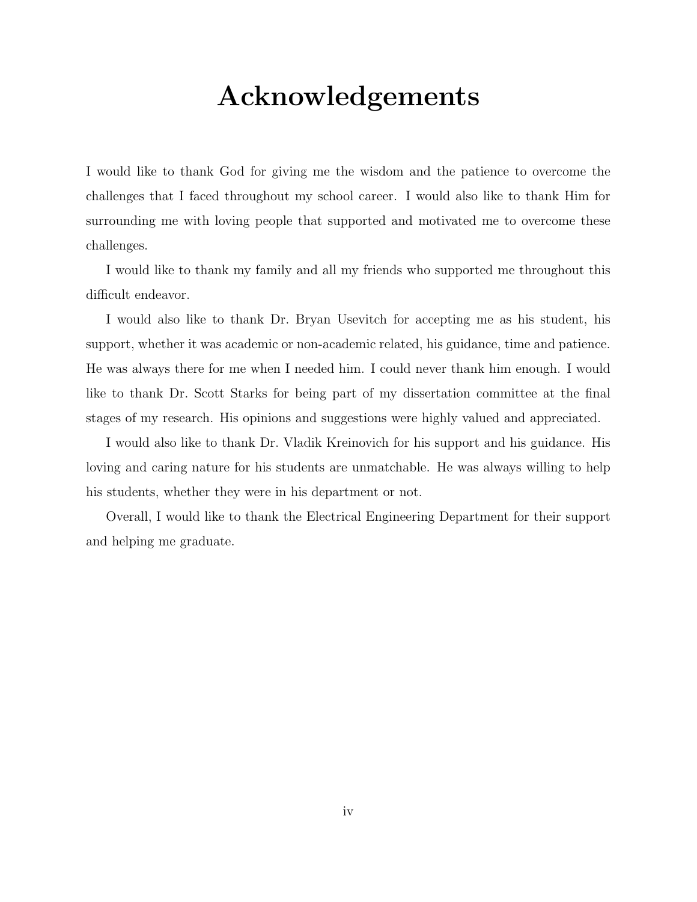# Acknowledgements

I would like to thank God for giving me the wisdom and the patience to overcome the challenges that I faced throughout my school career. I would also like to thank Him for surrounding me with loving people that supported and motivated me to overcome these challenges.

I would like to thank my family and all my friends who supported me throughout this difficult endeavor.

I would also like to thank Dr. Bryan Usevitch for accepting me as his student, his support, whether it was academic or non-academic related, his guidance, time and patience. He was always there for me when I needed him. I could never thank him enough. I would like to thank Dr. Scott Starks for being part of my dissertation committee at the final stages of my research. His opinions and suggestions were highly valued and appreciated.

I would also like to thank Dr. Vladik Kreinovich for his support and his guidance. His loving and caring nature for his students are unmatchable. He was always willing to help his students, whether they were in his department or not.

Overall, I would like to thank the Electrical Engineering Department for their support and helping me graduate.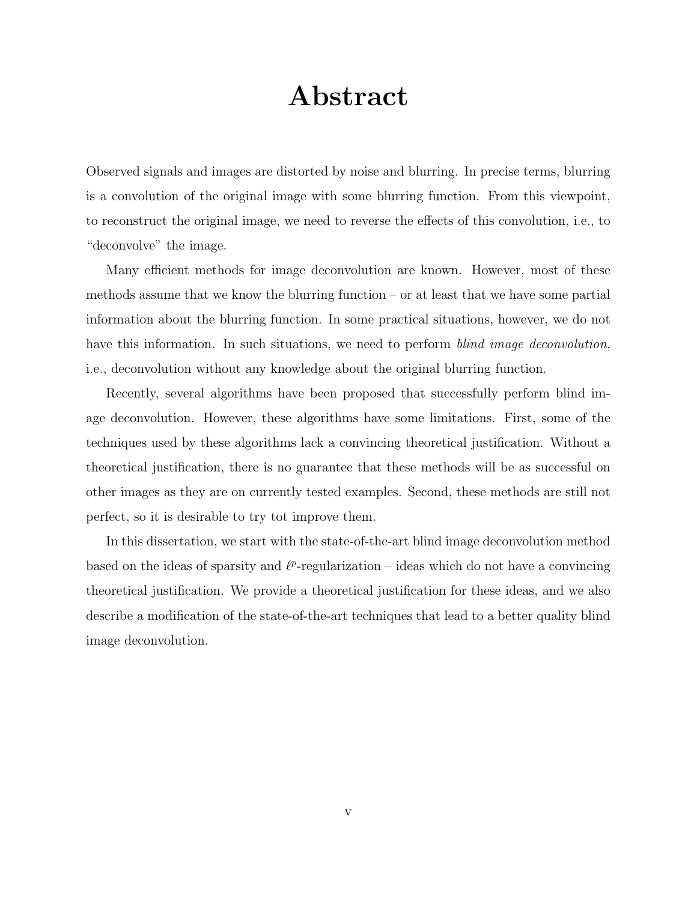### Abstract

Observed signals and images are distorted by noise and blurring. In precise terms, blurring is a convolution of the original image with some blurring function. From this viewpoint, to reconstruct the original image, we need to reverse the effects of this convolution, i.e., to "deconvolve" the image.

Many efficient methods for image deconvolution are known. However, most of these methods assume that we know the blurring function  $-$  or at least that we have some partial information about the blurring function. In some practical situations, however, we do not have this information. In such situations, we need to perform *blind image deconvolution*, i.e., deconvolution without any knowledge about the original blurring function.

Recently, several algorithms have been proposed that successfully perform blind image deconvolution. However, these algorithms have some limitations. First, some of the techniques used by these algorithms lack a convincing theoretical justification. Without a theoretical justification, there is no guarantee that these methods will be as successful on other images as they are on currently tested examples. Second, these methods are still not perfect, so it is desirable to try tot improve them.

In this dissertation, we start with the state-of-the-art blind image deconvolution method based on the ideas of sparsity and  $\ell^p$ -regularization – ideas which do not have a convincing theoretical justification. We provide a theoretical justification for these ideas, and we also describe a modification of the state-of-the-art techniques that lead to a better quality blind image deconvolution.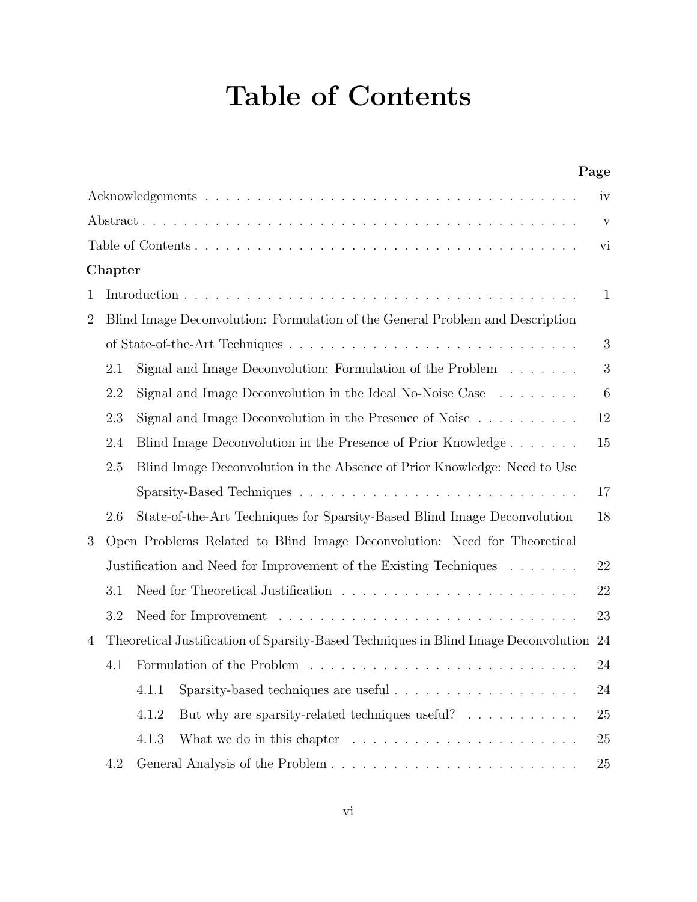# Table of Contents

|                |         | Page                                                                                  |             |  |  |  |  |
|----------------|---------|---------------------------------------------------------------------------------------|-------------|--|--|--|--|
|                |         |                                                                                       | iv          |  |  |  |  |
|                |         |                                                                                       | $\mathbf V$ |  |  |  |  |
|                |         |                                                                                       | vi          |  |  |  |  |
|                | Chapter |                                                                                       |             |  |  |  |  |
| 1              |         |                                                                                       |             |  |  |  |  |
| $\overline{2}$ |         | Blind Image Deconvolution: Formulation of the General Problem and Description         |             |  |  |  |  |
|                |         |                                                                                       | 3           |  |  |  |  |
|                | 2.1     | Signal and Image Deconvolution: Formulation of the Problem $\dots \dots$              | 3           |  |  |  |  |
|                | 2.2     | Signal and Image Deconvolution in the Ideal No-Noise Case $\dots \dots$               | 6           |  |  |  |  |
|                | 2.3     | Signal and Image Deconvolution in the Presence of Noise $\dots \dots \dots$           | 12          |  |  |  |  |
|                | 2.4     | Blind Image Deconvolution in the Presence of Prior Knowledge                          | 15          |  |  |  |  |
|                | 2.5     | Blind Image Deconvolution in the Absence of Prior Knowledge: Need to Use              |             |  |  |  |  |
|                |         |                                                                                       | 17          |  |  |  |  |
|                | 2.6     | State-of-the-Art Techniques for Sparsity-Based Blind Image Deconvolution              | 18          |  |  |  |  |
| 3              |         | Open Problems Related to Blind Image Deconvolution: Need for Theoretical              |             |  |  |  |  |
|                |         | Justification and Need for Improvement of the Existing Techniques                     | 22          |  |  |  |  |
|                | 3.1     |                                                                                       | 22          |  |  |  |  |
|                | 3.2     |                                                                                       | 23          |  |  |  |  |
| 4              |         | Theoretical Justification of Sparsity-Based Techniques in Blind Image Deconvolution   | 24          |  |  |  |  |
|                | 4.1     | 24                                                                                    |             |  |  |  |  |
|                |         | 4.1.1                                                                                 | 24          |  |  |  |  |
|                |         | But why are sparsity-related techniques useful?<br>4.1.2                              | 25          |  |  |  |  |
|                |         | 4.1.3<br>What we do in this chapter $\dots \dots \dots \dots \dots \dots \dots \dots$ | 25          |  |  |  |  |
|                | 4.2     | General Analysis of the Problem                                                       | 25          |  |  |  |  |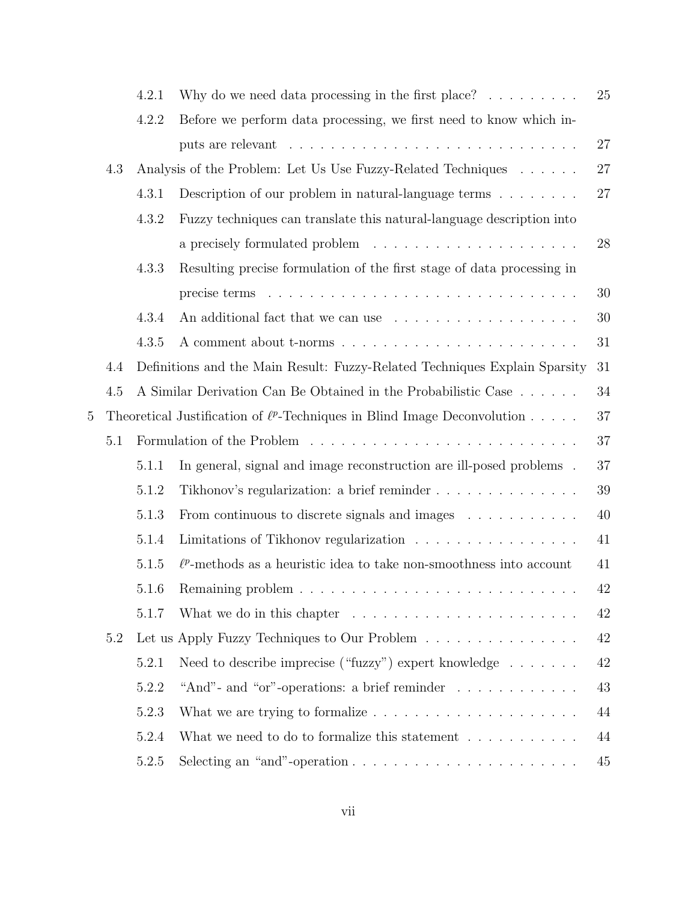|                |     | 4.2.1 | Why do we need data processing in the first place? $\ldots \ldots \ldots$      | 25 |
|----------------|-----|-------|--------------------------------------------------------------------------------|----|
|                |     | 4.2.2 | Before we perform data processing, we first need to know which in-             |    |
|                |     |       |                                                                                | 27 |
|                | 4.3 |       | Analysis of the Problem: Let Us Use Fuzzy-Related Techniques                   | 27 |
|                |     | 4.3.1 | Description of our problem in natural-language terms $\ldots \ldots$           | 27 |
|                |     | 4.3.2 | Fuzzy techniques can translate this natural-language description into          |    |
|                |     |       |                                                                                | 28 |
|                |     | 4.3.3 | Resulting precise formulation of the first stage of data processing in         |    |
|                |     |       |                                                                                | 30 |
|                |     | 4.3.4 |                                                                                | 30 |
|                |     | 4.3.5 |                                                                                | 31 |
|                | 4.4 |       | Definitions and the Main Result: Fuzzy-Related Techniques Explain Sparsity     | 31 |
|                | 4.5 |       | A Similar Derivation Can Be Obtained in the Probabilistic Case                 | 34 |
| $\overline{5}$ |     |       | Theoretical Justification of $\ell^p$ -Techniques in Blind Image Deconvolution | 37 |
|                | 5.1 |       |                                                                                | 37 |
|                |     | 5.1.1 | In general, signal and image reconstruction are ill-posed problems.            | 37 |
|                |     | 5.1.2 | Tikhonov's regularization: a brief reminder                                    | 39 |
|                |     | 5.1.3 | From continuous to discrete signals and images                                 | 40 |
|                |     | 5.1.4 | Limitations of Tikhonov regularization                                         | 41 |
|                |     | 5.1.5 | $\ell^p$ -methods as a heuristic idea to take non-smoothness into account      | 41 |
|                |     | 5.1.6 |                                                                                | 42 |
|                |     | 5.1.7 | What we do in this chapter $\dots \dots \dots \dots \dots \dots \dots$         | 42 |
|                | 5.2 |       | Let us Apply Fuzzy Techniques to Our Problem                                   | 42 |
|                |     | 5.2.1 | Need to describe imprecise ("fuzzy") expert knowledge $\dots \dots$            | 42 |
|                |     | 5.2.2 | "And" - and "or" -operations: a brief reminder $\dots \dots \dots \dots$       | 43 |
|                |     | 5.2.3 | What we are trying to formalize $\ldots \ldots \ldots \ldots \ldots \ldots$    | 44 |
|                |     | 5.2.4 | What we need to do to formalize this statement $\dots \dots \dots$             | 44 |
|                |     | 5.2.5 |                                                                                | 45 |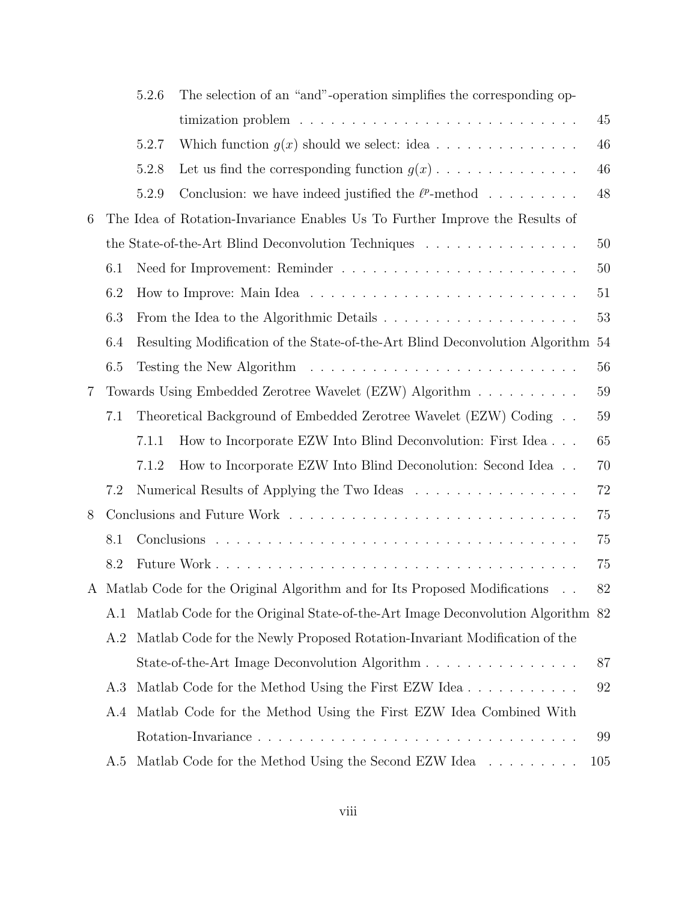|                |     | 5.2.6 | The selection of an "and"-operation simplifies the corresponding op-            |        |  |  |
|----------------|-----|-------|---------------------------------------------------------------------------------|--------|--|--|
|                |     |       |                                                                                 | 45     |  |  |
|                |     | 5.2.7 | Which function $g(x)$ should we select: idea                                    | 46     |  |  |
|                |     | 5.2.8 | Let us find the corresponding function $g(x)$                                   | 46     |  |  |
|                |     | 5.2.9 | Conclusion: we have indeed justified the $\ell^p$ -method                       | 48     |  |  |
| 6              |     |       | The Idea of Rotation-Invariance Enables Us To Further Improve the Results of    |        |  |  |
|                |     |       | the State-of-the-Art Blind Deconvolution Techniques                             | $50\,$ |  |  |
|                | 6.1 |       |                                                                                 | 50     |  |  |
|                | 6.2 |       |                                                                                 |        |  |  |
|                | 6.3 |       |                                                                                 | 53     |  |  |
|                | 6.4 |       | Resulting Modification of the State-of-the-Art Blind Deconvolution Algorithm 54 |        |  |  |
|                | 6.5 |       |                                                                                 | 56     |  |  |
| $\overline{7}$ |     |       | Towards Using Embedded Zerotree Wavelet (EZW) Algorithm                         | 59     |  |  |
|                | 7.1 |       | Theoretical Background of Embedded Zerotree Wavelet (EZW) Coding                | 59     |  |  |
|                |     | 7.1.1 | How to Incorporate EZW Into Blind Deconvolution: First Idea                     | 65     |  |  |
|                |     | 7.1.2 | How to Incorporate EZW Into Blind Deconolution: Second Idea                     | 70     |  |  |
|                | 7.2 |       | Numerical Results of Applying the Two Ideas                                     | 72     |  |  |
| 8              |     |       |                                                                                 | 75     |  |  |
|                | 8.1 |       |                                                                                 | 75     |  |  |
|                | 8.2 |       |                                                                                 | 75     |  |  |
|                |     |       | A Matlab Code for the Original Algorithm and for Its Proposed Modifications     | 82     |  |  |
|                | A.1 |       | Matlab Code for the Original State-of-the-Art Image Deconvolution Algorithm 82  |        |  |  |
|                | A.2 |       | Matlab Code for the Newly Proposed Rotation-Invariant Modification of the       |        |  |  |
|                |     |       | State-of-the-Art Image Deconvolution Algorithm                                  | 87     |  |  |
|                | A.3 |       | Matlab Code for the Method Using the First EZW Idea                             | 92     |  |  |
|                | A.4 |       | Matlab Code for the Method Using the First EZW Idea Combined With               |        |  |  |
|                |     |       |                                                                                 | 99     |  |  |
|                | A.5 |       | Matlab Code for the Method Using the Second EZW Idea                            | 105    |  |  |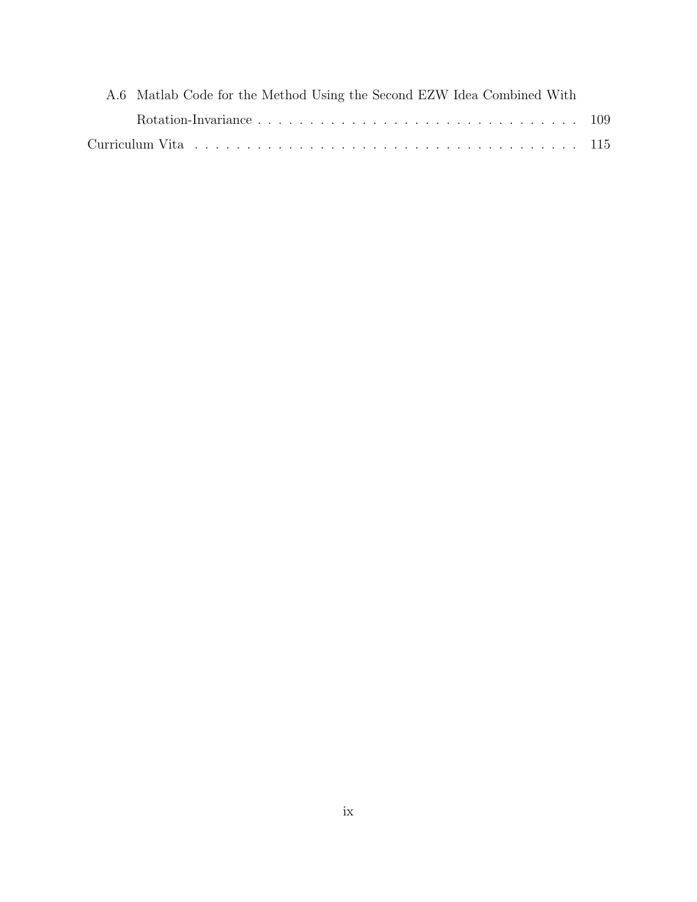| A.6 Matlab Code for the Method Using the Second EZW Idea Combined With |  |
|------------------------------------------------------------------------|--|
|                                                                        |  |
|                                                                        |  |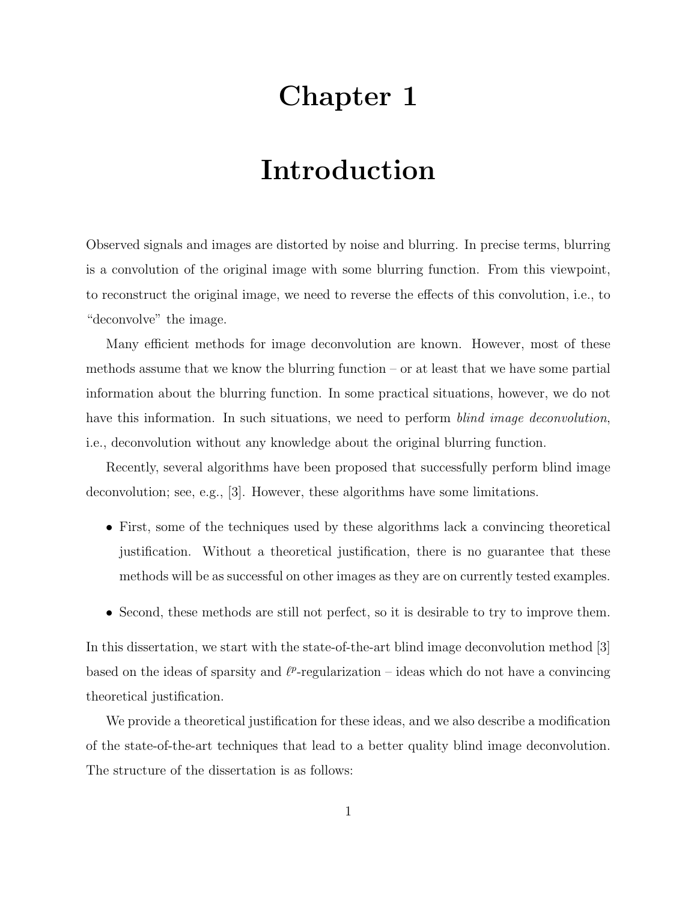# Chapter 1

# Introduction

Observed signals and images are distorted by noise and blurring. In precise terms, blurring is a convolution of the original image with some blurring function. From this viewpoint, to reconstruct the original image, we need to reverse the effects of this convolution, i.e., to "deconvolve" the image.

Many efficient methods for image deconvolution are known. However, most of these methods assume that we know the blurring function  $-$  or at least that we have some partial information about the blurring function. In some practical situations, however, we do not have this information. In such situations, we need to perform *blind image deconvolution*, i.e., deconvolution without any knowledge about the original blurring function.

Recently, several algorithms have been proposed that successfully perform blind image deconvolution; see, e.g., [3]. However, these algorithms have some limitations.

- First, some of the techniques used by these algorithms lack a convincing theoretical justification. Without a theoretical justification, there is no guarantee that these methods will be as successful on other images as they are on currently tested examples.
- Second, these methods are still not perfect, so it is desirable to try to improve them.

In this dissertation, we start with the state-of-the-art blind image deconvolution method [3] based on the ideas of sparsity and  $\ell^p$ -regularization – ideas which do not have a convincing theoretical justification.

We provide a theoretical justification for these ideas, and we also describe a modification of the state-of-the-art techniques that lead to a better quality blind image deconvolution. The structure of the dissertation is as follows: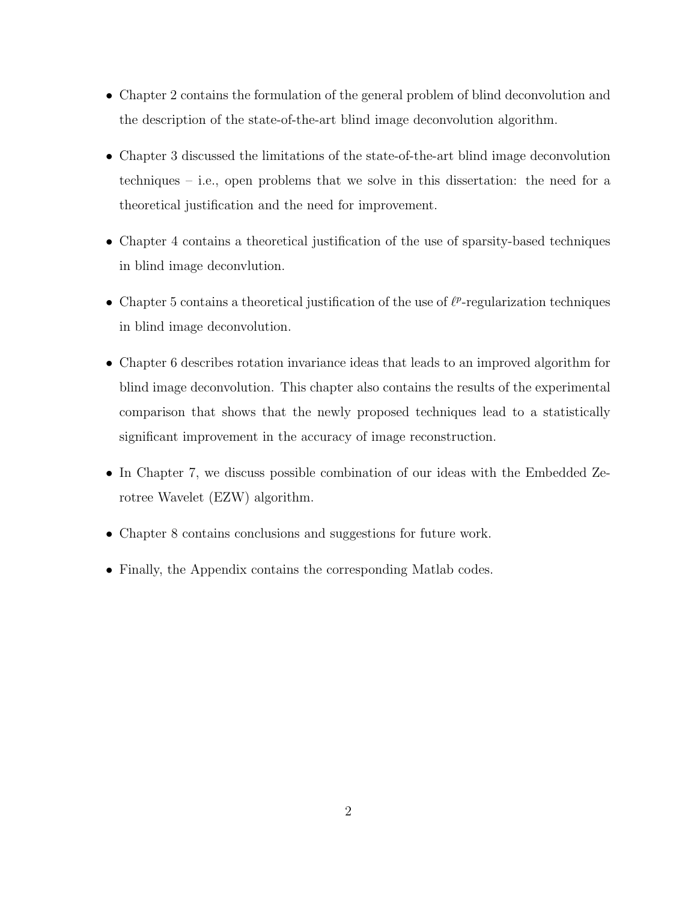- Chapter 2 contains the formulation of the general problem of blind deconvolution and the description of the state-of-the-art blind image deconvolution algorithm.
- Chapter 3 discussed the limitations of the state-of-the-art blind image deconvolution techniques – i.e., open problems that we solve in this dissertation: the need for a theoretical justification and the need for improvement.
- Chapter 4 contains a theoretical justification of the use of sparsity-based techniques in blind image deconvlution.
- Chapter 5 contains a theoretical justification of the use of  $\ell^p$ -regularization techniques in blind image deconvolution.
- Chapter 6 describes rotation invariance ideas that leads to an improved algorithm for blind image deconvolution. This chapter also contains the results of the experimental comparison that shows that the newly proposed techniques lead to a statistically significant improvement in the accuracy of image reconstruction.
- In Chapter 7, we discuss possible combination of our ideas with the Embedded Zerotree Wavelet (EZW) algorithm.
- Chapter 8 contains conclusions and suggestions for future work.
- Finally, the Appendix contains the corresponding Matlab codes.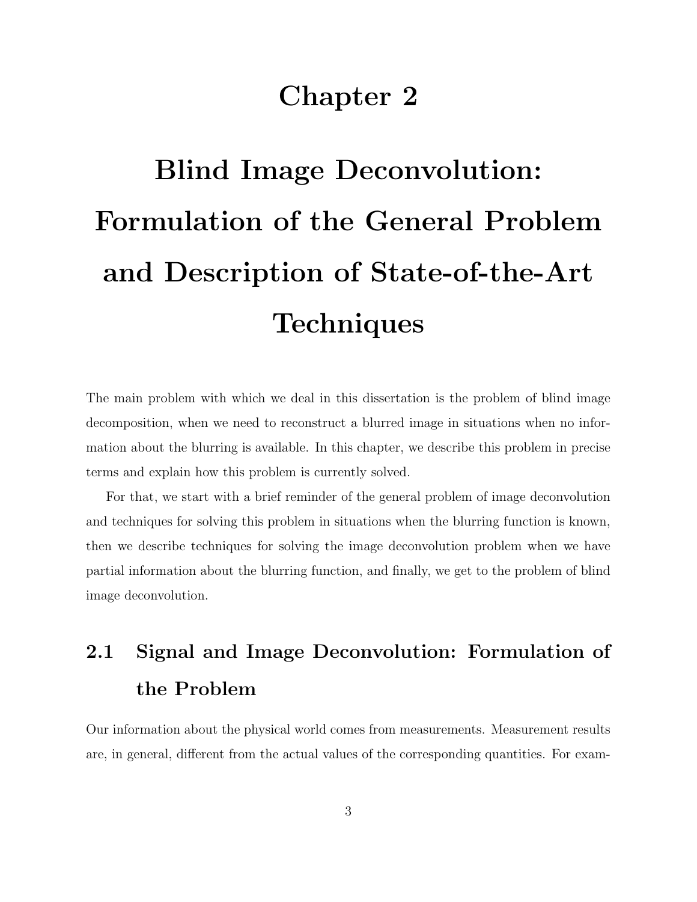### Chapter 2

# Blind Image Deconvolution: Formulation of the General Problem and Description of State-of-the-Art **Techniques**

The main problem with which we deal in this dissertation is the problem of blind image decomposition, when we need to reconstruct a blurred image in situations when no information about the blurring is available. In this chapter, we describe this problem in precise terms and explain how this problem is currently solved.

For that, we start with a brief reminder of the general problem of image deconvolution and techniques for solving this problem in situations when the blurring function is known, then we describe techniques for solving the image deconvolution problem when we have partial information about the blurring function, and finally, we get to the problem of blind image deconvolution.

# 2.1 Signal and Image Deconvolution: Formulation of the Problem

Our information about the physical world comes from measurements. Measurement results are, in general, different from the actual values of the corresponding quantities. For exam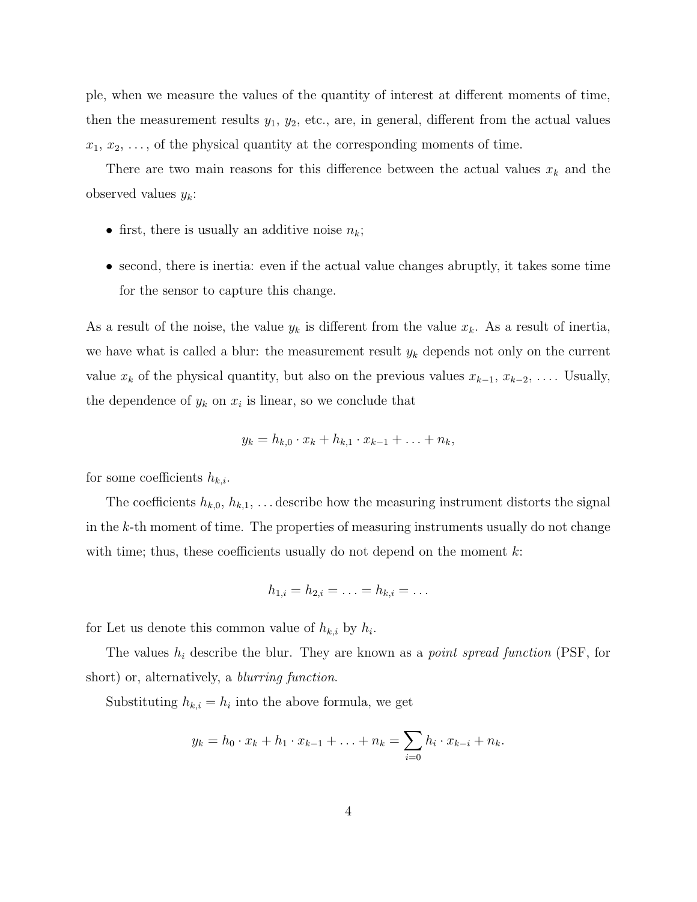ple, when we measure the values of the quantity of interest at different moments of time, then the measurement results  $y_1, y_2$ , etc., are, in general, different from the actual values  $x_1, x_2, \ldots$ , of the physical quantity at the corresponding moments of time.

There are two main reasons for this difference between the actual values  $x_k$  and the observed values  $y_k$ :

- first, there is usually an additive noise  $n_k$ ;
- second, there is inertia: even if the actual value changes abruptly, it takes some time for the sensor to capture this change.

As a result of the noise, the value  $y_k$  is different from the value  $x_k$ . As a result of inertia, we have what is called a blur: the measurement result  $y_k$  depends not only on the current value  $x_k$  of the physical quantity, but also on the previous values  $x_{k-1}, x_{k-2}, \ldots$  Usually, the dependence of  $y_k$  on  $x_i$  is linear, so we conclude that

$$
y_k = h_{k,0} \cdot x_k + h_{k,1} \cdot x_{k-1} + \ldots + n_k,
$$

for some coefficients  $h_{k,i}$ .

The coefficients  $h_{k,0}, h_{k,1}, \ldots$  describe how the measuring instrument distorts the signal in the  $k$ -th moment of time. The properties of measuring instruments usually do not change with time; thus, these coefficients usually do not depend on the moment  $k$ :

$$
h_{1,i} = h_{2,i} = \ldots = h_{k,i} = \ldots
$$

for Let us denote this common value of  $h_{k,i}$  by  $h_i$ .

The values  $h_i$  describe the blur. They are known as a *point spread function* (PSF, for short) or, alternatively, a *blurring function*.

Substituting  $h_{k,i} = h_i$  into the above formula, we get

$$
y_k = h_0 \cdot x_k + h_1 \cdot x_{k-1} + \ldots + n_k = \sum_{i=0}^{k} h_i \cdot x_{k-i} + n_k.
$$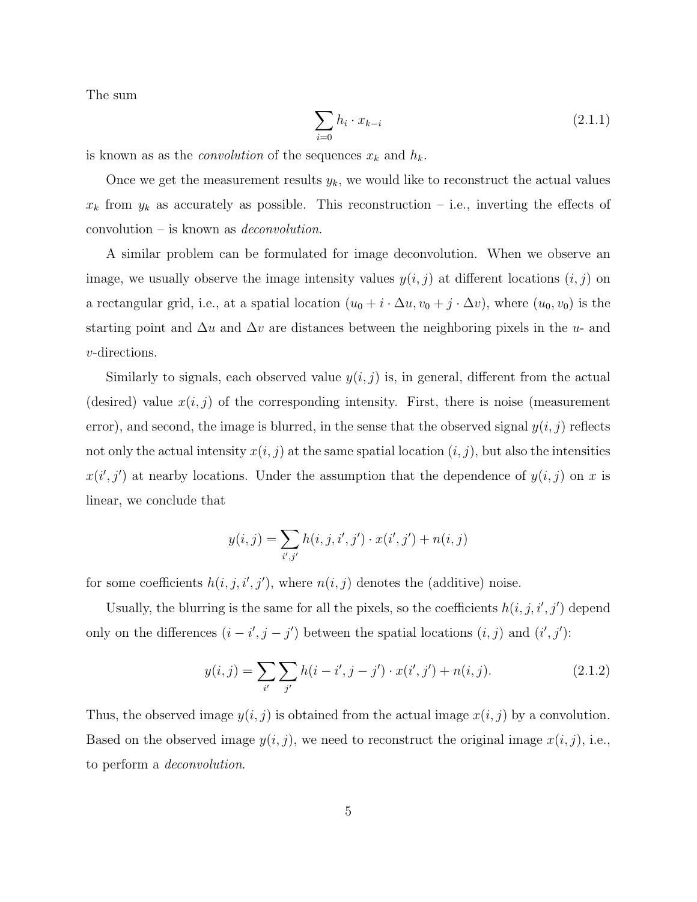The sum

$$
\sum_{i=0} h_i \cdot x_{k-i} \tag{2.1.1}
$$

is known as as the *convolution* of the sequences  $x_k$  and  $h_k$ .

Once we get the measurement results  $y_k$ , we would like to reconstruct the actual values  $x_k$  from  $y_k$  as accurately as possible. This reconstruction – i.e., inverting the effects of convolution – is known as deconvolution.

A similar problem can be formulated for image deconvolution. When we observe an image, we usually observe the image intensity values  $y(i, j)$  at different locations  $(i, j)$  on a rectangular grid, i.e., at a spatial location  $(u_0 + i \cdot \Delta u, v_0 + j \cdot \Delta v)$ , where  $(u_0, v_0)$  is the starting point and  $\Delta u$  and  $\Delta v$  are distances between the neighboring pixels in the u- and v-directions.

Similarly to signals, each observed value  $y(i, j)$  is, in general, different from the actual (desired) value  $x(i, j)$  of the corresponding intensity. First, there is noise (measurement error), and second, the image is blurred, in the sense that the observed signal  $y(i, j)$  reflects not only the actual intensity  $x(i, j)$  at the same spatial location  $(i, j)$ , but also the intensities  $x(i', j')$  at nearby locations. Under the assumption that the dependence of  $y(i, j)$  on x is linear, we conclude that

$$
y(i,j) = \sum_{i',j'} h(i,j,i',j') \cdot x(i',j') + n(i,j)
$$

for some coefficients  $h(i, j, i', j')$ , where  $n(i, j)$  denotes the (additive) noise.

Usually, the blurring is the same for all the pixels, so the coefficients  $h(i, j, i', j')$  depend only on the differences  $(i - i', j - j')$  between the spatial locations  $(i, j)$  and  $(i', j')$ :

$$
y(i,j) = \sum_{i'} \sum_{j'} h(i-i',j-j') \cdot x(i',j') + n(i,j). \tag{2.1.2}
$$

Thus, the observed image  $y(i, j)$  is obtained from the actual image  $x(i, j)$  by a convolution. Based on the observed image  $y(i, j)$ , we need to reconstruct the original image  $x(i, j)$ , i.e., to perform a deconvolution.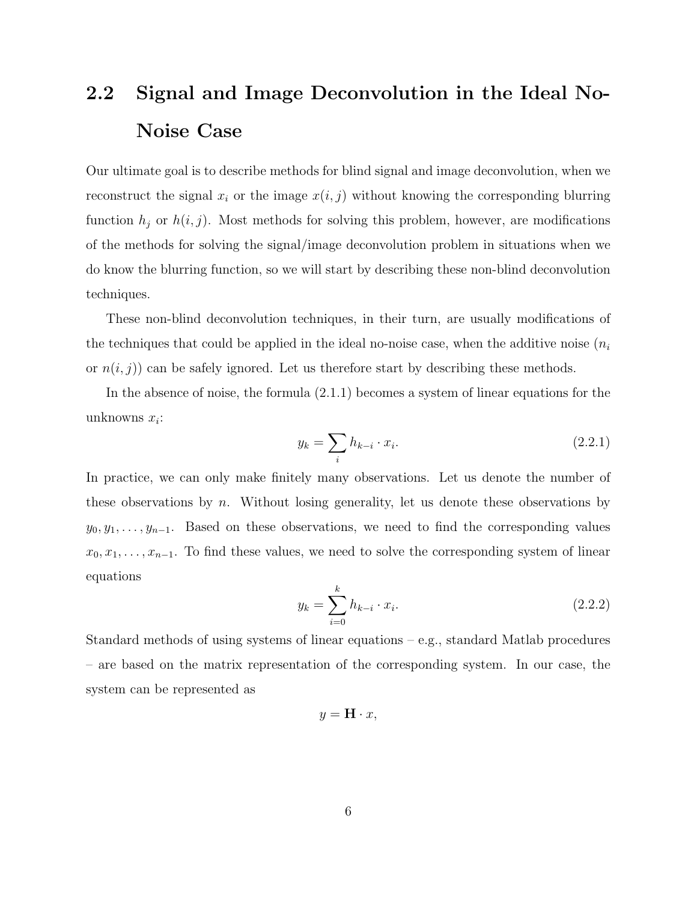### 2.2 Signal and Image Deconvolution in the Ideal No-Noise Case

Our ultimate goal is to describe methods for blind signal and image deconvolution, when we reconstruct the signal  $x_i$  or the image  $x(i, j)$  without knowing the corresponding blurring function  $h_j$  or  $h(i, j)$ . Most methods for solving this problem, however, are modifications of the methods for solving the signal/image deconvolution problem in situations when we do know the blurring function, so we will start by describing these non-blind deconvolution techniques.

These non-blind deconvolution techniques, in their turn, are usually modifications of the techniques that could be applied in the ideal no-noise case, when the additive noise  $(n_i)$ or  $n(i, j)$  can be safely ignored. Let us therefore start by describing these methods.

In the absence of noise, the formula (2.1.1) becomes a system of linear equations for the unknowns  $x_i$ :

$$
y_k = \sum_i h_{k-i} \cdot x_i. \tag{2.2.1}
$$

In practice, we can only make finitely many observations. Let us denote the number of these observations by  $n$ . Without losing generality, let us denote these observations by  $y_0, y_1, \ldots, y_{n-1}$ . Based on these observations, we need to find the corresponding values  $x_0, x_1, \ldots, x_{n-1}$ . To find these values, we need to solve the corresponding system of linear equations

$$
y_k = \sum_{i=0}^{k} h_{k-i} \cdot x_i.
$$
 (2.2.2)

Standard methods of using systems of linear equations – e.g., standard Matlab procedures – are based on the matrix representation of the corresponding system. In our case, the system can be represented as

$$
y = \mathbf{H} \cdot x,
$$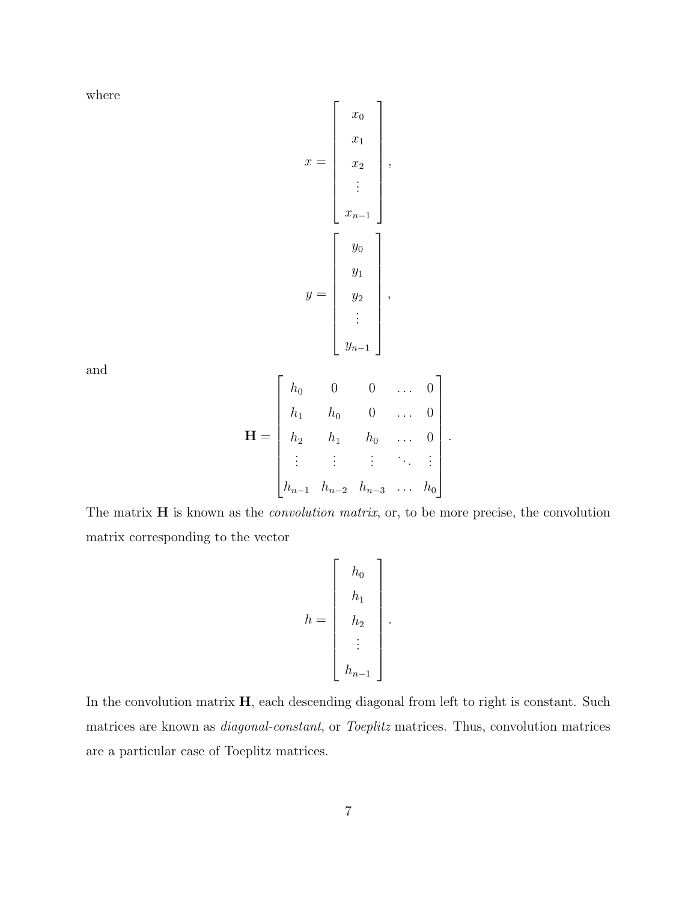where

$$
x = \begin{bmatrix} x_0 \\ x_1 \\ x_2 \\ \vdots \\ x_{n-1} \end{bmatrix},
$$

$$
y = \begin{bmatrix} y_0 \\ y_1 \\ y_2 \\ \vdots \\ y_{n-1} \end{bmatrix},
$$

and

$$
\mathbf{H} = \begin{bmatrix} h_0 & 0 & 0 & \dots & 0 \\ h_1 & h_0 & 0 & \dots & 0 \\ h_2 & h_1 & h_0 & \dots & 0 \\ \vdots & \vdots & \vdots & \ddots & \vdots \\ h_{n-1} & h_{n-2} & h_{n-3} & \dots & h_0 \end{bmatrix}.
$$

The matrix  $H$  is known as the *convolution matrix*, or, to be more precise, the convolution matrix corresponding to the vector

$$
h = \left[\begin{array}{c} h_0 \\ h_1 \\ h_2 \\ \vdots \\ h_{n-1} \end{array}\right].
$$

In the convolution matrix  $H$ , each descending diagonal from left to right is constant. Such matrices are known as diagonal-constant, or Toeplitz matrices. Thus, convolution matrices are a particular case of Toeplitz matrices.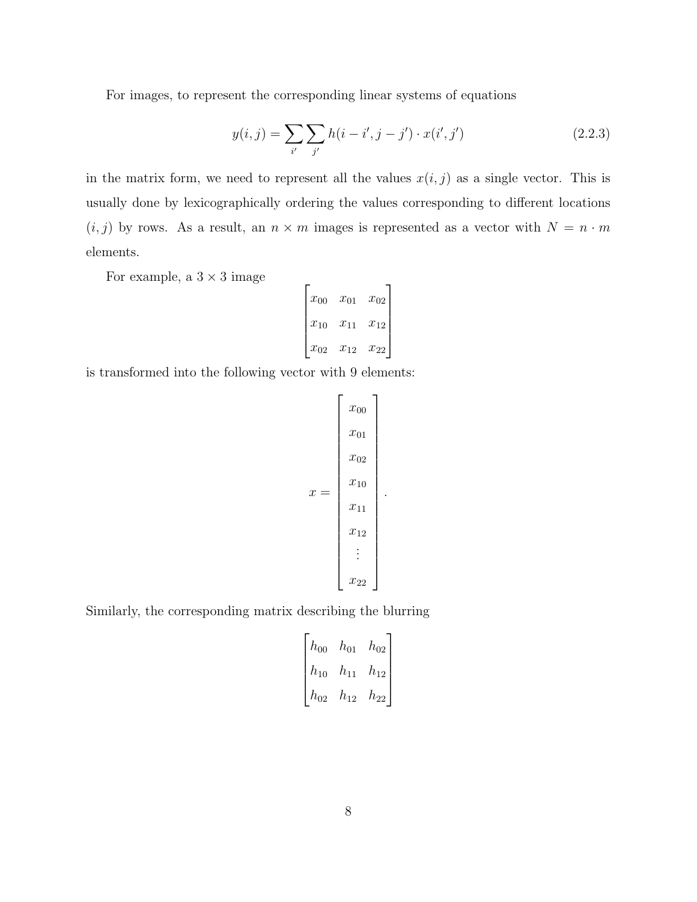For images, to represent the corresponding linear systems of equations

$$
y(i,j) = \sum_{i'} \sum_{j'} h(i-i',j-j') \cdot x(i',j')
$$
 (2.2.3)

in the matrix form, we need to represent all the values  $x(i, j)$  as a single vector. This is usually done by lexicographically ordering the values corresponding to different locations  $(i, j)$  by rows. As a result, an  $n \times m$  images is represented as a vector with  $N = n \cdot m$ elements.

For example, a  $3 \times 3$  image

$$
\begin{bmatrix} x_{00} & x_{01} & x_{02} \ x_{10} & x_{11} & x_{12} \ x_{02} & x_{12} & x_{22} \end{bmatrix}
$$

is transformed into the following vector with 9 elements:

$$
x = \begin{bmatrix} x_{00} \\ x_{01} \\ x_{02} \\ x_{10} \\ x_{11} \\ x_{12} \\ \vdots \\ x_{22} \end{bmatrix}.
$$

Similarly, the corresponding matrix describing the blurring

$$
\begin{bmatrix} h_{00} & h_{01} & h_{02} \ h_{10} & h_{11} & h_{12} \ h_{02} & h_{12} & h_{22} \end{bmatrix}
$$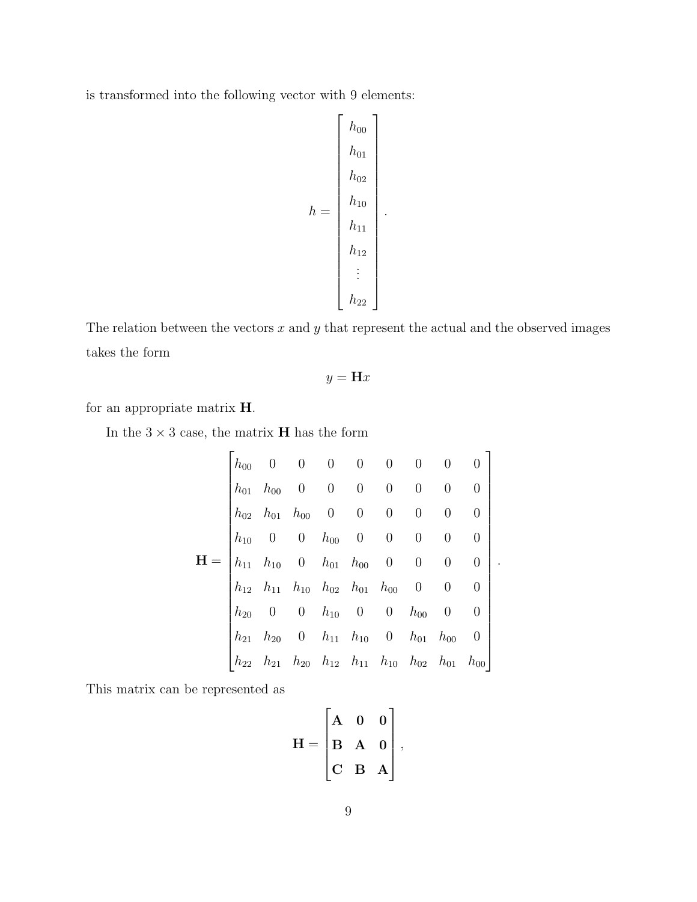is transformed into the following vector with 9 elements:

$$
h = \begin{bmatrix} h_{00} \\ h_{01} \\ h_{02} \\ h_{10} \\ h_{11} \\ h_{12} \\ \vdots \\ h_{22} \end{bmatrix}
$$

.

The relation between the vectors  $x$  and  $y$  that represent the actual and the observed images takes the form

$$
y = \mathbf{H}x
$$

for an appropriate matrix H.

In the  $3 \times 3$  case, the matrix **H** has the form

$$
\mathbf{H} = \begin{bmatrix} h_{00} & 0 & 0 & 0 & 0 & 0 & 0 & 0 & 0 \\ h_{01} & h_{00} & 0 & 0 & 0 & 0 & 0 & 0 & 0 \\ h_{02} & h_{01} & h_{00} & 0 & 0 & 0 & 0 & 0 & 0 \\ h_{10} & 0 & 0 & h_{00} & 0 & 0 & 0 & 0 & 0 \\ h_{11} & h_{10} & 0 & h_{01} & h_{00} & 0 & 0 & 0 & 0 \\ h_{12} & h_{11} & h_{10} & h_{02} & h_{01} & h_{00} & 0 & 0 & 0 \\ h_{20} & 0 & 0 & h_{10} & 0 & 0 & h_{00} & 0 & 0 \\ h_{21} & h_{20} & 0 & h_{11} & h_{10} & 0 & h_{01} & h_{00} & 0 \\ h_{22} & h_{21} & h_{20} & h_{12} & h_{11} & h_{10} & h_{02} & h_{01} & h_{00} \end{bmatrix}.
$$

This matrix can be represented as

$$
\mathbf{H} = \begin{bmatrix} \mathbf{A} & \mathbf{0} & \mathbf{0} \\ \mathbf{B} & \mathbf{A} & \mathbf{0} \\ \mathbf{C} & \mathbf{B} & \mathbf{A} \end{bmatrix},
$$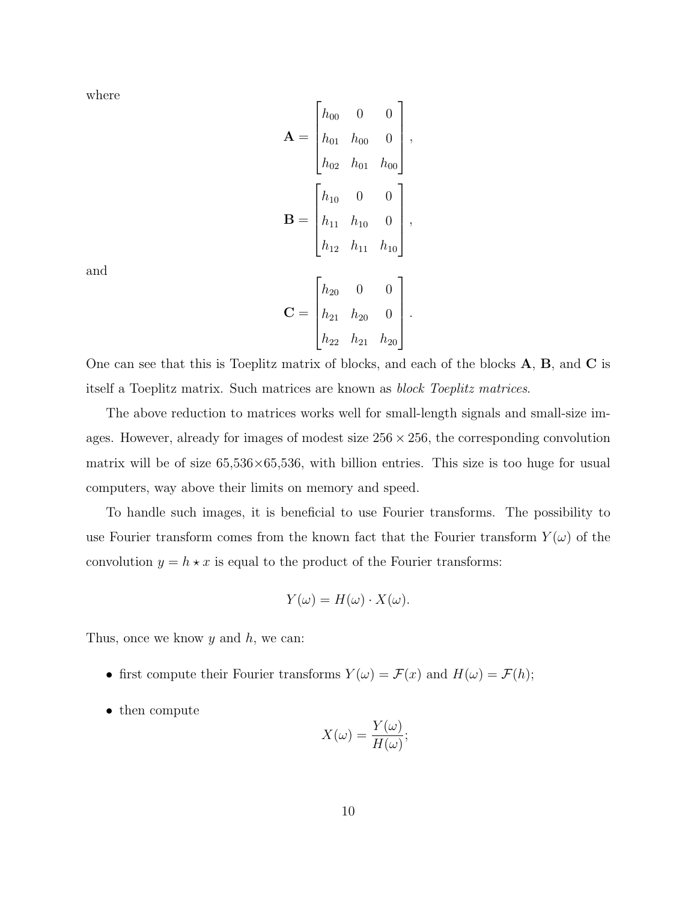where

$$
\mathbf{A} = \begin{bmatrix} h_{00} & 0 & 0 \\ h_{01} & h_{00} & 0 \\ h_{02} & h_{01} & h_{00} \end{bmatrix},
$$

$$
\mathbf{B} = \begin{bmatrix} h_{10} & 0 & 0 \\ h_{11} & h_{10} & 0 \\ h_{12} & h_{11} & h_{10} \end{bmatrix},
$$

$$
\mathbf{C} = \begin{bmatrix} h_{20} & 0 & 0 \\ h_{21} & h_{20} & 0 \\ h_{22} & h_{21} & h_{20} \end{bmatrix}.
$$

and

One can see that this is Toeplitz matrix of blocks, and each of the blocks A, B, and C is itself a Toeplitz matrix. Such matrices are known as block Toeplitz matrices.

The above reduction to matrices works well for small-length signals and small-size images. However, already for images of modest size  $256 \times 256$ , the corresponding convolution matrix will be of size  $65,536\times65,536$ , with billion entries. This size is too huge for usual computers, way above their limits on memory and speed.

To handle such images, it is beneficial to use Fourier transforms. The possibility to use Fourier transform comes from the known fact that the Fourier transform  $Y(\omega)$  of the convolution  $y = h \star x$  is equal to the product of the Fourier transforms:

$$
Y(\omega) = H(\omega) \cdot X(\omega).
$$

Thus, once we know  $y$  and  $h$ , we can:

- first compute their Fourier transforms  $Y(\omega) = \mathcal{F}(x)$  and  $H(\omega) = \mathcal{F}(h)$ ;
- then compute

$$
X(\omega) = \frac{Y(\omega)}{H(\omega)};
$$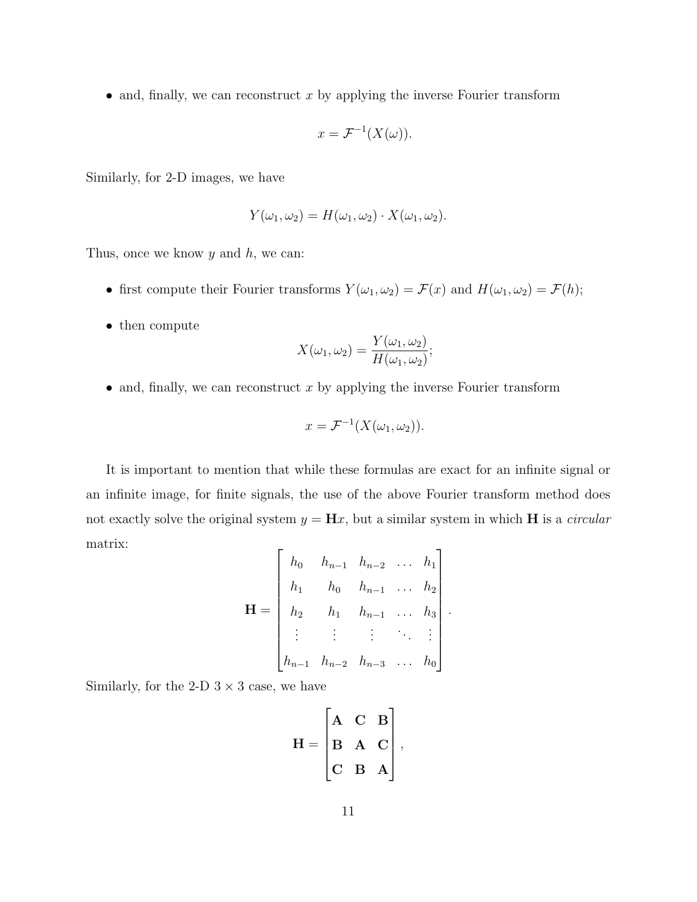• and, finally, we can reconstruct  $x$  by applying the inverse Fourier transform

$$
x = \mathcal{F}^{-1}(X(\omega)).
$$

Similarly, for 2-D images, we have

$$
Y(\omega_1, \omega_2) = H(\omega_1, \omega_2) \cdot X(\omega_1, \omega_2).
$$

Thus, once we know  $y$  and  $h$ , we can:

- first compute their Fourier transforms  $Y(\omega_1, \omega_2) = \mathcal{F}(x)$  and  $H(\omega_1, \omega_2) = \mathcal{F}(h)$ ;
- then compute

$$
X(\omega_1, \omega_2) = \frac{Y(\omega_1, \omega_2)}{H(\omega_1, \omega_2)};
$$

• and, finally, we can reconstruct  $x$  by applying the inverse Fourier transform

$$
x = \mathcal{F}^{-1}(X(\omega_1, \omega_2)).
$$

It is important to mention that while these formulas are exact for an infinite signal or an infinite image, for finite signals, the use of the above Fourier transform method does not exactly solve the original system  $y = Hx$ , but a similar system in which H is a *circular* matrix:  $\mathbf{r}$  $\overline{\mathbf{1}}$ 

$$
\mathbf{H} = \begin{bmatrix} h_0 & h_{n-1} & h_{n-2} & \dots & h_1 \\ h_1 & h_0 & h_{n-1} & \dots & h_2 \\ h_2 & h_1 & h_{n-1} & \dots & h_3 \\ \vdots & \vdots & \vdots & \ddots & \vdots \\ h_{n-1} & h_{n-2} & h_{n-3} & \dots & h_0 \end{bmatrix}.
$$

Similarly, for the 2-D  $3 \times 3$  case, we have

$$
\mathbf{H} = \begin{bmatrix} \mathbf{A} & \mathbf{C} & \mathbf{B} \\ \mathbf{B} & \mathbf{A} & \mathbf{C} \\ \mathbf{C} & \mathbf{B} & \mathbf{A} \end{bmatrix},
$$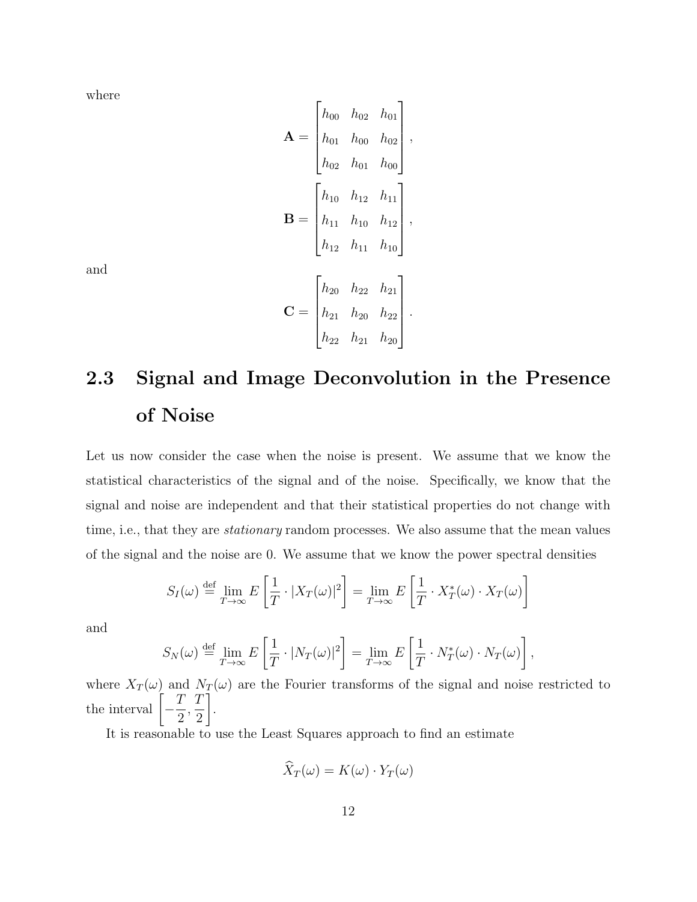where

$$
\mathbf{A} = \begin{bmatrix} h_{00} & h_{02} & h_{01} \\ h_{01} & h_{00} & h_{02} \\ h_{02} & h_{01} & h_{00} \end{bmatrix},
$$

$$
\mathbf{B} = \begin{bmatrix} h_{10} & h_{12} & h_{11} \\ h_{11} & h_{10} & h_{12} \\ h_{12} & h_{11} & h_{10} \end{bmatrix},
$$

$$
\mathbf{C} = \begin{bmatrix} h_{20} & h_{22} & h_{21} \\ h_{21} & h_{20} & h_{22} \\ h_{22} & h_{21} & h_{20} \end{bmatrix}.
$$

and

# 2.3 Signal and Image Deconvolution in the Presence of Noise

Let us now consider the case when the noise is present. We assume that we know the statistical characteristics of the signal and of the noise. Specifically, we know that the signal and noise are independent and that their statistical properties do not change with time, i.e., that they are *stationary* random processes. We also assume that the mean values of the signal and the noise are 0. We assume that we know the power spectral densities

$$
S_I(\omega) \stackrel{\text{def}}{=} \lim_{T \to \infty} E\left[\frac{1}{T} \cdot |X_T(\omega)|^2\right] = \lim_{T \to \infty} E\left[\frac{1}{T} \cdot X_T^*(\omega) \cdot X_T(\omega)\right]
$$

and

$$
S_N(\omega) \stackrel{\text{def}}{=} \lim_{T \to \infty} E\left[\frac{1}{T} \cdot |N_T(\omega)|^2\right] = \lim_{T \to \infty} E\left[\frac{1}{T} \cdot N_T^*(\omega) \cdot N_T(\omega)\right],
$$

where  $X_T(\omega)$  and  $N_T(\omega)$  are the Fourier transforms of the signal and noise restricted to the interval  $\left[-\frac{T}{2}\right]$ 2 , T 2 1 .

It is reasonable to use the Least Squares approach to find an estimate

$$
\widehat{X}_T(\omega) = K(\omega) \cdot Y_T(\omega)
$$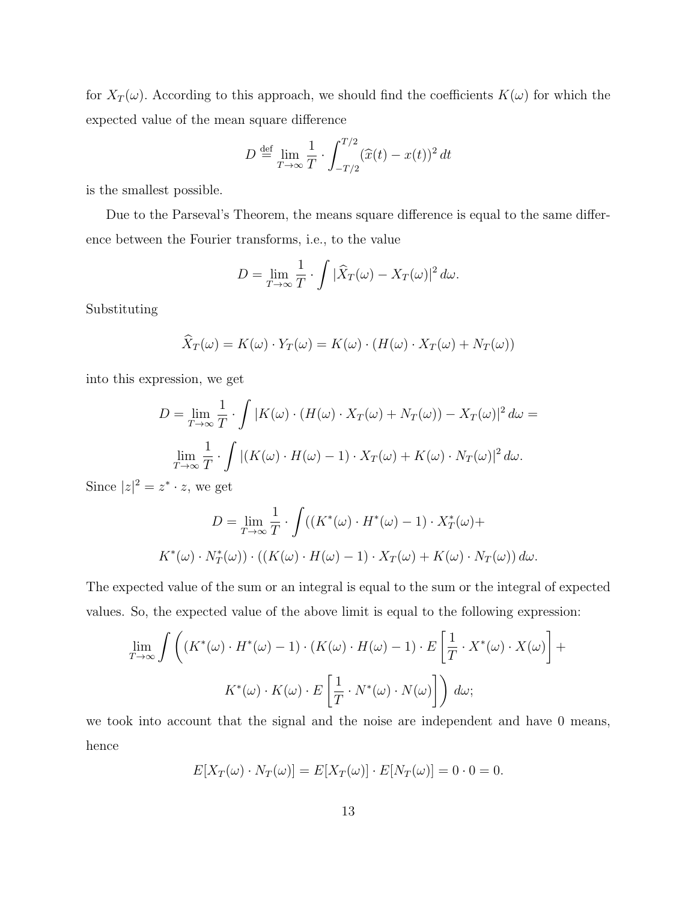for  $X_T(\omega)$ . According to this approach, we should find the coefficients  $K(\omega)$  for which the expected value of the mean square difference

$$
D \stackrel{\text{def}}{=} \lim_{T \to \infty} \frac{1}{T} \cdot \int_{-T/2}^{T/2} (\widehat{x}(t) - x(t))^2 dt
$$

is the smallest possible.

Due to the Parseval's Theorem, the means square difference is equal to the same difference between the Fourier transforms, i.e., to the value

$$
D = \lim_{T \to \infty} \frac{1}{T} \cdot \int |\widehat{X}_T(\omega) - X_T(\omega)|^2 d\omega.
$$

Substituting

$$
\widehat{X}_T(\omega) = K(\omega) \cdot Y_T(\omega) = K(\omega) \cdot (H(\omega) \cdot X_T(\omega) + N_T(\omega))
$$

into this expression, we get

$$
D = \lim_{T \to \infty} \frac{1}{T} \cdot \int |K(\omega) \cdot (H(\omega) \cdot X_T(\omega) + N_T(\omega)) - X_T(\omega)|^2 d\omega =
$$
  

$$
\lim_{T \to \infty} \frac{1}{T} \cdot \int |(K(\omega) \cdot H(\omega) - 1) \cdot X_T(\omega) + K(\omega) \cdot N_T(\omega)|^2 d\omega.
$$

Since  $|z|^2 = z^* \cdot z$ , we get

$$
D = \lim_{T \to \infty} \frac{1}{T} \cdot \int ((K^*(\omega) \cdot H^*(\omega) - 1) \cdot X_T^*(\omega) + K^*(\omega) \cdot N_T^*(\omega)) \cdot ((K(\omega) \cdot H(\omega) - 1) \cdot X_T(\omega) + K(\omega) \cdot N_T(\omega)) d\omega.
$$

The expected value of the sum or an integral is equal to the sum or the integral of expected values. So, the expected value of the above limit is equal to the following expression:

$$
\lim_{T \to \infty} \int \left( (K^*(\omega) \cdot H^*(\omega) - 1) \cdot (K(\omega) \cdot H(\omega) - 1) \cdot E\left[\frac{1}{T} \cdot X^*(\omega) \cdot X(\omega)\right] + K^*(\omega) \cdot K(\omega) \cdot E\left[\frac{1}{T} \cdot N^*(\omega) \cdot N(\omega)\right]\right) d\omega;
$$

we took into account that the signal and the noise are independent and have 0 means, hence

$$
E[X_T(\omega) \cdot N_T(\omega)] = E[X_T(\omega)] \cdot E[N_T(\omega)] = 0 \cdot 0 = 0.
$$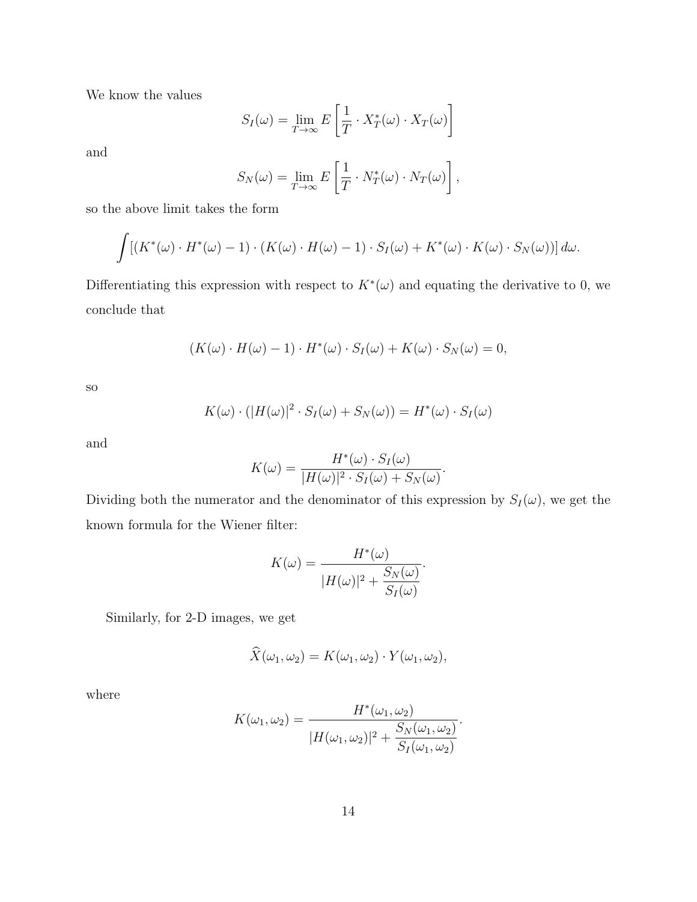We know the values

$$
S_I(\omega) = \lim_{T \to \infty} E\left[\frac{1}{T} \cdot X_T^*(\omega) \cdot X_T(\omega)\right]
$$

and

$$
S_N(\omega) = \lim_{T \to \infty} E\left[\frac{1}{T} \cdot N_T^*(\omega) \cdot N_T(\omega)\right],
$$

so the above limit takes the form

$$
\int [(K^*(\omega) \cdot H^*(\omega) - 1) \cdot (K(\omega) \cdot H(\omega) - 1) \cdot S_I(\omega) + K^*(\omega) \cdot K(\omega) \cdot S_N(\omega))] d\omega.
$$

Differentiating this expression with respect to  $K^*(\omega)$  and equating the derivative to 0, we conclude that

$$
(K(\omega)\cdot H(\omega)-1)\cdot H^*(\omega)\cdot S_I(\omega)+K(\omega)\cdot S_N(\omega)=0,
$$

so

$$
K(\omega) \cdot (|H(\omega)|^2 \cdot S_I(\omega) + S_N(\omega)) = H^*(\omega) \cdot S_I(\omega)
$$

and

$$
K(\omega) = \frac{H^*(\omega) \cdot S_I(\omega)}{|H(\omega)|^2 \cdot S_I(\omega) + S_N(\omega)}.
$$

Dividing both the numerator and the denominator of this expression by  $S_I(\omega)$ , we get the known formula for the Wiener filter:

$$
K(\omega) = \frac{H^*(\omega)}{|H(\omega)|^2 + \frac{S_N(\omega)}{S_I(\omega)}}.
$$

Similarly, for 2-D images, we get

$$
\widehat{X}(\omega_1, \omega_2) = K(\omega_1, \omega_2) \cdot Y(\omega_1, \omega_2),
$$

where

$$
K(\omega_1, \omega_2) = \frac{H^*(\omega_1, \omega_2)}{|H(\omega_1, \omega_2)|^2 + \frac{S_N(\omega_1, \omega_2)}{S_I(\omega_1, \omega_2)}}.
$$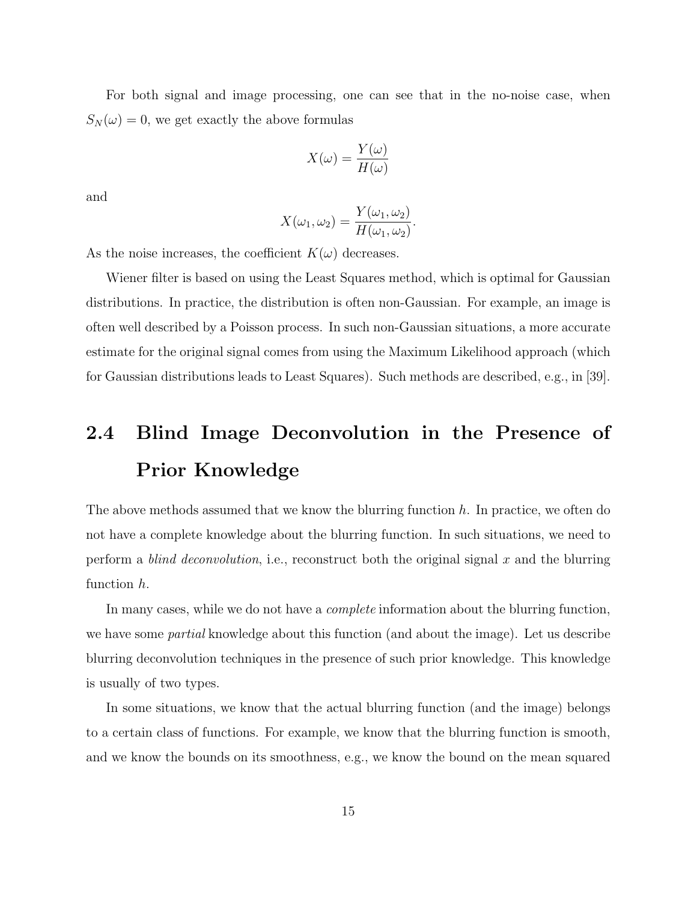For both signal and image processing, one can see that in the no-noise case, when  $S_N(\omega) = 0$ , we get exactly the above formulas

$$
X(\omega) = \frac{Y(\omega)}{H(\omega)}
$$

and

$$
X(\omega_1, \omega_2) = \frac{Y(\omega_1, \omega_2)}{H(\omega_1, \omega_2)}.
$$

As the noise increases, the coefficient  $K(\omega)$  decreases.

Wiener filter is based on using the Least Squares method, which is optimal for Gaussian distributions. In practice, the distribution is often non-Gaussian. For example, an image is often well described by a Poisson process. In such non-Gaussian situations, a more accurate estimate for the original signal comes from using the Maximum Likelihood approach (which for Gaussian distributions leads to Least Squares). Such methods are described, e.g., in [39].

### 2.4 Blind Image Deconvolution in the Presence of Prior Knowledge

The above methods assumed that we know the blurring function  $h$ . In practice, we often do not have a complete knowledge about the blurring function. In such situations, we need to perform a *blind deconvolution*, i.e., reconstruct both the original signal x and the blurring function h.

In many cases, while we do not have a *complete* information about the blurring function, we have some *partial* knowledge about this function (and about the image). Let us describe blurring deconvolution techniques in the presence of such prior knowledge. This knowledge is usually of two types.

In some situations, we know that the actual blurring function (and the image) belongs to a certain class of functions. For example, we know that the blurring function is smooth, and we know the bounds on its smoothness, e.g., we know the bound on the mean squared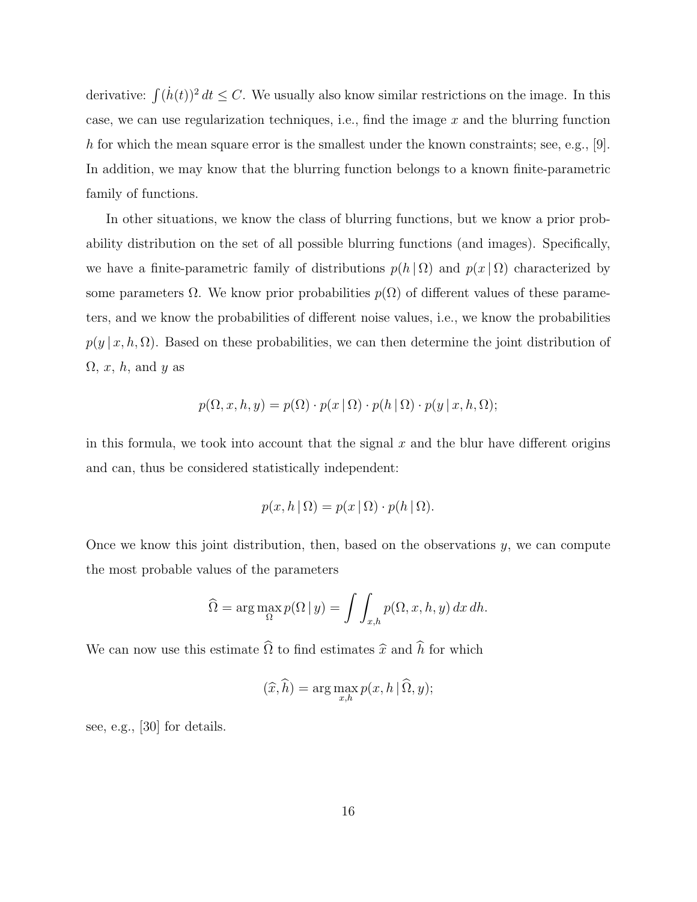derivative:  $\int (h(t))^2 dt \leq C$ . We usually also know similar restrictions on the image. In this case, we can use regularization techniques, i.e., find the image  $x$  and the blurring function h for which the mean square error is the smallest under the known constraints; see, e.g.,  $[9]$ . In addition, we may know that the blurring function belongs to a known finite-parametric family of functions.

In other situations, we know the class of blurring functions, but we know a prior probability distribution on the set of all possible blurring functions (and images). Specifically, we have a finite-parametric family of distributions  $p(h | \Omega)$  and  $p(x | \Omega)$  characterized by some parameters  $\Omega$ . We know prior probabilities  $p(\Omega)$  of different values of these parameters, and we know the probabilities of different noise values, i.e., we know the probabilities  $p(y | x, h, \Omega)$ . Based on these probabilities, we can then determine the joint distribution of  $\Omega, x, h$ , and y as

$$
p(\Omega, x, h, y) = p(\Omega) \cdot p(x \mid \Omega) \cdot p(h \mid \Omega) \cdot p(y \mid x, h, \Omega);
$$

in this formula, we took into account that the signal  $x$  and the blur have different origins and can, thus be considered statistically independent:

$$
p(x, h | \Omega) = p(x | \Omega) \cdot p(h | \Omega).
$$

Once we know this joint distribution, then, based on the observations  $y$ , we can compute the most probable values of the parameters

$$
\widehat{\Omega} = \arg \max_{\Omega} p(\Omega \mid y) = \int \int_{x,h} p(\Omega, x, h, y) \, dx \, dh.
$$

We can now use this estimate  $\widehat{\Omega}$  to find estimates  $\widehat{x}$  and  $\widehat{h}$  for which

$$
(\widehat{x}, \widehat{h}) = \arg \max_{x, h} p(x, h \mid \widehat{\Omega}, y);
$$

see, e.g., [30] for details.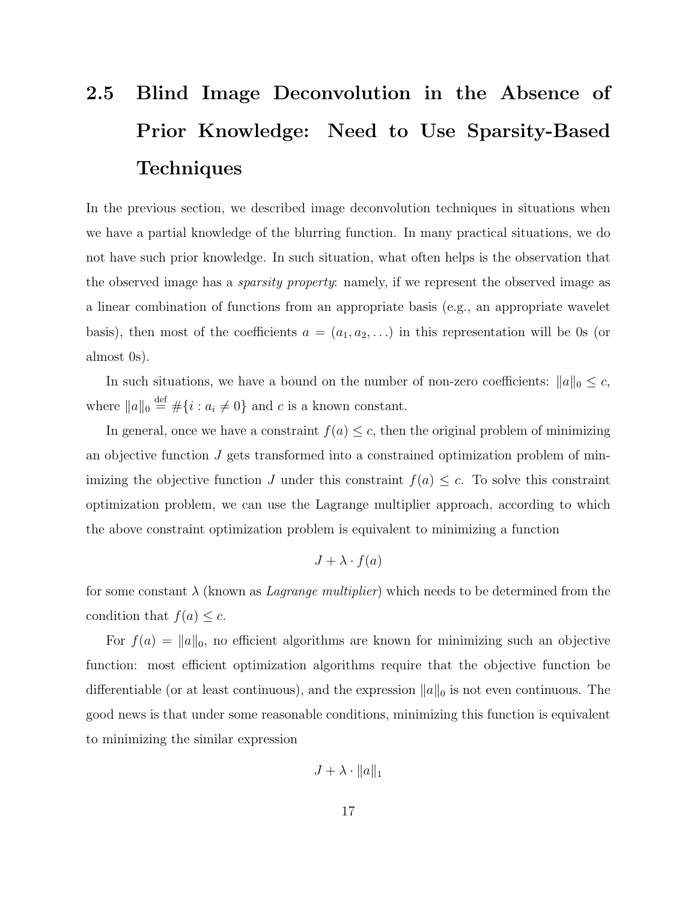# 2.5 Blind Image Deconvolution in the Absence of Prior Knowledge: Need to Use Sparsity-Based **Techniques**

In the previous section, we described image deconvolution techniques in situations when we have a partial knowledge of the blurring function. In many practical situations, we do not have such prior knowledge. In such situation, what often helps is the observation that the observed image has a sparsity property: namely, if we represent the observed image as a linear combination of functions from an appropriate basis (e.g., an appropriate wavelet basis), then most of the coefficients  $a = (a_1, a_2, \ldots)$  in this representation will be 0s (or almost 0s).

In such situations, we have a bound on the number of non-zero coefficients:  $||a||_0 \leq c$ , where  $||a||_0 \stackrel{\text{def}}{=} \#\{i : a_i \neq 0\}$  and c is a known constant.

In general, once we have a constraint  $f(a) \leq c$ , then the original problem of minimizing an objective function  $J$  gets transformed into a constrained optimization problem of minimizing the objective function J under this constraint  $f(a) \leq c$ . To solve this constraint optimization problem, we can use the Lagrange multiplier approach, according to which the above constraint optimization problem is equivalent to minimizing a function

$$
J + \lambda \cdot f(a)
$$

for some constant  $\lambda$  (known as *Lagrange multiplier*) which needs to be determined from the condition that  $f(a) \leq c$ .

For  $f(a) = ||a||_0$ , no efficient algorithms are known for minimizing such an objective function: most efficient optimization algorithms require that the objective function be differentiable (or at least continuous), and the expression  $||a||_0$  is not even continuous. The good news is that under some reasonable conditions, minimizing this function is equivalent to minimizing the similar expression

$$
J + \lambda \cdot ||a||_1
$$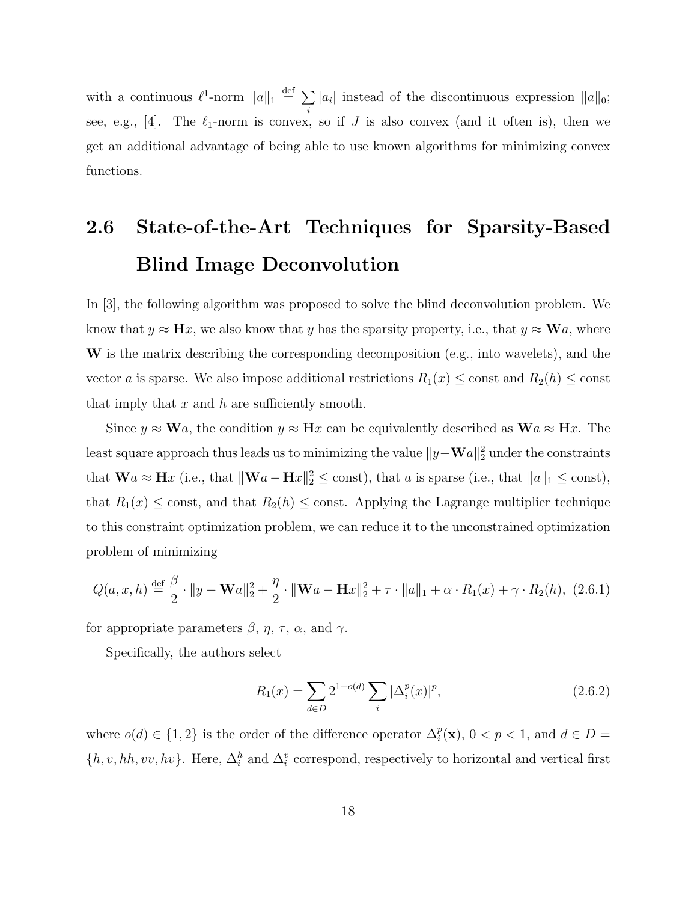with a continuous  $\ell^1$ -norm  $||a||_1 \stackrel{\text{def}}{=} \sum$ i  $|a_i|$  instead of the discontinuous expression  $||a||_0$ ; see, e.g., [4]. The  $\ell_1$ -norm is convex, so if J is also convex (and it often is), then we get an additional advantage of being able to use known algorithms for minimizing convex functions.

# 2.6 State-of-the-Art Techniques for Sparsity-Based Blind Image Deconvolution

In [3], the following algorithm was proposed to solve the blind deconvolution problem. We know that  $y \approx \mathbf{H}x$ , we also know that y has the sparsity property, i.e., that  $y \approx \mathbf{W}a$ , where W is the matrix describing the corresponding decomposition (e.g., into wavelets), and the vector a is sparse. We also impose additional restrictions  $R_1(x) \leq$  const and  $R_2(h) \leq$  const that imply that  $x$  and  $h$  are sufficiently smooth.

Since  $y \approx \mathbf{W}a$ , the condition  $y \approx \mathbf{H}x$  can be equivalently described as  $\mathbf{W}a \approx \mathbf{H}x$ . The least square approach thus leads us to minimizing the value  $\|y-\mathbf{W}a\|_2^2$  under the constraints that  $\mathbf{W}a \approx \mathbf{H}x$  (i.e., that  $\|\mathbf{W}a - \mathbf{H}x\|_2^2 \le \text{const}$ ), that a is sparse (i.e., that  $\|a\|_1 \le \text{const}$ ), that  $R_1(x) \leq$  const, and that  $R_2(h) \leq$  const. Applying the Lagrange multiplier technique to this constraint optimization problem, we can reduce it to the unconstrained optimization problem of minimizing

$$
Q(a, x, h) \stackrel{\text{def}}{=} \frac{\beta}{2} \cdot ||y - \mathbf{W}a||_2^2 + \frac{\eta}{2} \cdot ||\mathbf{W}a - \mathbf{H}x||_2^2 + \tau \cdot ||a||_1 + \alpha \cdot R_1(x) + \gamma \cdot R_2(h), \tag{2.6.1}
$$

for appropriate parameters  $\beta$ ,  $\eta$ ,  $\tau$ ,  $\alpha$ , and  $\gamma$ .

Specifically, the authors select

$$
R_1(x) = \sum_{d \in D} 2^{1 - o(d)} \sum_i |\Delta_i^p(x)|^p,
$$
\n(2.6.2)

where  $o(d) \in \{1,2\}$  is the order of the difference operator  $\Delta_i^p(\mathbf{x})$ ,  $0 < p < 1$ , and  $d \in D =$  $\{h, v, hh, vv, hv\}$ . Here,  $\Delta_i^h$  and  $\Delta_i^v$  correspond, respectively to horizontal and vertical first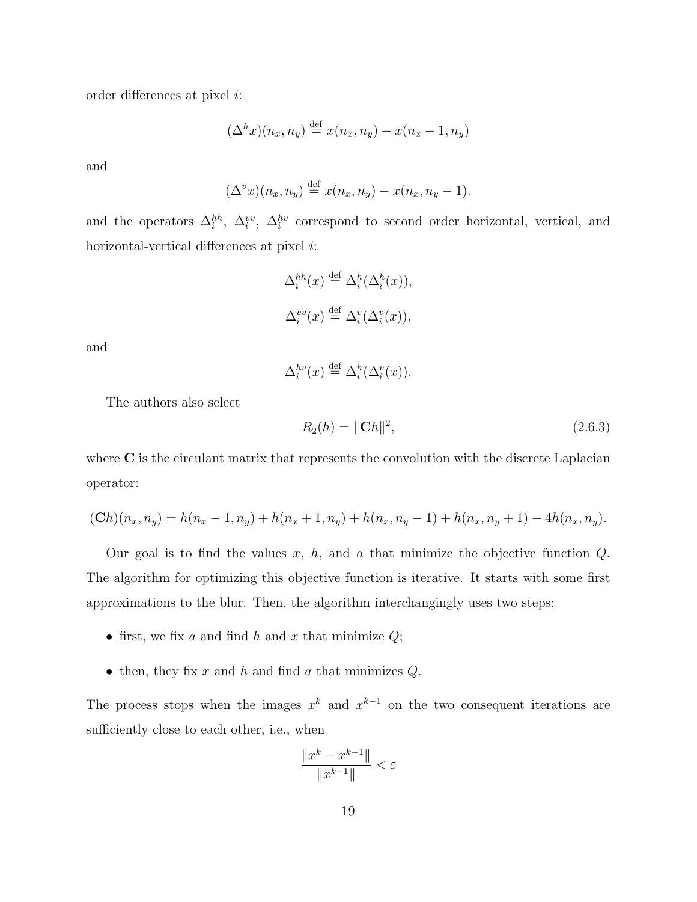order differences at pixel i:

$$
(\Delta^h x)(n_x, n_y) \stackrel{\text{def}}{=} x(n_x, n_y) - x(n_x - 1, n_y)
$$

and

$$
(\Delta^v x)(n_x, n_y) \stackrel{\text{def}}{=} x(n_x, n_y) - x(n_x, n_y - 1).
$$

and the operators  $\Delta_i^{hh}$ ,  $\Delta_i^{vv}$ ,  $\Delta_i^{hv}$  correspond to second order horizontal, vertical, and horizontal-vertical differences at pixel *i*:

$$
\Delta_i^{hh}(x) \stackrel{\text{def}}{=} \Delta_i^h(\Delta_i^h(x)),
$$
  

$$
\Delta_i^{vv}(x) \stackrel{\text{def}}{=} \Delta_i^v(\Delta_i^v(x)),
$$

and

$$
\Delta_i^{hv}(x) \stackrel{\text{def}}{=} \Delta_i^h(\Delta_i^v(x)).
$$

The authors also select

$$
R_2(h) = \|\mathbf{C}h\|^2,\tag{2.6.3}
$$

where C is the circulant matrix that represents the convolution with the discrete Laplacian operator:

$$
(Ch)(n_x, n_y) = h(n_x - 1, n_y) + h(n_x + 1, n_y) + h(n_x, n_y - 1) + h(n_x, n_y + 1) - 4h(n_x, n_y).
$$

Our goal is to find the values  $x, h$ , and  $a$  that minimize the objective function  $Q$ . The algorithm for optimizing this objective function is iterative. It starts with some first approximations to the blur. Then, the algorithm interchangingly uses two steps:

- first, we fix a and find h and x that minimize  $Q$ ;
- then, they fix  $x$  and  $h$  and find  $a$  that minimizes  $Q$ .

The process stops when the images  $x^k$  and  $x^{k-1}$  on the two consequent iterations are sufficiently close to each other, i.e., when

$$
\frac{\|x^k - x^{k-1}\|}{\|x^{k-1}\|} < \varepsilon
$$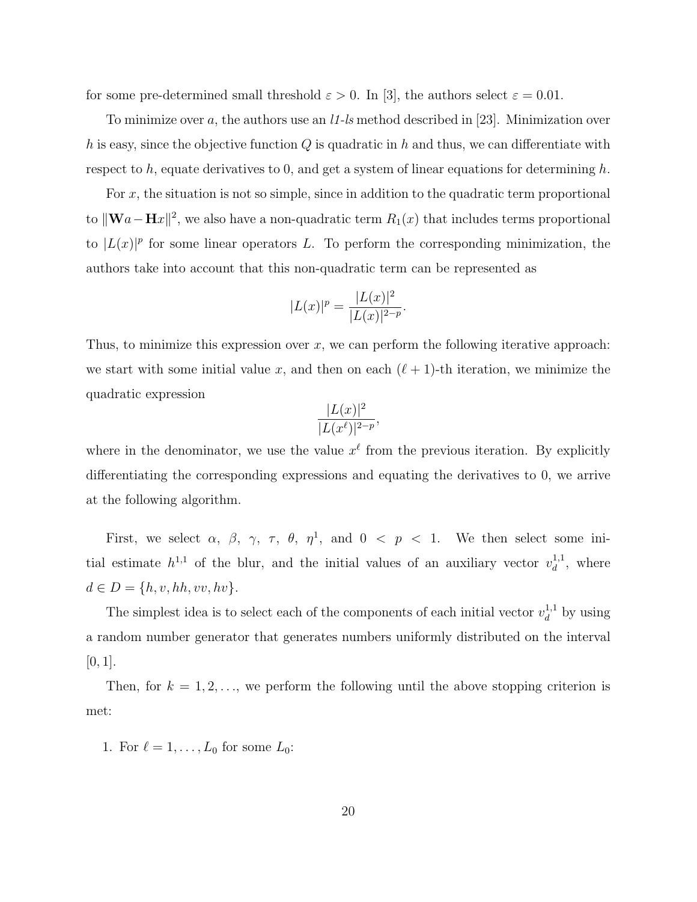for some pre-determined small threshold  $\varepsilon > 0$ . In [3], the authors select  $\varepsilon = 0.01$ .

To minimize over a, the authors use an  $11$ -ls method described in [23]. Minimization over h is easy, since the objective function  $Q$  is quadratic in h and thus, we can differentiate with respect to h, equate derivatives to 0, and get a system of linear equations for determining h.

For  $x$ , the situation is not so simple, since in addition to the quadratic term proportional to  $\|\mathbf{W}a-\mathbf{H}x\|^2$ , we also have a non-quadratic term  $R_1(x)$  that includes terms proportional to  $|L(x)|^p$  for some linear operators L. To perform the corresponding minimization, the authors take into account that this non-quadratic term can be represented as

$$
|L(x)|^p = \frac{|L(x)|^2}{|L(x)|^{2-p}}.
$$

Thus, to minimize this expression over x, we can perform the following iterative approach: we start with some initial value x, and then on each  $(\ell + 1)$ -th iteration, we minimize the quadratic expression

$$
\frac{|L(x)|^2}{|L(x^{\ell})|^{2-p}},
$$

where in the denominator, we use the value  $x^{\ell}$  from the previous iteration. By explicitly differentiating the corresponding expressions and equating the derivatives to 0, we arrive at the following algorithm.

First, we select  $\alpha$ ,  $\beta$ ,  $\gamma$ ,  $\tau$ ,  $\theta$ ,  $\eta$ <sup>1</sup>, and  $0 < p < 1$ . We then select some initial estimate  $h^{1,1}$  of the blur, and the initial values of an auxiliary vector  $v_d^{1,1}$  $\frac{1}{d}$ , where  $d \in D = \{h, v, hh, vv, hv\}.$ 

The simplest idea is to select each of the components of each initial vector  $v_d^{1,1}$  $\frac{1}{d}$ , by using a random number generator that generates numbers uniformly distributed on the interval  $[0, 1].$ 

Then, for  $k = 1, 2, \ldots$ , we perform the following until the above stopping criterion is met:

1. For  $\ell = 1, \ldots, L_0$  for some  $L_0$ :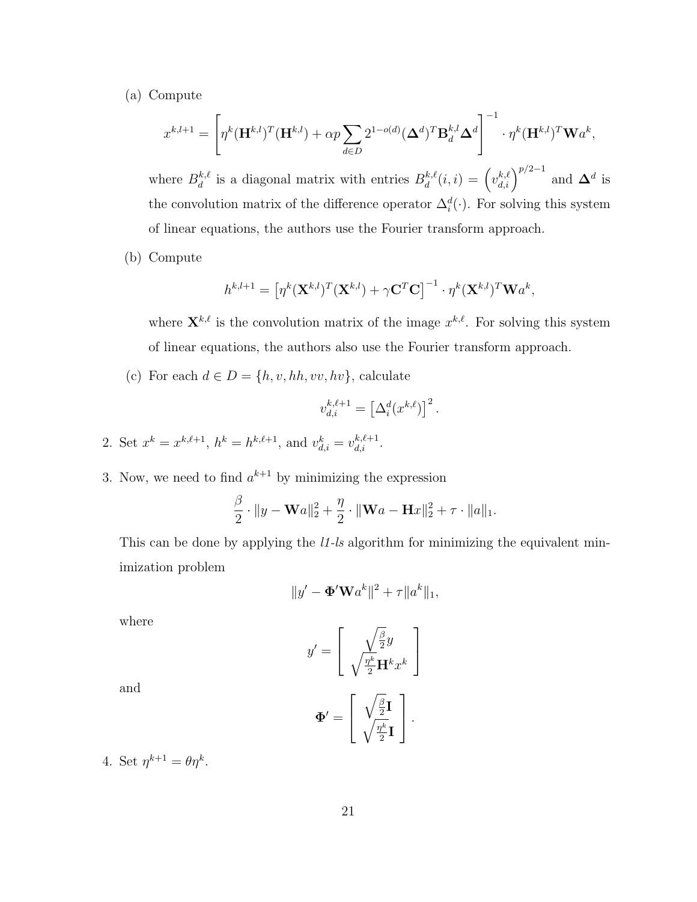(a) Compute

$$
x^{k,l+1} = \left[ \eta^k (\mathbf{H}^{k,l})^T (\mathbf{H}^{k,l}) + \alpha p \sum_{d \in D} 2^{1-o(d)} (\boldsymbol{\Delta}^d)^T \mathbf{B}_d^{k,l} \boldsymbol{\Delta}^d \right]^{-1} \cdot \eta^k (\mathbf{H}^{k,l})^T \mathbf{W} a^k,
$$

where  $B_d^{k,\ell}$  $d_d^{k,\ell}$  is a diagonal matrix with entries  $B_d^{k,\ell}$  $\mathbf{d}^{k,\ell}(i,i) = \left(v_{d,i}^{k,\ell}\right)^{p/2-1}$  and  $\mathbf{\Delta}^d$  is the convolution matrix of the difference operator  $\Delta_i^d(\cdot)$ . For solving this system of linear equations, the authors use the Fourier transform approach.

(b) Compute

$$
h^{k,l+1} = \left[\eta^k(\mathbf{X}^{k,l})^T(\mathbf{X}^{k,l}) + \gamma \mathbf{C}^T \mathbf{C}\right]^{-1} \cdot \eta^k(\mathbf{X}^{k,l})^T \mathbf{W} a^k,
$$

where  $\mathbf{X}^{k,\ell}$  is the convolution matrix of the image  $x^{k,\ell}$ . For solving this system of linear equations, the authors also use the Fourier transform approach.

(c) For each  $d \in D = \{h, v, hh, vv, hv\}$ , calculate

$$
v_{d,i}^{k,\ell+1} = \left[\Delta_i^d(x^{k,\ell})\right]^2.
$$

- 2. Set  $x^k = x^{k,\ell+1}$ ,  $h^k = h^{k,\ell+1}$ , and  $v_{d,i}^k = v_{d,i}^{k,\ell+1}$ .
- 3. Now, we need to find  $a^{k+1}$  by minimizing the expression

$$
\frac{\beta}{2} \cdot \|y - \mathbf{W}a\|_2^2 + \frac{\eta}{2} \cdot \|\mathbf{W}a - \mathbf{H}x\|_2^2 + \tau \cdot \|a\|_1.
$$

This can be done by applying the *l1-ls* algorithm for minimizing the equivalent minimization problem

$$
||y' - \mathbf{\Phi}' \mathbf{W} a^k||^2 + \tau ||a^k||_1,
$$

where

$$
y' = \begin{bmatrix} \sqrt{\frac{\beta}{2}}y \\ \sqrt{\frac{\eta^k}{2}} \mathbf{H}^k x^k \end{bmatrix}
$$

$$
\Phi' = \begin{bmatrix} \sqrt{\frac{\beta}{2}} \mathbf{I} \\ \sqrt{\frac{\eta^k}{2}} \mathbf{I} \end{bmatrix}.
$$

and

4. Set 
$$
\eta^{k+1} = \theta \eta^k
$$
.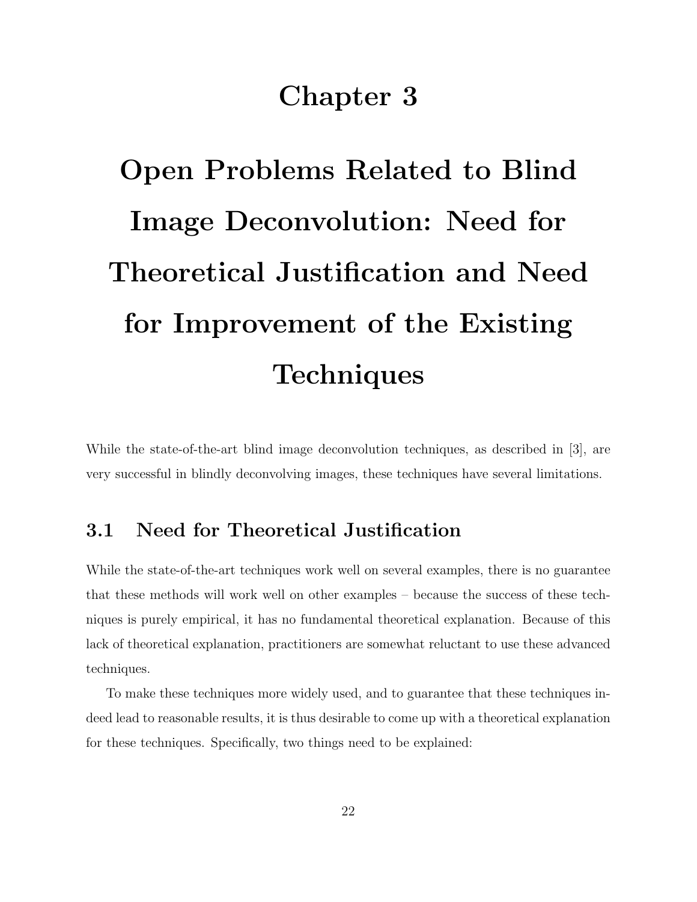## Chapter 3

# Open Problems Related to Blind Image Deconvolution: Need for Theoretical Justification and Need for Improvement of the Existing **Techniques**

While the state-of-the-art blind image deconvolution techniques, as described in [3], are very successful in blindly deconvolving images, these techniques have several limitations.

#### 3.1 Need for Theoretical Justification

While the state-of-the-art techniques work well on several examples, there is no guarantee that these methods will work well on other examples – because the success of these techniques is purely empirical, it has no fundamental theoretical explanation. Because of this lack of theoretical explanation, practitioners are somewhat reluctant to use these advanced techniques.

To make these techniques more widely used, and to guarantee that these techniques indeed lead to reasonable results, it is thus desirable to come up with a theoretical explanation for these techniques. Specifically, two things need to be explained: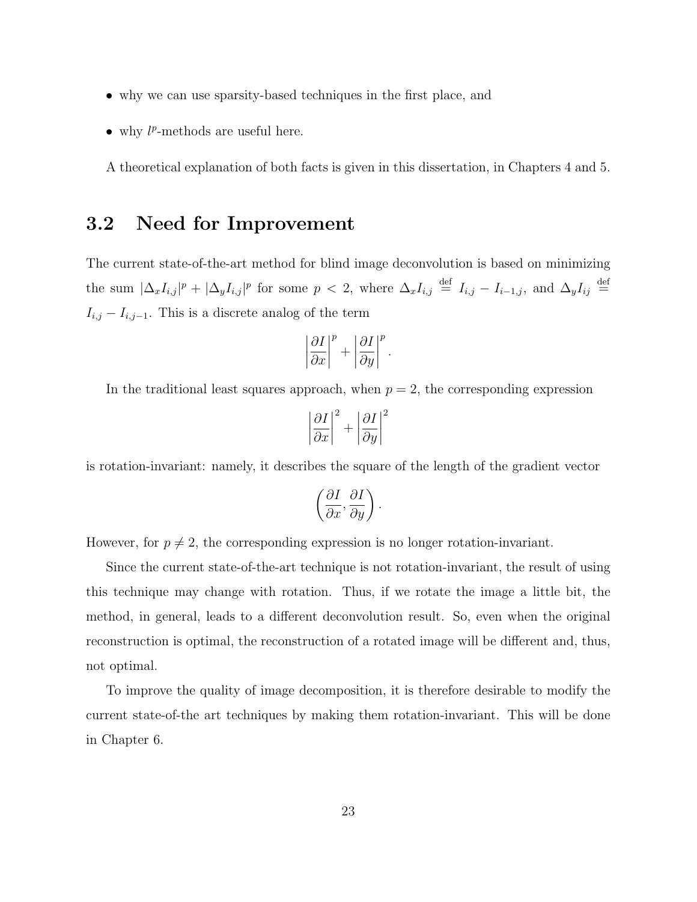- why we can use sparsity-based techniques in the first place, and
- $\bullet$  why  $l^p$ -methods are useful here.

A theoretical explanation of both facts is given in this dissertation, in Chapters 4 and 5.

#### 3.2 Need for Improvement

The current state-of-the-art method for blind image deconvolution is based on minimizing the sum  $|\Delta_x I_{i,j}|^p + |\Delta_y I_{i,j}|^p$  for some  $p < 2$ , where  $\Delta_x I_{i,j} \stackrel{\text{def}}{=} I_{i,j} - I_{i-1,j}$ , and  $\Delta_y I_{ij} \stackrel{\text{def}}{=}$  $I_{i,j} - I_{i,j-1}$ . This is a discrete analog of the term

$$
\left|\frac{\partial I}{\partial x}\right|^p + \left|\frac{\partial I}{\partial y}\right|^p.
$$

In the traditional least squares approach, when  $p = 2$ , the corresponding expression

$$
\left|\frac{\partial I}{\partial x}\right|^2 + \left|\frac{\partial I}{\partial y}\right|^2
$$

is rotation-invariant: namely, it describes the square of the length of the gradient vector

$$
\left(\frac{\partial I}{\partial x}, \frac{\partial I}{\partial y}\right).
$$

However, for  $p \neq 2$ , the corresponding expression is no longer rotation-invariant.

Since the current state-of-the-art technique is not rotation-invariant, the result of using this technique may change with rotation. Thus, if we rotate the image a little bit, the method, in general, leads to a different deconvolution result. So, even when the original reconstruction is optimal, the reconstruction of a rotated image will be different and, thus, not optimal.

To improve the quality of image decomposition, it is therefore desirable to modify the current state-of-the art techniques by making them rotation-invariant. This will be done in Chapter 6.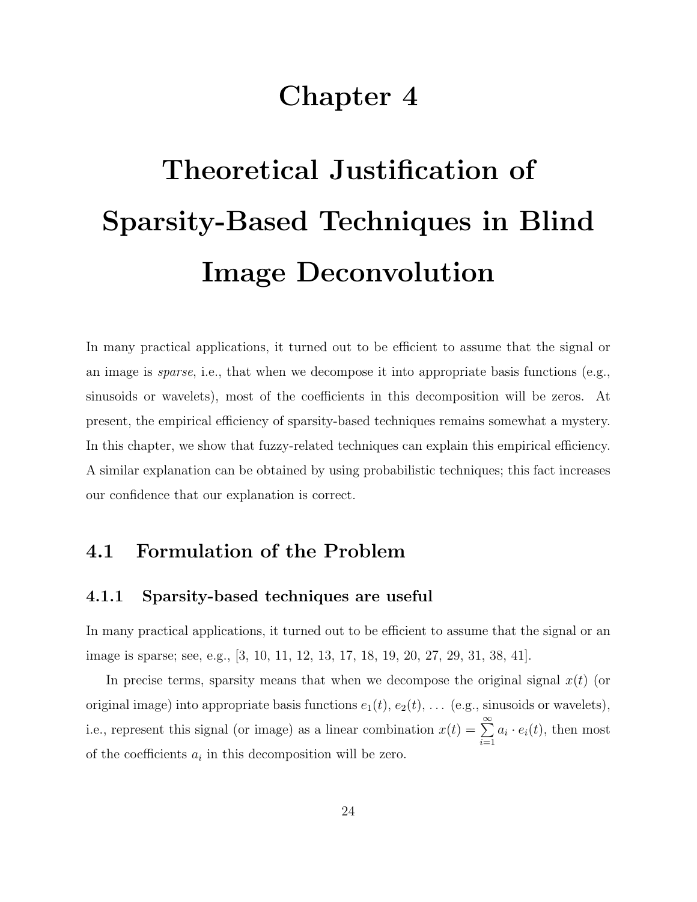# Chapter 4

# Theoretical Justification of Sparsity-Based Techniques in Blind Image Deconvolution

In many practical applications, it turned out to be efficient to assume that the signal or an image is *sparse*, i.e., that when we decompose it into appropriate basis functions (e.g., sinusoids or wavelets), most of the coefficients in this decomposition will be zeros. At present, the empirical efficiency of sparsity-based techniques remains somewhat a mystery. In this chapter, we show that fuzzy-related techniques can explain this empirical efficiency. A similar explanation can be obtained by using probabilistic techniques; this fact increases our confidence that our explanation is correct.

#### 4.1 Formulation of the Problem

#### 4.1.1 Sparsity-based techniques are useful

In many practical applications, it turned out to be efficient to assume that the signal or an image is sparse; see, e.g., [3, 10, 11, 12, 13, 17, 18, 19, 20, 27, 29, 31, 38, 41].

In precise terms, sparsity means that when we decompose the original signal  $x(t)$  (or original image) into appropriate basis functions  $e_1(t)$ ,  $e_2(t)$ , ... (e.g., sinusoids or wavelets), i.e., represent this signal (or image) as a linear combination  $x(t) = \sum_{n=0}^{\infty}$  $i=1$  $a_i \cdot e_i(t)$ , then most of the coefficients  $a_i$  in this decomposition will be zero.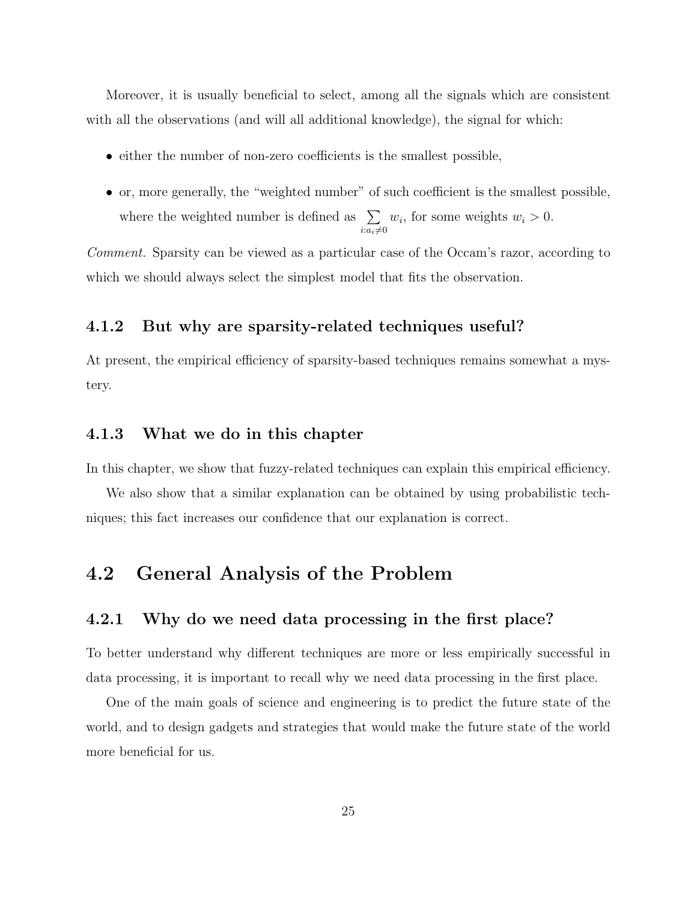Moreover, it is usually beneficial to select, among all the signals which are consistent with all the observations (and will all additional knowledge), the signal for which:

- either the number of non-zero coefficients is the smallest possible,
- or, more generally, the "weighted number" of such coefficient is the smallest possible, where the weighted number is defined as  $\Sigma$  $i:a_i\neq0$  $w_i$ , for some weights  $w_i > 0$ .

Comment. Sparsity can be viewed as a particular case of the Occam's razor, according to which we should always select the simplest model that fits the observation.

#### 4.1.2 But why are sparsity-related techniques useful?

At present, the empirical efficiency of sparsity-based techniques remains somewhat a mystery.

#### 4.1.3 What we do in this chapter

In this chapter, we show that fuzzy-related techniques can explain this empirical efficiency.

We also show that a similar explanation can be obtained by using probabilistic techniques; this fact increases our confidence that our explanation is correct.

#### 4.2 General Analysis of the Problem

#### 4.2.1 Why do we need data processing in the first place?

To better understand why different techniques are more or less empirically successful in data processing, it is important to recall why we need data processing in the first place.

One of the main goals of science and engineering is to predict the future state of the world, and to design gadgets and strategies that would make the future state of the world more beneficial for us.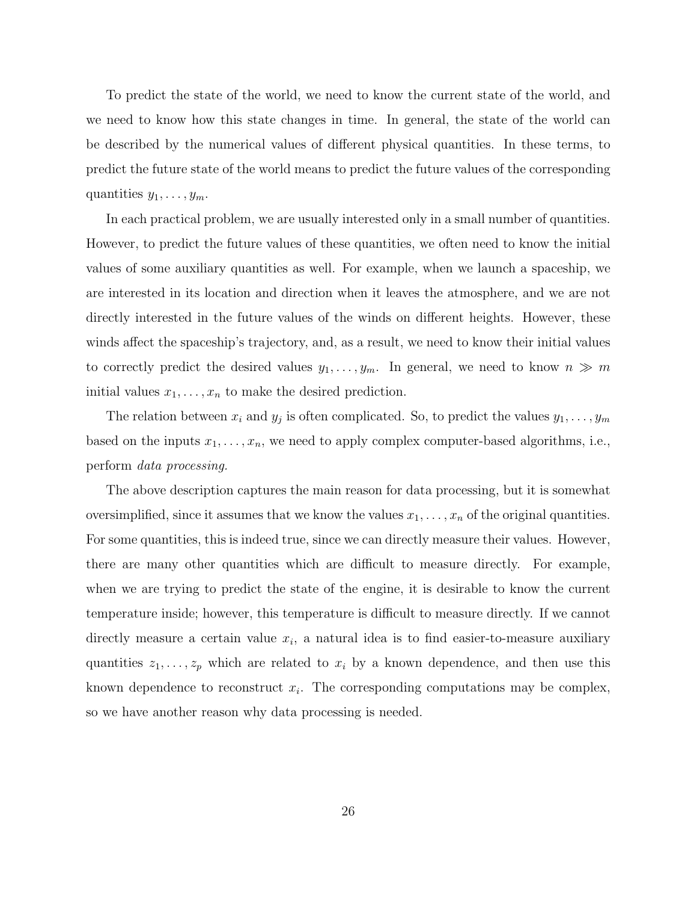To predict the state of the world, we need to know the current state of the world, and we need to know how this state changes in time. In general, the state of the world can be described by the numerical values of different physical quantities. In these terms, to predict the future state of the world means to predict the future values of the corresponding quantities  $y_1, \ldots, y_m$ .

In each practical problem, we are usually interested only in a small number of quantities. However, to predict the future values of these quantities, we often need to know the initial values of some auxiliary quantities as well. For example, when we launch a spaceship, we are interested in its location and direction when it leaves the atmosphere, and we are not directly interested in the future values of the winds on different heights. However, these winds affect the spaceship's trajectory, and, as a result, we need to know their initial values to correctly predict the desired values  $y_1, \ldots, y_m$ . In general, we need to know  $n \gg m$ initial values  $x_1, \ldots, x_n$  to make the desired prediction.

The relation between  $x_i$  and  $y_j$  is often complicated. So, to predict the values  $y_1, \ldots, y_m$ based on the inputs  $x_1, \ldots, x_n$ , we need to apply complex computer-based algorithms, i.e., perform data processing.

The above description captures the main reason for data processing, but it is somewhat oversimplified, since it assumes that we know the values  $x_1, \ldots, x_n$  of the original quantities. For some quantities, this is indeed true, since we can directly measure their values. However, there are many other quantities which are difficult to measure directly. For example, when we are trying to predict the state of the engine, it is desirable to know the current temperature inside; however, this temperature is difficult to measure directly. If we cannot directly measure a certain value  $x_i$ , a natural idea is to find easier-to-measure auxiliary quantities  $z_1, \ldots, z_p$  which are related to  $x_i$  by a known dependence, and then use this known dependence to reconstruct  $x_i$ . The corresponding computations may be complex, so we have another reason why data processing is needed.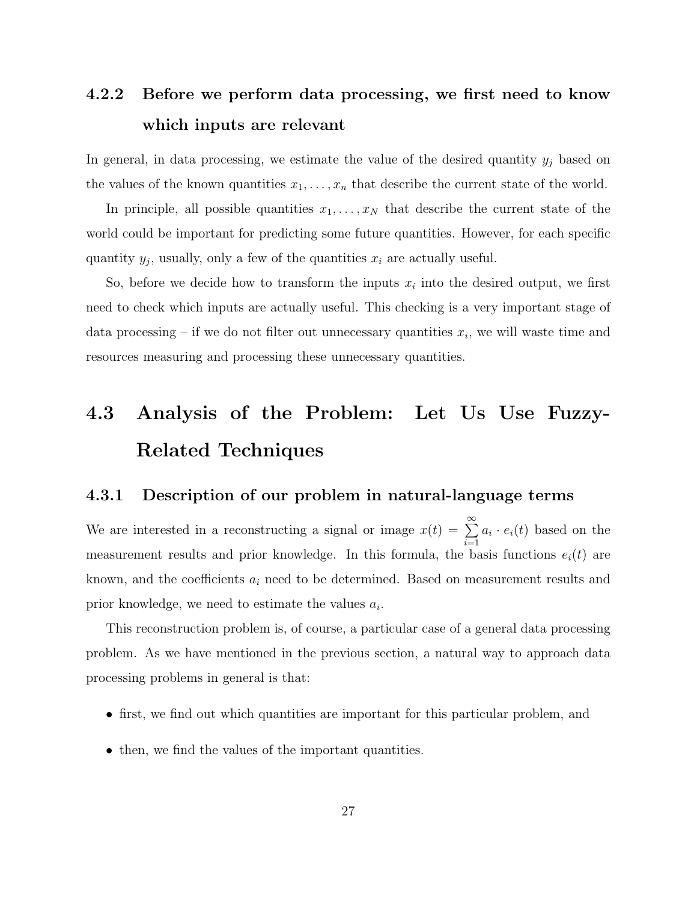### 4.2.2 Before we perform data processing, we first need to know which inputs are relevant

In general, in data processing, we estimate the value of the desired quantity  $y_j$  based on the values of the known quantities  $x_1, \ldots, x_n$  that describe the current state of the world.

In principle, all possible quantities  $x_1, \ldots, x_N$  that describe the current state of the world could be important for predicting some future quantities. However, for each specific quantity  $y_j$ , usually, only a few of the quantities  $x_i$  are actually useful.

So, before we decide how to transform the inputs  $x_i$  into the desired output, we first need to check which inputs are actually useful. This checking is a very important stage of data processing – if we do not filter out unnecessary quantities  $x_i$ , we will waste time and resources measuring and processing these unnecessary quantities.

## 4.3 Analysis of the Problem: Let Us Use Fuzzy-Related Techniques

#### 4.3.1 Description of our problem in natural-language terms

We are interested in a reconstructing a signal or image  $x(t) = \sum_{n=0}^{\infty}$  $i=1$  $a_i \cdot e_i(t)$  based on the measurement results and prior knowledge. In this formula, the basis functions  $e_i(t)$  are known, and the coefficients  $a_i$  need to be determined. Based on measurement results and prior knowledge, we need to estimate the values  $a_i$ .

This reconstruction problem is, of course, a particular case of a general data processing problem. As we have mentioned in the previous section, a natural way to approach data processing problems in general is that:

- first, we find out which quantities are important for this particular problem, and
- then, we find the values of the important quantities.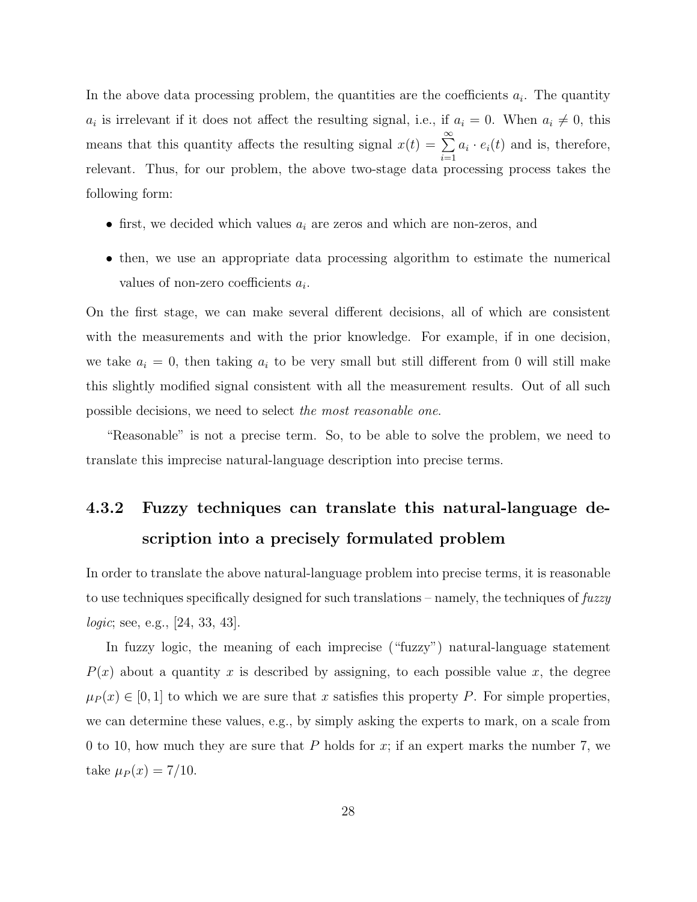In the above data processing problem, the quantities are the coefficients  $a_i$ . The quantity  $a_i$  is irrelevant if it does not affect the resulting signal, i.e., if  $a_i = 0$ . When  $a_i \neq 0$ , this means that this quantity affects the resulting signal  $x(t) = \sum_{n=0}^{\infty}$  $i=1$  $a_i \cdot e_i(t)$  and is, therefore, relevant. Thus, for our problem, the above two-stage data processing process takes the following form:

- first, we decided which values  $a_i$  are zeros and which are non-zeros, and
- then, we use an appropriate data processing algorithm to estimate the numerical values of non-zero coefficients  $a_i$ .

On the first stage, we can make several different decisions, all of which are consistent with the measurements and with the prior knowledge. For example, if in one decision, we take  $a_i = 0$ , then taking  $a_i$  to be very small but still different from 0 will still make this slightly modified signal consistent with all the measurement results. Out of all such possible decisions, we need to select the most reasonable one.

"Reasonable" is not a precise term. So, to be able to solve the problem, we need to translate this imprecise natural-language description into precise terms.

## 4.3.2 Fuzzy techniques can translate this natural-language description into a precisely formulated problem

In order to translate the above natural-language problem into precise terms, it is reasonable to use techniques specifically designed for such translations – namely, the techniques of  $fuzzy$ logic; see, e.g., [24, 33, 43].

In fuzzy logic, the meaning of each imprecise ("fuzzy") natural-language statement  $P(x)$  about a quantity x is described by assigning, to each possible value x, the degree  $\mu_P(x) \in [0,1]$  to which we are sure that x satisfies this property P. For simple properties, we can determine these values, e.g., by simply asking the experts to mark, on a scale from 0 to 10, how much they are sure that P holds for x; if an expert marks the number 7, we take  $\mu_P(x) = 7/10$ .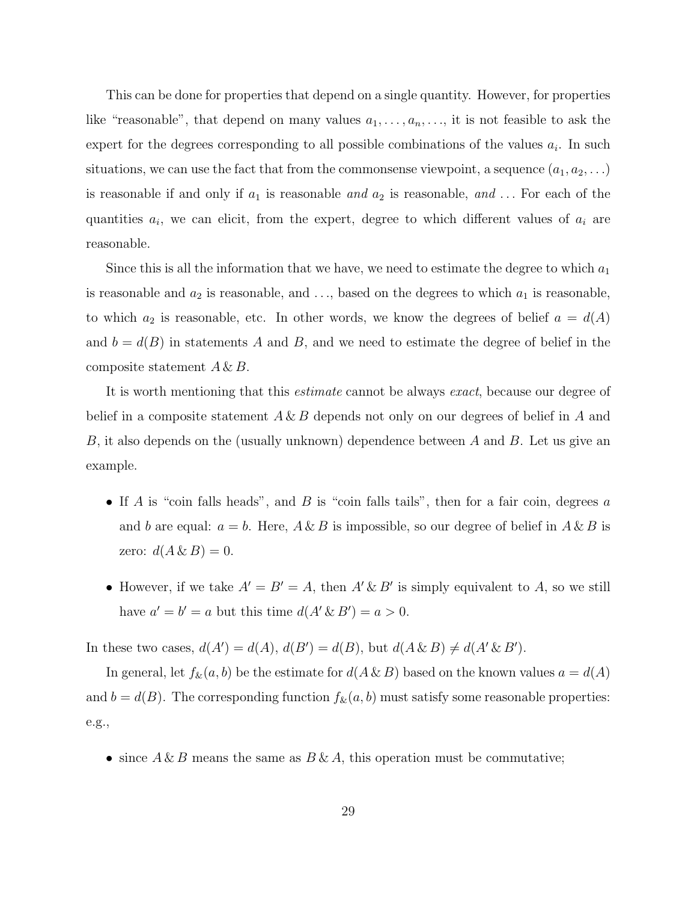This can be done for properties that depend on a single quantity. However, for properties like "reasonable", that depend on many values  $a_1, \ldots, a_n, \ldots$ , it is not feasible to ask the expert for the degrees corresponding to all possible combinations of the values  $a_i$ . In such situations, we can use the fact that from the commonsense viewpoint, a sequence  $(a_1, a_2, \ldots)$ is reasonable if and only if  $a_1$  is reasonable and  $a_2$  is reasonable, and ... For each of the quantities  $a_i$ , we can elicit, from the expert, degree to which different values of  $a_i$  are reasonable.

Since this is all the information that we have, we need to estimate the degree to which  $a_1$ is reasonable and  $a_2$  is reasonable, and ..., based on the degrees to which  $a_1$  is reasonable, to which  $a_2$  is reasonable, etc. In other words, we know the degrees of belief  $a = d(A)$ and  $b = d(B)$  in statements A and B, and we need to estimate the degree of belief in the composite statement  $A \& B$ .

It is worth mentioning that this estimate cannot be always exact, because our degree of belief in a composite statement  $A \& B$  depends not only on our degrees of belief in A and B, it also depends on the (usually unknown) dependence between A and B. Let us give an example.

- If A is "coin falls heads", and B is "coin falls tails", then for a fair coin, degrees  $a$ and b are equal:  $a = b$ . Here,  $A \& B$  is impossible, so our degree of belief in  $A \& B$  is zero:  $d(A \& B) = 0$ .
- However, if we take  $A' = B' = A$ , then  $A' \& B'$  is simply equivalent to A, so we still have  $a' = b' = a$  but this time  $d(A' \& B') = a > 0$ .

In these two cases,  $d(A') = d(A)$ ,  $d(B') = d(B)$ , but  $d(A \& B) \neq d(A' \& B')$ .

In general, let  $f_{\&}(a, b)$  be the estimate for  $d(A \& B)$  based on the known values  $a = d(A)$ and  $b = d(B)$ . The corresponding function  $f_{\&}(a, b)$  must satisfy some reasonable properties: e.g.,

• since  $A \& B$  means the same as  $B \& A$ , this operation must be commutative;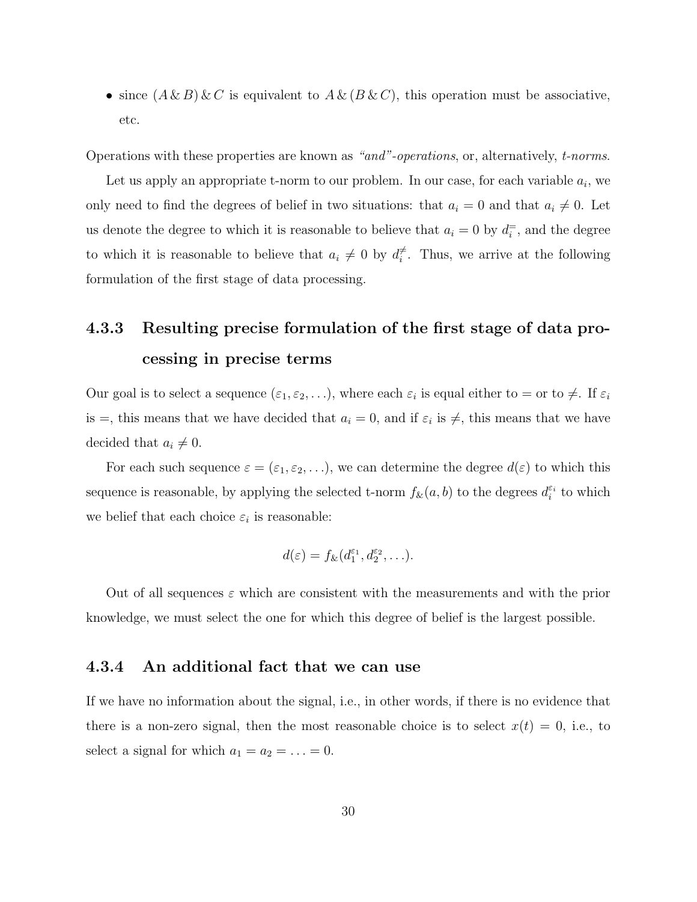• since  $(A \& B) \& C$  is equivalent to  $A \& (B \& C)$ , this operation must be associative, etc.

Operations with these properties are known as "and"-operations, or, alternatively, t-norms.

Let us apply an appropriate t-norm to our problem. In our case, for each variable  $a_i$ , we only need to find the degrees of belief in two situations: that  $a_i = 0$  and that  $a_i \neq 0$ . Let us denote the degree to which it is reasonable to believe that  $a_i = 0$  by  $d_i^{\pm}$ , and the degree to which it is reasonable to believe that  $a_i \neq 0$  by  $d_i^{\neq}$  $\vec{t}$ . Thus, we arrive at the following formulation of the first stage of data processing.

## 4.3.3 Resulting precise formulation of the first stage of data processing in precise terms

Our goal is to select a sequence  $(\varepsilon_1, \varepsilon_2, \ldots)$ , where each  $\varepsilon_i$  is equal either to  $=$  or to  $\neq$ . If  $\varepsilon_i$ is =, this means that we have decided that  $a_i = 0$ , and if  $\varepsilon_i$  is  $\neq$ , this means that we have decided that  $a_i \neq 0$ .

For each such sequence  $\varepsilon = (\varepsilon_1, \varepsilon_2, \ldots)$ , we can determine the degree  $d(\varepsilon)$  to which this sequence is reasonable, by applying the selected t-norm  $f_{\&}(a, b)$  to the degrees  $d_i^{\varepsilon_i}$  to which we belief that each choice  $\varepsilon_i$  is reasonable:

$$
d(\varepsilon) = f_{\&}(d_1^{\varepsilon_1}, d_2^{\varepsilon_2}, \ldots).
$$

Out of all sequences  $\varepsilon$  which are consistent with the measurements and with the prior knowledge, we must select the one for which this degree of belief is the largest possible.

#### 4.3.4 An additional fact that we can use

If we have no information about the signal, i.e., in other words, if there is no evidence that there is a non-zero signal, then the most reasonable choice is to select  $x(t) = 0$ , i.e., to select a signal for which  $a_1 = a_2 = \ldots = 0$ .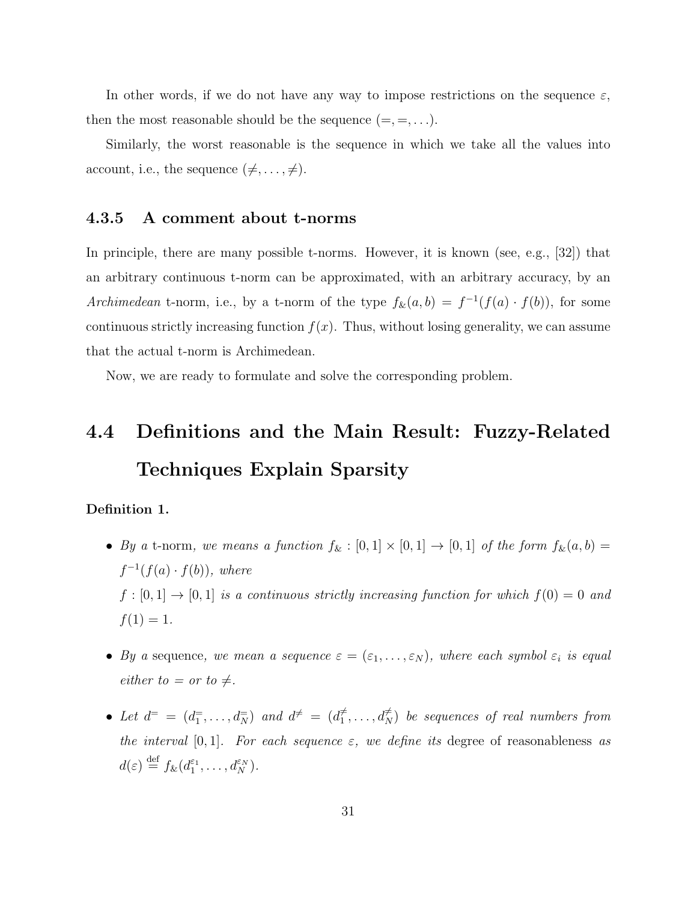In other words, if we do not have any way to impose restrictions on the sequence  $\varepsilon$ , then the most reasonable should be the sequence  $(=, =, \ldots).$ 

Similarly, the worst reasonable is the sequence in which we take all the values into account, i.e., the sequence  $(\neq, \ldots, \neq)$ .

#### 4.3.5 A comment about t-norms

In principle, there are many possible t-norms. However, it is known (see, e.g., [32]) that an arbitrary continuous t-norm can be approximated, with an arbitrary accuracy, by an Archimedean t-norm, i.e., by a t-norm of the type  $f_{\&}(a, b) = f^{-1}(f(a) \cdot f(b))$ , for some continuous strictly increasing function  $f(x)$ . Thus, without losing generality, we can assume that the actual t-norm is Archimedean.

Now, we are ready to formulate and solve the corresponding problem.

## 4.4 Definitions and the Main Result: Fuzzy-Related Techniques Explain Sparsity

#### Definition 1.

- By a t-norm, we means a function  $f_{\&} : [0,1] \times [0,1] \rightarrow [0,1]$  of the form  $f_{\&}(a, b) =$  $f^{-1}(f(a) \cdot f(b))$ , where  $f : [0,1] \to [0,1]$  is a continuous strictly increasing function for which  $f(0) = 0$  and  $f(1) = 1.$
- By a sequence, we mean a sequence  $\varepsilon = (\varepsilon_1, \ldots, \varepsilon_N)$ , where each symbol  $\varepsilon_i$  is equal either to  $=$  or to  $\neq$ .
- Let  $d^=$  =  $(d_1^=,\ldots,d_N^=)$  and  $d^{\neq}$  =  $(d_1^{\neq})$  $\vec{a}_1^{\neq},\ldots,\vec{a}_N^{\neq}$ ) be sequences of real numbers from the interval  $[0, 1]$ . For each sequence  $\varepsilon$ , we define its degree of reasonableness as  $d(\varepsilon) \stackrel{\text{def}}{=} f_{\&}(d_1^{\varepsilon_1}, \ldots, d_N^{\varepsilon_N}).$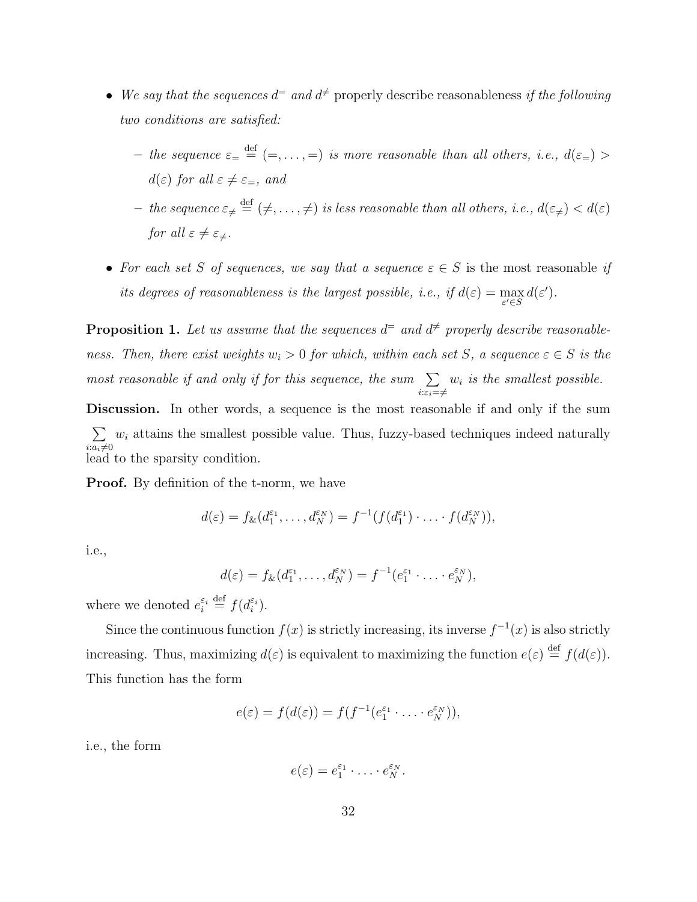- We say that the sequences  $d^=$  and  $d^{\neq}$  properly describe reasonableness if the following two conditions are satisfied:
	- the sequence  $\varepsilon = \frac{def}{} = (-, \ldots, =)$  is more reasonable than all others, i.e.,  $d(\varepsilon =) >$  $d(\varepsilon)$  for all  $\varepsilon \neq \varepsilon_{=}$ , and
	- $-$  the sequence  $\varepsilon_{\neq} \stackrel{\text{def}}{=} (\neq, \ldots, \neq)$  is less reasonable than all others, i.e.,  $d(\varepsilon_{\neq}) < d(\varepsilon)$ for all  $\varepsilon \neq \varepsilon_{\neq}$ .
- For each set S of sequences, we say that a sequence  $\varepsilon \in S$  is the most reasonable if its degrees of reasonableness is the largest possible, i.e., if  $d(\varepsilon) = \max_{\varepsilon' \in S} d(\varepsilon')$ .

**Proposition 1.** Let us assume that the sequences  $d^=$  and  $d^{\neq}$  properly describe reasonableness. Then, there exist weights  $w_i > 0$  for which, within each set S, a sequence  $\varepsilon \in S$  is the most reasonable if and only if for this sequence, the sum  $\sum$  $i:\varepsilon_i=\neq$  $w_i$  is the smallest possible.

Discussion. In other words, a sequence is the most reasonable if and only if the sum  $\sum$  $i:a_i\neq0$  $w_i$  attains the smallest possible value. Thus, fuzzy-based techniques indeed naturally lead to the sparsity condition.

**Proof.** By definition of the t-norm, we have

$$
d(\varepsilon) = f_{\&}(d_1^{\varepsilon_1}, \dots, d_N^{\varepsilon_N}) = f^{-1}(f(d_1^{\varepsilon_1}) \cdot \dots \cdot f(d_N^{\varepsilon_N})),
$$

i.e.,

$$
d(\varepsilon) = f_{\&}(d_1^{\varepsilon_1}, \dots, d_N^{\varepsilon_N}) = f^{-1}(e_1^{\varepsilon_1} \cdot \dots \cdot e_N^{\varepsilon_N}),
$$

where we denoted  $e_i^{\varepsilon_i} \stackrel{\text{def}}{=} f(e_i^{\varepsilon_i})$ .

Since the continuous function  $f(x)$  is strictly increasing, its inverse  $f^{-1}(x)$  is also strictly increasing. Thus, maximizing  $d(\varepsilon)$  is equivalent to maximizing the function  $e(\varepsilon) \stackrel{\text{def}}{=} f(d(\varepsilon))$ . This function has the form

$$
e(\varepsilon) = f(d(\varepsilon)) = f(f^{-1}(e_1^{\varepsilon_1} \cdot \ldots \cdot e_N^{\varepsilon_N})),
$$

i.e., the form

$$
e(\varepsilon)=e_1^{\varepsilon_1}\cdot\ldots\cdot e_N^{\varepsilon_N}.
$$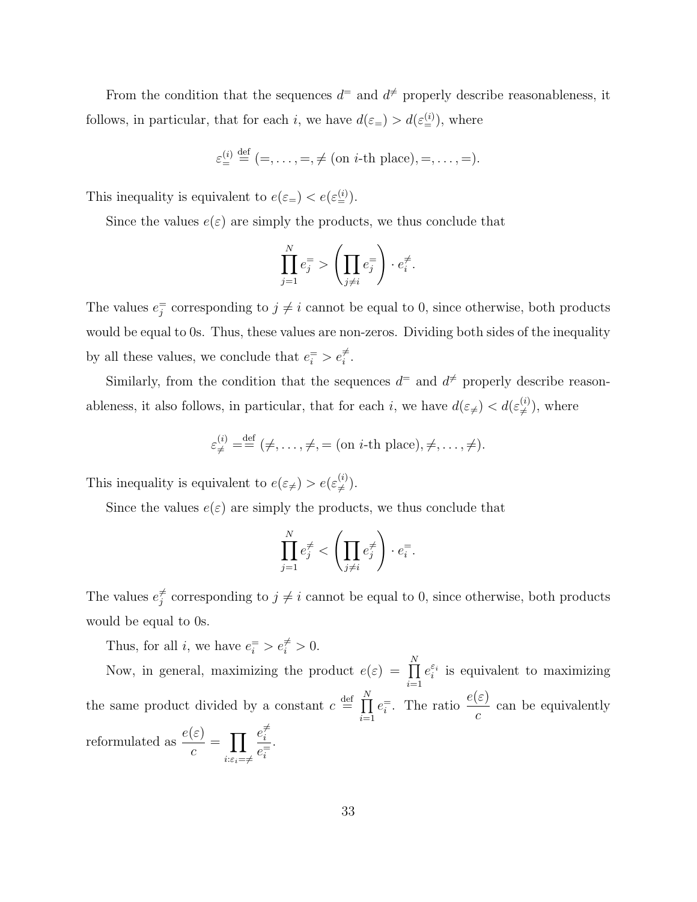From the condition that the sequences  $d^=$  and  $d^{\neq}$  properly describe reasonableness, it follows, in particular, that for each *i*, we have  $d(\varepsilon_{=}^{\leq}) > d(\varepsilon_{=}^{(i)})$ , where

$$
\varepsilon_{\equiv}^{(i)} \stackrel{\text{def}}{=} (-, \ldots, =, \neq \text{(on } i\text{-th place)}, =, \ldots, =).
$$

This inequality is equivalent to  $e(\varepsilon_{=}^{\le}) < e(\varepsilon_{=}^{(i)})$ .

Since the values  $e(\varepsilon)$  are simply the products, we thus conclude that

$$
\prod_{j=1}^{N} e_j^= \sum \left( \prod_{j \neq i} e_j^= \right) \cdot e_i^{\neq}.
$$

The values  $e_j^{\pm}$  corresponding to  $j \neq i$  cannot be equal to 0, since otherwise, both products would be equal to 0s. Thus, these values are non-zeros. Dividing both sides of the inequality by all these values, we conclude that  $e_i^= > e_i^{\neq}$ .

Similarly, from the condition that the sequences  $d^=$  and  $d^{\neq}$  properly describe reasonableness, it also follows, in particular, that for each i, we have  $d(\varepsilon_{\neq}) < d(\varepsilon_{\neq}^{(i)})$  $(\binom{i}{\neq})$ , where

$$
\varepsilon_{\neq}^{(i)} = \stackrel{\text{def}}{=} (\neq, \ldots, \neq, = \text{(on } i\text{-th place)}, \neq, \ldots, \neq).
$$

This inequality is equivalent to  $e(\varepsilon_{\neq}) > e(\varepsilon_{\neq}^{(i)})$  $\stackrel{(i)}{\neq}$ .

Since the values  $e(\varepsilon)$  are simply the products, we thus conclude that

$$
\prod_{j=1}^N e_j^{\neq} < \left(\prod_{j\neq i} e_j^{\neq}\right) \cdot e_i^=.
$$

The values  $e_i^{\neq}$  $j \neq j$  corresponding to  $j \neq i$  cannot be equal to 0, since otherwise, both products would be equal to 0s.

Thus, for all *i*, we have  $e_i^{\equiv} > e_i^{\neq} > 0$ .

Now, in general, maximizing the product  $e(\varepsilon) = \prod_{n=1}^{N}$  $i=1$  $e_i^{\varepsilon_i}$  is equivalent to maximizing the same product divided by a constant  $c \stackrel{\text{def}}{=} \prod_{r=1}^{N}$  $i=1$  $e_i^{\pm}$ . The ratio  $\frac{e(\varepsilon)}{e_i}$ c can be equivalently reformulated as  $\frac{e(\varepsilon)}{2}$ c  $=$   $\Pi$  $i:\!\varepsilon_i=\neq$  $e_i^{\neq}$ i  $e_i^=$ .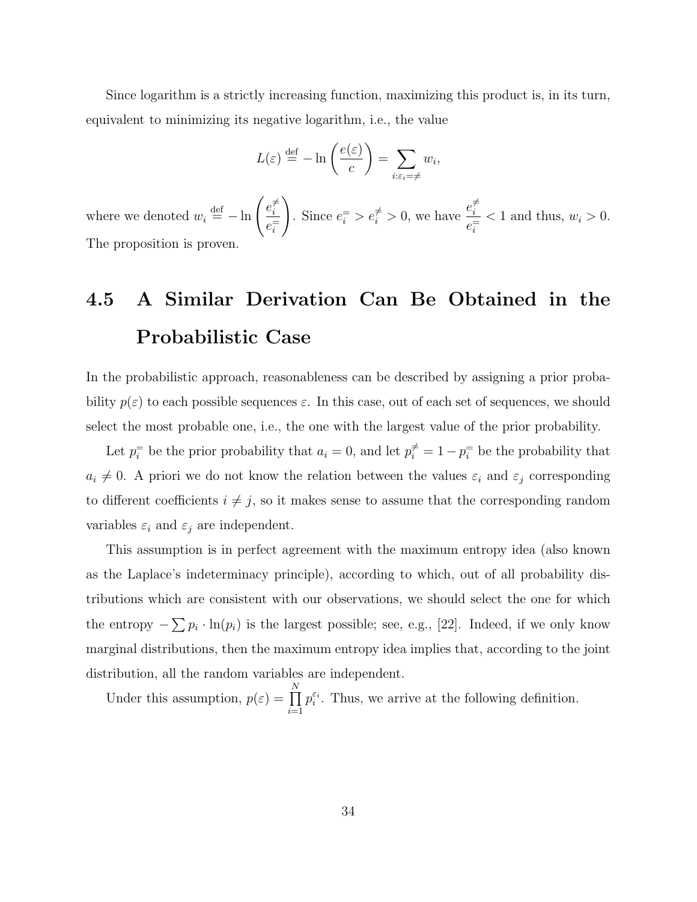Since logarithm is a strictly increasing function, maximizing this product is, in its turn, equivalent to minimizing its negative logarithm, i.e., the value

$$
L(\varepsilon) \stackrel{\text{def}}{=} -\ln\left(\frac{e(\varepsilon)}{c}\right) = \sum_{i:\varepsilon_i=\neq} w_i,
$$

where we denoted  $w_i \stackrel{\text{def}}{=} -\ln \left( \frac{e_i^2}{1-e_i^2} \right)$ i  $e_i^=$  $\setminus$ Since  $e_i^{\pm} > e_i^{\neq} > 0$ , we have  $e_i^{\neq}$ i  $e_i^=$  $< 1$  and thus,  $w_i > 0$ . The proposition is proven.

## 4.5 A Similar Derivation Can Be Obtained in the Probabilistic Case

In the probabilistic approach, reasonableness can be described by assigning a prior probability  $p(\varepsilon)$  to each possible sequences  $\varepsilon$ . In this case, out of each set of sequences, we should select the most probable one, i.e., the one with the largest value of the prior probability.

Let  $p_i^{\pm}$  be the prior probability that  $a_i = 0$ , and let  $p_i^{\neq} = 1 - p_i^{\pm}$  be the probability that  $a_i \neq 0$ . A priori we do not know the relation between the values  $\varepsilon_i$  and  $\varepsilon_j$  corresponding to different coefficients  $i \neq j$ , so it makes sense to assume that the corresponding random variables  $\varepsilon_i$  and  $\varepsilon_j$  are independent.

This assumption is in perfect agreement with the maximum entropy idea (also known as the Laplace's indeterminacy principle), according to which, out of all probability distributions which are consistent with our observations, we should select the one for which the entropy  $-\sum p_i \cdot \ln(p_i)$  is the largest possible; see, e.g., [22]. Indeed, if we only know marginal distributions, then the maximum entropy idea implies that, according to the joint distribution, all the random variables are independent.

Under this assumption,  $p(\varepsilon) = \prod_{k=1}^{N} p(k)$  $i=1$  $p_i^{\varepsilon_i}$ . Thus, we arrive at the following definition.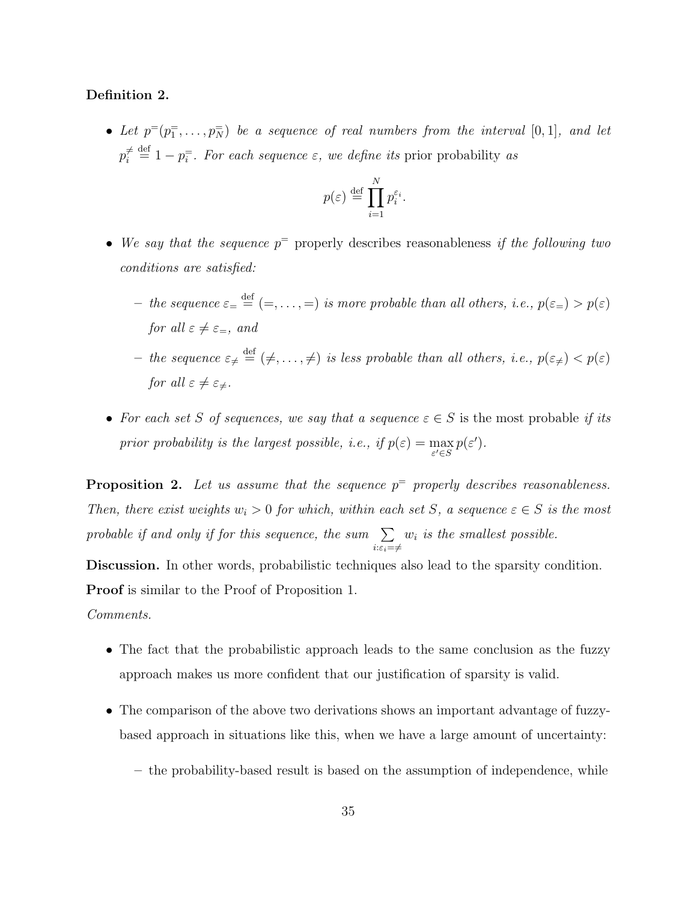#### Definition 2.

• Let  $p^=(p_1^-, \ldots, p_N^-)$  be a sequence of real numbers from the interval  $[0,1]$ , and let  $p_i^{\neq}$  $\hat{\tau} \stackrel{\text{def}}{=} 1 - p_i^{\pm}$ . For each sequence  $\varepsilon$ , we define its prior probability as

$$
p(\varepsilon) \stackrel{\text{def}}{=} \prod_{i=1}^{N} p_i^{\varepsilon_i}.
$$

- We say that the sequence  $p^{\pm}$  properly describes reasonableness if the following two conditions are satisfied:
	- the sequence  $\varepsilon = \frac{def}{=} (=,...,=)$  is more probable than all others, i.e.,  $p(\varepsilon = > p(\varepsilon)$ for all  $\varepsilon \neq \varepsilon_z$ , and
	- the sequence  $\varepsilon_{\neq} \stackrel{\text{def}}{=} (\neq, \ldots, \neq)$  is less probable than all others, i.e.,  $p(\varepsilon_{\neq}) < p(\varepsilon)$ for all  $\varepsilon \neq \varepsilon_{\neq}$ .
- For each set S of sequences, we say that a sequence  $\varepsilon \in S$  is the most probable if its prior probability is the largest possible, i.e., if  $p(\varepsilon) = \max_{\varepsilon' \in S} p(\varepsilon')$ .

**Proposition 2.** Let us assume that the sequence  $p^=$  properly describes reasonableness. Then, there exist weights  $w_i > 0$  for which, within each set S, a sequence  $\varepsilon \in S$  is the most probable if and only if for this sequence, the sum  $\sum$  $i:\varepsilon_i=\neq$  $w_i$  is the smallest possible.

Discussion. In other words, probabilistic techniques also lead to the sparsity condition. Proof is similar to the Proof of Proposition 1.

Comments.

- The fact that the probabilistic approach leads to the same conclusion as the fuzzy approach makes us more confident that our justification of sparsity is valid.
- The comparison of the above two derivations shows an important advantage of fuzzybased approach in situations like this, when we have a large amount of uncertainty:
	- the probability-based result is based on the assumption of independence, while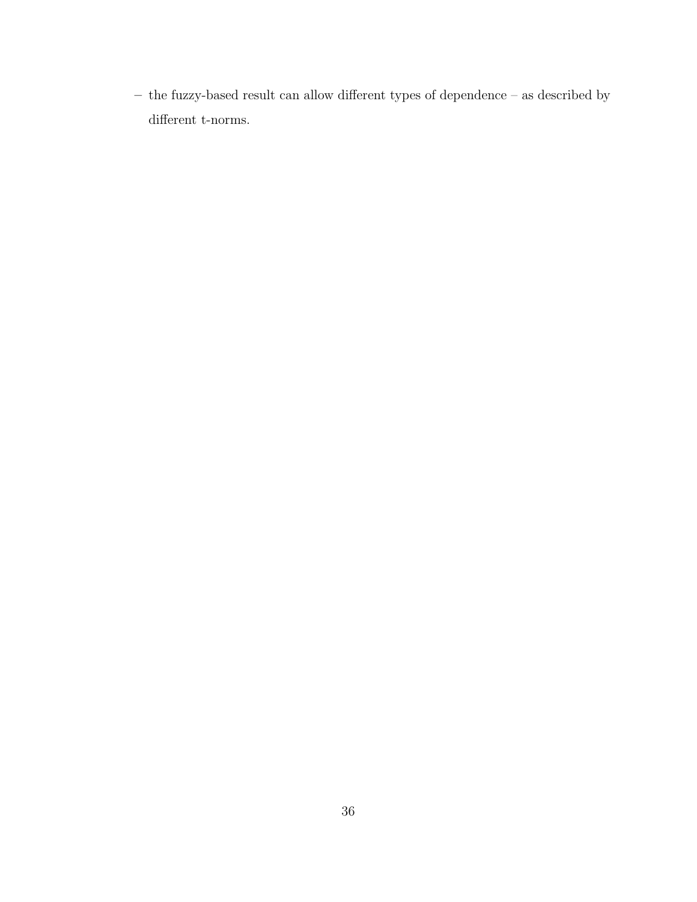$-$  the fuzzy-based result can allow different types of dependence  $-$  as described by different t-norms.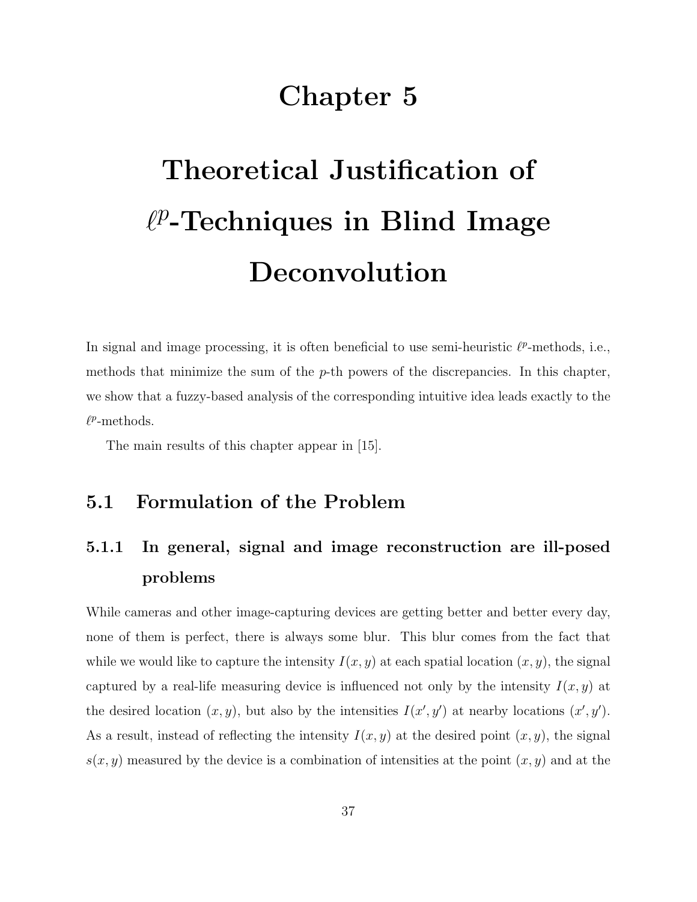## Chapter 5

# Theoretical Justification of  $\ell^p$ -Techniques in Blind Image Deconvolution

In signal and image processing, it is often beneficial to use semi-heuristic  $\ell^p$ -methods, i.e., methods that minimize the sum of the  $p$ -th powers of the discrepancies. In this chapter, we show that a fuzzy-based analysis of the corresponding intuitive idea leads exactly to the  $\ell^p$ -methods.

The main results of this chapter appear in [15].

#### 5.1 Formulation of the Problem

## 5.1.1 In general, signal and image reconstruction are ill-posed problems

While cameras and other image-capturing devices are getting better and better every day, none of them is perfect, there is always some blur. This blur comes from the fact that while we would like to capture the intensity  $I(x, y)$  at each spatial location  $(x, y)$ , the signal captured by a real-life measuring device is influenced not only by the intensity  $I(x, y)$  at the desired location  $(x, y)$ , but also by the intensities  $I(x', y')$  at nearby locations  $(x', y')$ . As a result, instead of reflecting the intensity  $I(x, y)$  at the desired point  $(x, y)$ , the signal  $s(x, y)$  measured by the device is a combination of intensities at the point  $(x, y)$  and at the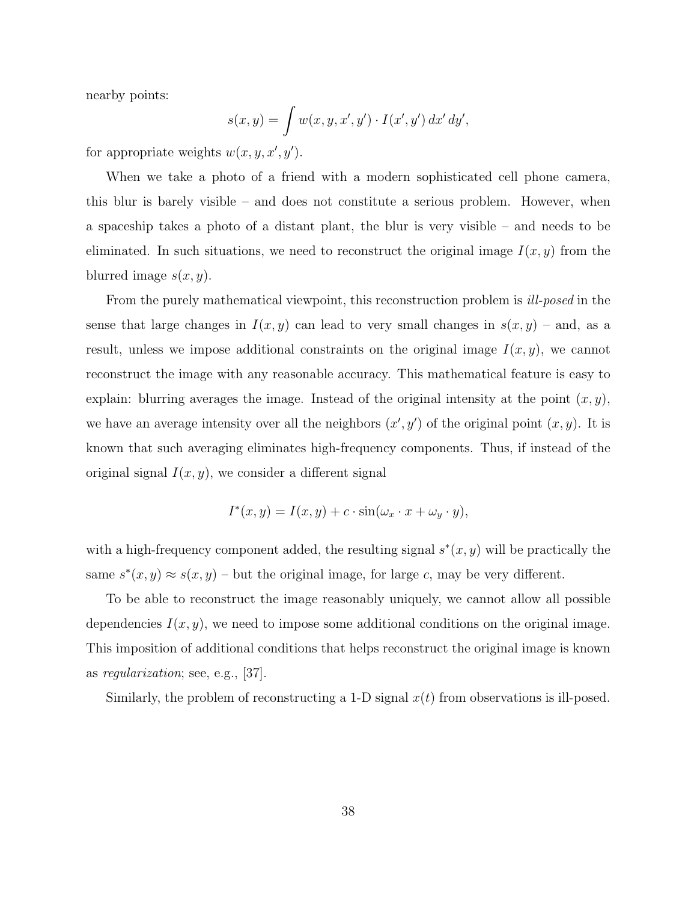nearby points:

$$
s(x,y) = \int w(x,y,x',y') \cdot I(x',y') dx' dy',
$$

for appropriate weights  $w(x, y, x', y')$ .

When we take a photo of a friend with a modern sophisticated cell phone camera, this blur is barely visible – and does not constitute a serious problem. However, when a spaceship takes a photo of a distant plant, the blur is very visible – and needs to be eliminated. In such situations, we need to reconstruct the original image  $I(x, y)$  from the blurred image  $s(x, y)$ .

From the purely mathematical viewpoint, this reconstruction problem is *ill-posed* in the sense that large changes in  $I(x, y)$  can lead to very small changes in  $s(x, y)$  – and, as a result, unless we impose additional constraints on the original image  $I(x, y)$ , we cannot reconstruct the image with any reasonable accuracy. This mathematical feature is easy to explain: blurring averages the image. Instead of the original intensity at the point  $(x, y)$ , we have an average intensity over all the neighbors  $(x', y')$  of the original point  $(x, y)$ . It is known that such averaging eliminates high-frequency components. Thus, if instead of the original signal  $I(x, y)$ , we consider a different signal

$$
I^*(x, y) = I(x, y) + c \cdot \sin(\omega_x \cdot x + \omega_y \cdot y),
$$

with a high-frequency component added, the resulting signal  $s^*(x, y)$  will be practically the same  $s^*(x, y) \approx s(x, y)$  – but the original image, for large c, may be very different.

To be able to reconstruct the image reasonably uniquely, we cannot allow all possible dependencies  $I(x, y)$ , we need to impose some additional conditions on the original image. This imposition of additional conditions that helps reconstruct the original image is known as regularization; see, e.g., [37].

Similarly, the problem of reconstructing a 1-D signal  $x(t)$  from observations is ill-posed.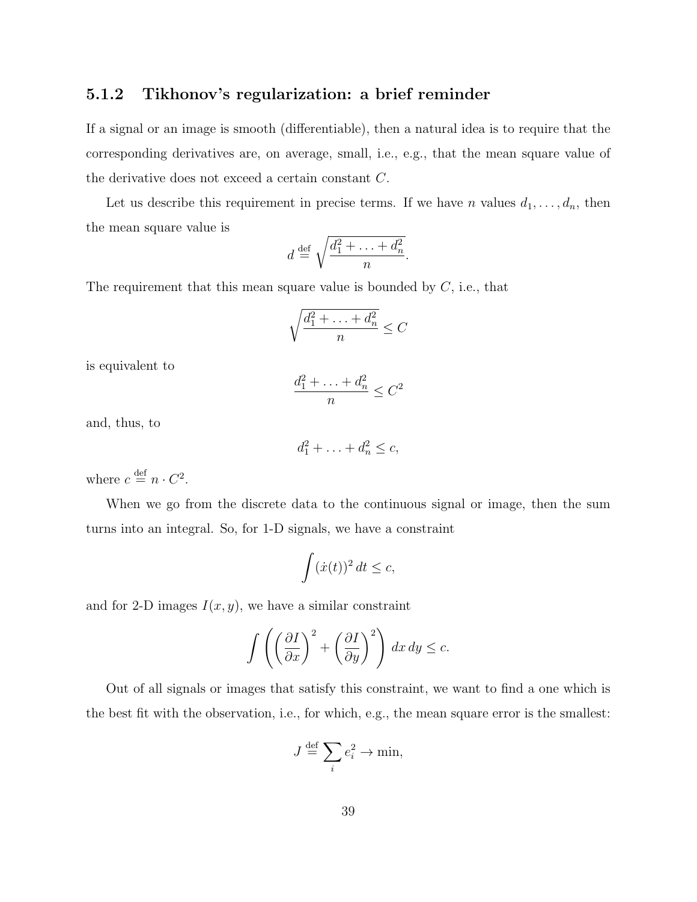#### 5.1.2 Tikhonov's regularization: a brief reminder

If a signal or an image is smooth (differentiable), then a natural idea is to require that the corresponding derivatives are, on average, small, i.e., e.g., that the mean square value of the derivative does not exceed a certain constant C.

Let us describe this requirement in precise terms. If we have n values  $d_1, \ldots, d_n$ , then the mean square value is

$$
d \stackrel{\text{def}}{=} \sqrt{\frac{d_1^2 + \ldots + d_n^2}{n}}.
$$

The requirement that this mean square value is bounded by  $C$ , i.e., that

$$
\sqrt{\frac{d_1^2 + \dots + d_n^2}{n}} \le C
$$

is equivalent to

$$
\frac{d_1^2 + \ldots + d_n^2}{n} \le C^2
$$

and, thus, to

$$
d_1^2 + \ldots + d_n^2 \le c,
$$

where  $c \stackrel{\text{def}}{=} n \cdot C^2$ .

When we go from the discrete data to the continuous signal or image, then the sum turns into an integral. So, for 1-D signals, we have a constraint

$$
\int (\dot{x}(t))^2 dt \leq c,
$$

and for 2-D images  $I(x, y)$ , we have a similar constraint

$$
\int \left( \left( \frac{\partial I}{\partial x} \right)^2 + \left( \frac{\partial I}{\partial y} \right)^2 \right) dx dy \le c.
$$

Out of all signals or images that satisfy this constraint, we want to find a one which is the best fit with the observation, i.e., for which, e.g., the mean square error is the smallest:

$$
J \stackrel{\text{def}}{=} \sum_{i} e_i^2 \to \min,
$$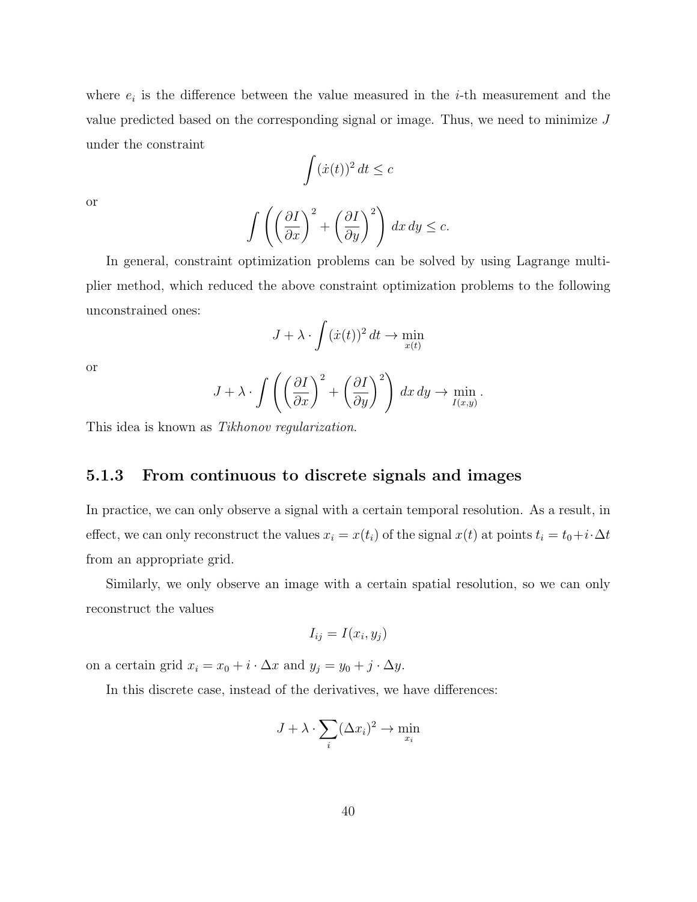where  $e_i$  is the difference between the value measured in the *i*-th measurement and the value predicted based on the corresponding signal or image. Thus, we need to minimize  $J$ under the constraint

$$
\int (\dot{x}(t))^2 dt \leq c
$$

or

$$
\int \left( \left( \frac{\partial I}{\partial x} \right)^2 + \left( \frac{\partial I}{\partial y} \right)^2 \right) dx dy \le c.
$$

In general, constraint optimization problems can be solved by using Lagrange multiplier method, which reduced the above constraint optimization problems to the following unconstrained ones:

$$
J + \lambda \cdot \int (\dot{x}(t))^2 dt \to \min_{x(t)}
$$

or

$$
J + \lambda \cdot \int \left( \left( \frac{\partial I}{\partial x} \right)^2 + \left( \frac{\partial I}{\partial y} \right)^2 \right) dx dy \to \min_{I(x,y)}
$$

.

This idea is known as Tikhonov regularization.

#### 5.1.3 From continuous to discrete signals and images

In practice, we can only observe a signal with a certain temporal resolution. As a result, in effect, we can only reconstruct the values  $x_i = x(t_i)$  of the signal  $x(t)$  at points  $t_i = t_0+i\cdot\Delta t$ from an appropriate grid.

Similarly, we only observe an image with a certain spatial resolution, so we can only reconstruct the values

$$
I_{ij} = I(x_i, y_j)
$$

on a certain grid  $x_i = x_0 + i \cdot \Delta x$  and  $y_j = y_0 + j \cdot \Delta y$ .

In this discrete case, instead of the derivatives, we have differences:

$$
J + \lambda \cdot \sum_{i} (\Delta x_i)^2 \to \min_{x_i}
$$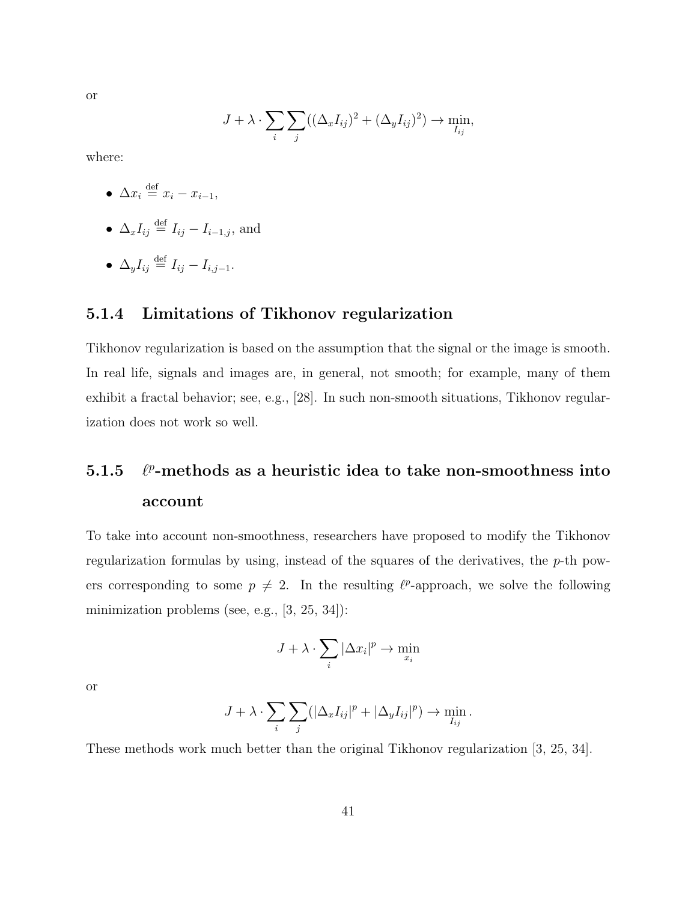or

$$
J + \lambda \cdot \sum_{i} \sum_{j} ((\Delta_x I_{ij})^2 + (\Delta_y I_{ij})^2) \to \min_{I_{ij}},
$$

where:

- $\Delta x_i \stackrel{\text{def}}{=} x_i x_{i-1},$
- $\Delta_x I_{ij} \stackrel{\text{def}}{=} I_{ij} I_{i-1,j}$ , and
- $\bullet$   $\Delta_{y}I_{ij} \stackrel{\text{def}}{=} I_{ij} I_{i,j-1}.$

#### 5.1.4 Limitations of Tikhonov regularization

Tikhonov regularization is based on the assumption that the signal or the image is smooth. In real life, signals and images are, in general, not smooth; for example, many of them exhibit a fractal behavior; see, e.g., [28]. In such non-smooth situations, Tikhonov regularization does not work so well.

#### 5.1.5 `  $p$ -methods as a heuristic idea to take non-smoothness into account

To take into account non-smoothness, researchers have proposed to modify the Tikhonov regularization formulas by using, instead of the squares of the derivatives, the  $p$ -th powers corresponding to some  $p \neq 2$ . In the resulting  $\ell^p$ -approach, we solve the following minimization problems (see, e.g., [3, 25, 34]):

$$
J + \lambda \cdot \sum_{i} |\Delta x_{i}|^{p} \to \min_{x_{i}}
$$

or

$$
J + \lambda \cdot \sum_{i} \sum_{j} (|\Delta_x I_{ij}|^p + |\Delta_y I_{ij}|^p) \to \min_{I_{ij}}.
$$

These methods work much better than the original Tikhonov regularization [3, 25, 34].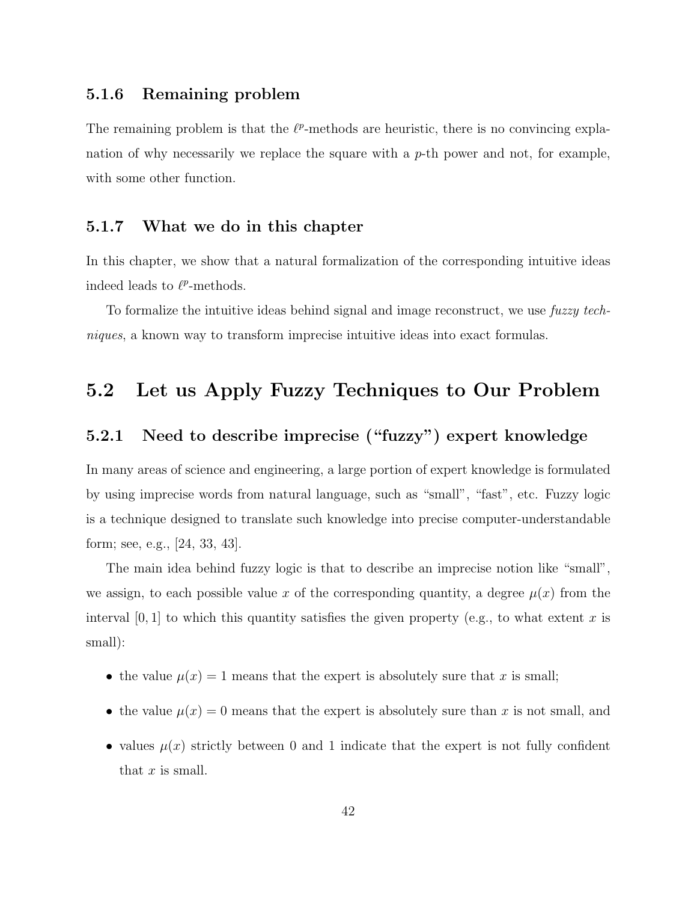#### 5.1.6 Remaining problem

The remaining problem is that the  $\ell^p$ -methods are heuristic, there is no convincing explanation of why necessarily we replace the square with a  $p$ -th power and not, for example, with some other function.

#### 5.1.7 What we do in this chapter

In this chapter, we show that a natural formalization of the corresponding intuitive ideas indeed leads to  $\ell^p$ -methods.

To formalize the intuitive ideas behind signal and image reconstruct, we use fuzzy techniques, a known way to transform imprecise intuitive ideas into exact formulas.

#### 5.2 Let us Apply Fuzzy Techniques to Our Problem

#### 5.2.1 Need to describe imprecise ("fuzzy") expert knowledge

In many areas of science and engineering, a large portion of expert knowledge is formulated by using imprecise words from natural language, such as "small", "fast", etc. Fuzzy logic is a technique designed to translate such knowledge into precise computer-understandable form; see, e.g., [24, 33, 43].

The main idea behind fuzzy logic is that to describe an imprecise notion like "small", we assign, to each possible value x of the corresponding quantity, a degree  $\mu(x)$  from the interval  $[0, 1]$  to which this quantity satisfies the given property (e.g., to what extent x is small):

- the value  $\mu(x) = 1$  means that the expert is absolutely sure that x is small;
- the value  $\mu(x) = 0$  means that the expert is absolutely sure than x is not small, and
- values  $\mu(x)$  strictly between 0 and 1 indicate that the expert is not fully confident that  $x$  is small.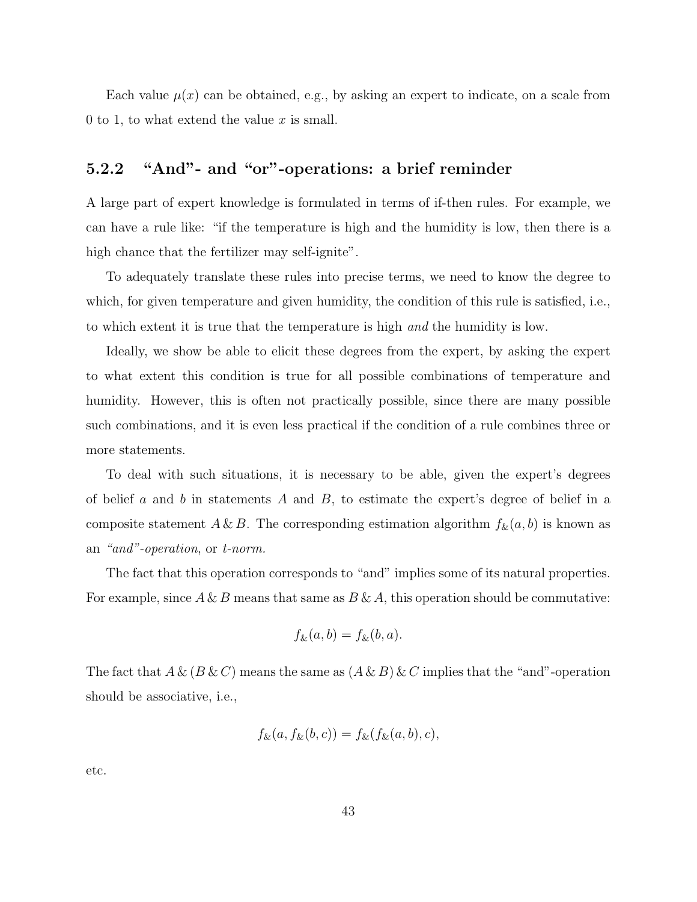Each value  $\mu(x)$  can be obtained, e.g., by asking an expert to indicate, on a scale from 0 to 1, to what extend the value  $x$  is small.

#### 5.2.2 "And"- and "or"-operations: a brief reminder

A large part of expert knowledge is formulated in terms of if-then rules. For example, we can have a rule like: "if the temperature is high and the humidity is low, then there is a high chance that the fertilizer may self-ignite".

To adequately translate these rules into precise terms, we need to know the degree to which, for given temperature and given humidity, the condition of this rule is satisfied, i.e., to which extent it is true that the temperature is high and the humidity is low.

Ideally, we show be able to elicit these degrees from the expert, by asking the expert to what extent this condition is true for all possible combinations of temperature and humidity. However, this is often not practically possible, since there are many possible such combinations, and it is even less practical if the condition of a rule combines three or more statements.

To deal with such situations, it is necessary to be able, given the expert's degrees of belief a and b in statements A and B, to estimate the expert's degree of belief in a composite statement  $A \& B$ . The corresponding estimation algorithm  $f_{\&}(a, b)$  is known as an "and"-operation, or t-norm.

The fact that this operation corresponds to "and" implies some of its natural properties. For example, since  $A \& B$  means that same as  $B \& A$ , this operation should be commutative:

$$
f_{\&}(a,b) = f_{\&}(b,a).
$$

The fact that  $A \& (B \& C)$  means the same as  $(A \& B) \& C$  implies that the "and"-operation should be associative, i.e.,

$$
f_{\&}(a, f_{\&}(b, c)) = f_{\&}(f_{\&}(a, b), c),
$$

etc.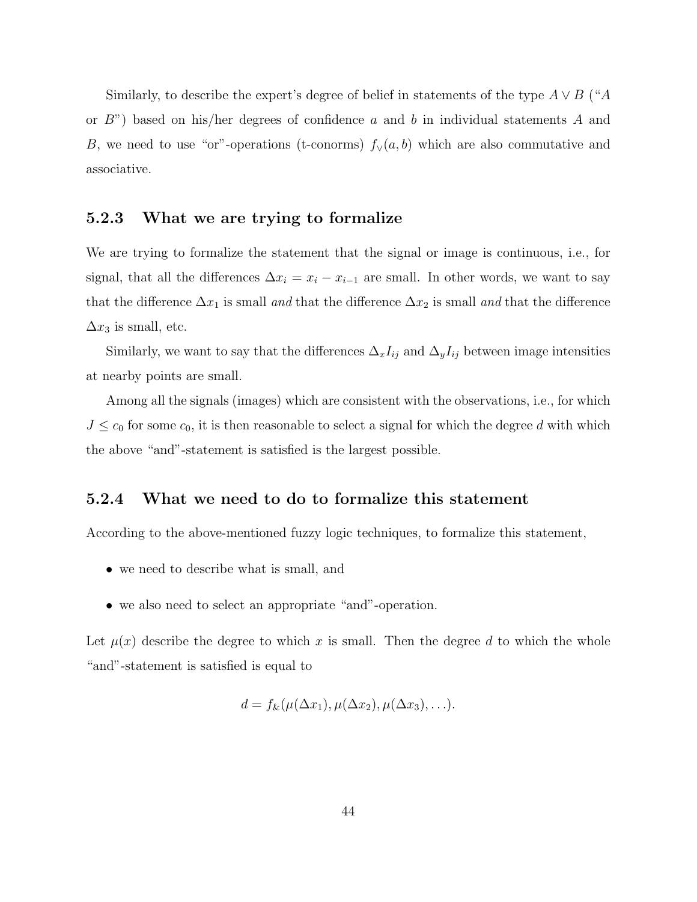Similarly, to describe the expert's degree of belief in statements of the type  $A \vee B$  ("A or  $B$ ") based on his/her degrees of confidence a and b in individual statements A and B, we need to use "or"-operations (t-conorms)  $f_{\vee}(a, b)$  which are also commutative and associative.

#### 5.2.3 What we are trying to formalize

We are trying to formalize the statement that the signal or image is continuous, i.e., for signal, that all the differences  $\Delta x_i = x_i - x_{i-1}$  are small. In other words, we want to say that the difference  $\Delta x_1$  is small and that the difference  $\Delta x_2$  is small and that the difference  $\Delta x_3$  is small, etc.

Similarly, we want to say that the differences  $\Delta_x I_{ij}$  and  $\Delta_y I_{ij}$  between image intensities at nearby points are small.

Among all the signals (images) which are consistent with the observations, i.e., for which  $J \leq c_0$  for some  $c_0$ , it is then reasonable to select a signal for which the degree d with which the above "and"-statement is satisfied is the largest possible.

#### 5.2.4 What we need to do to formalize this statement

According to the above-mentioned fuzzy logic techniques, to formalize this statement,

- we need to describe what is small, and
- we also need to select an appropriate "and"-operation.

Let  $\mu(x)$  describe the degree to which x is small. Then the degree d to which the whole "and"-statement is satisfied is equal to

$$
d = f_{\&}(\mu(\Delta x_1), \mu(\Delta x_2), \mu(\Delta x_3), \ldots).
$$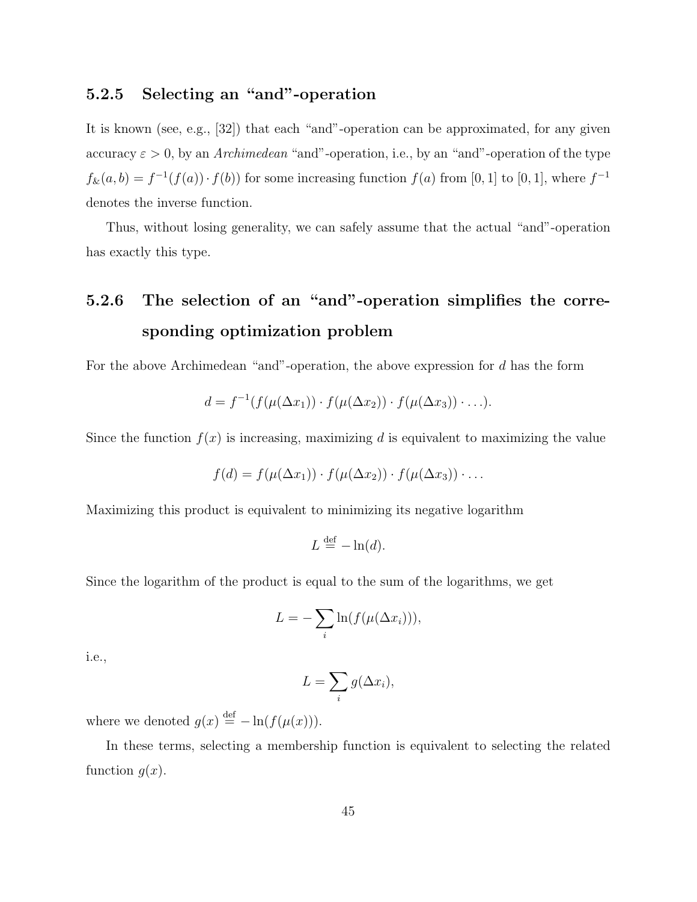#### 5.2.5 Selecting an "and"-operation

It is known (see, e.g., [32]) that each "and"-operation can be approximated, for any given accuracy  $\varepsilon > 0$ , by an Archimedean "and"-operation, i.e., by an "and"-operation of the type  $f_{\&}(a, b) = f^{-1}(f(a)) \cdot f(b)$  for some increasing function  $f(a)$  from [0, 1] to [0, 1], where  $f^{-1}$ denotes the inverse function.

Thus, without losing generality, we can safely assume that the actual "and"-operation has exactly this type.

## 5.2.6 The selection of an "and"-operation simplifies the corresponding optimization problem

For the above Archimedean "and"-operation, the above expression for d has the form

$$
d = f^{-1}(f(\mu(\Delta x_1)) \cdot f(\mu(\Delta x_2)) \cdot f(\mu(\Delta x_3)) \cdot \ldots).
$$

Since the function  $f(x)$  is increasing, maximizing d is equivalent to maximizing the value

$$
f(d) = f(\mu(\Delta x_1)) \cdot f(\mu(\Delta x_2)) \cdot f(\mu(\Delta x_3)) \cdot \dots
$$

Maximizing this product is equivalent to minimizing its negative logarithm

$$
L \stackrel{\text{def}}{=} -\ln(d).
$$

Since the logarithm of the product is equal to the sum of the logarithms, we get

$$
L = -\sum_{i} \ln(f(\mu(\Delta x_i))),
$$

i.e.,

$$
L = \sum_{i} g(\Delta x_i),
$$

where we denoted  $g(x) \stackrel{\text{def}}{=} -\ln(f(\mu(x))).$ 

In these terms, selecting a membership function is equivalent to selecting the related function  $g(x)$ .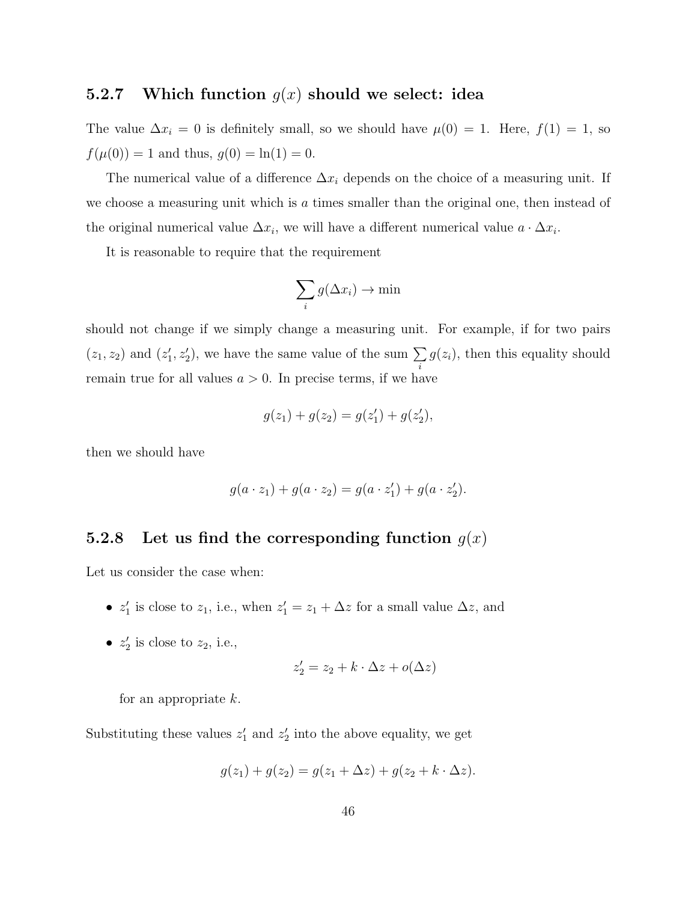#### 5.2.7 Which function  $g(x)$  should we select: idea

The value  $\Delta x_i = 0$  is definitely small, so we should have  $\mu(0) = 1$ . Here,  $f(1) = 1$ , so  $f(\mu(0)) = 1$  and thus,  $g(0) = \ln(1) = 0$ .

The numerical value of a difference  $\Delta x_i$  depends on the choice of a measuring unit. If we choose a measuring unit which is a times smaller than the original one, then instead of the original numerical value  $\Delta x_i$ , we will have a different numerical value  $a \cdot \Delta x_i$ .

It is reasonable to require that the requirement

$$
\sum_i g(\Delta x_i) \to \min
$$

should not change if we simply change a measuring unit. For example, if for two pairs  $(z_1, z_2)$  and  $(z'_1, z'_2)$ , we have the same value of the sum  $\Sigma$ i  $g(z_i)$ , then this equality should remain true for all values  $a > 0$ . In precise terms, if we have

$$
g(z_1) + g(z_2) = g(z'_1) + g(z'_2),
$$

then we should have

$$
g(a \cdot z_1) + g(a \cdot z_2) = g(a \cdot z'_1) + g(a \cdot z'_2).
$$

#### 5.2.8 Let us find the corresponding function  $g(x)$

Let us consider the case when:

- $z'_1$  is close to  $z_1$ , i.e., when  $z'_1 = z_1 + \Delta z$  for a small value  $\Delta z$ , and
- $z'_2$  is close to  $z_2$ , i.e.,

$$
z_2' = z_2 + k \cdot \Delta z + o(\Delta z)
$$

for an appropriate  $k$ .

Substituting these values  $z'_1$  and  $z'_2$  into the above equality, we get

$$
g(z_1) + g(z_2) = g(z_1 + \Delta z) + g(z_2 + k \cdot \Delta z).
$$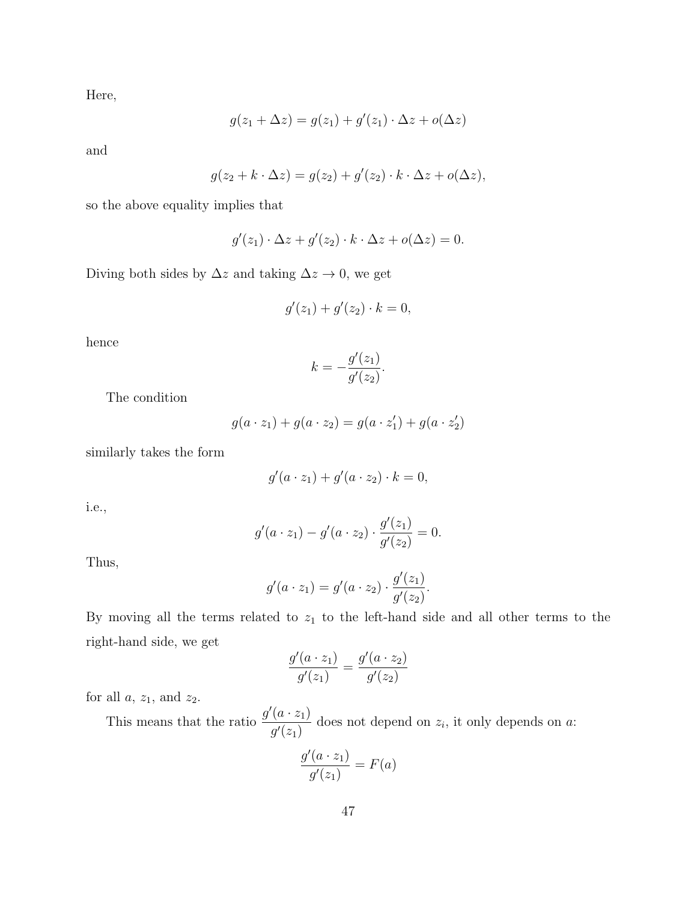Here,

$$
g(z_1 + \Delta z) = g(z_1) + g'(z_1) \cdot \Delta z + o(\Delta z)
$$

and

$$
g(z_2 + k \cdot \Delta z) = g(z_2) + g'(z_2) \cdot k \cdot \Delta z + o(\Delta z),
$$

so the above equality implies that

$$
g'(z_1) \cdot \Delta z + g'(z_2) \cdot k \cdot \Delta z + o(\Delta z) = 0.
$$

Diving both sides by  $\Delta z$  and taking  $\Delta z \rightarrow 0$ , we get

$$
g'(z_1) + g'(z_2) \cdot k = 0,
$$

hence

$$
k = -\frac{g'(z_1)}{g'(z_2)}.
$$

The condition

$$
g(a \cdot z_1) + g(a \cdot z_2) = g(a \cdot z'_1) + g(a \cdot z'_2)
$$

similarly takes the form

$$
g'(a \cdot z_1) + g'(a \cdot z_2) \cdot k = 0,
$$

i.e.,

$$
g'(a \cdot z_1) - g'(a \cdot z_2) \cdot \frac{g'(z_1)}{g'(z_2)} = 0.
$$

Thus,

$$
g'(a \cdot z_1) = g'(a \cdot z_2) \cdot \frac{g'(z_1)}{g'(z_2)}.
$$

By moving all the terms related to  $z_1$  to the left-hand side and all other terms to the right-hand side, we get

$$
\frac{g'(a \cdot z_1)}{g'(z_1)} = \frac{g'(a \cdot z_2)}{g'(z_2)}
$$

for all  $a, z_1$ , and  $z_2$ .

This means that the ratio  $\frac{g'(a \cdot z_1)}{g'(a)}$  $g'(z_1)$ does not depend on  $z_i$ , it only depends on  $a$ :

$$
\frac{g'(a \cdot z_1)}{g'(z_1)} = F(a)
$$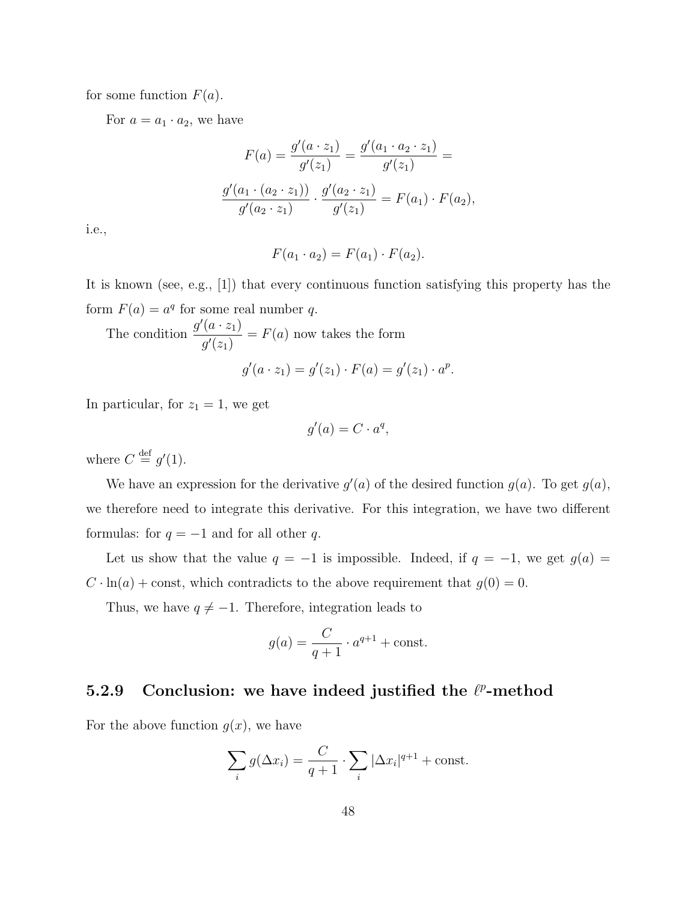for some function  $F(a)$ .

For  $a = a_1 \cdot a_2$ , we have

$$
F(a) = \frac{g'(a \cdot z_1)}{g'(z_1)} = \frac{g'(a_1 \cdot a_2 \cdot z_1)}{g'(z_1)} =
$$

$$
\frac{g'(a_1 \cdot (a_2 \cdot z_1))}{g'(a_2 \cdot z_1)} \cdot \frac{g'(a_2 \cdot z_1)}{g'(z_1)} = F(a_1) \cdot F(a_2),
$$

i.e.,

$$
F(a_1 \cdot a_2) = F(a_1) \cdot F(a_2).
$$

It is known (see, e.g., [1]) that every continuous function satisfying this property has the form  $F(a) = a^q$  for some real number q.

The condition 
$$
\frac{g'(a \cdot z_1)}{g'(z_1)} = F(a)
$$
 now takes the form  

$$
g'(a \cdot z_1) = g'(z_1) \cdot F(a) = g'(z_1) \cdot a^p.
$$

In particular, for  $z_1 = 1$ , we get

$$
g'(a) = C \cdot a^q,
$$

where  $C \stackrel{\text{def}}{=} g'(1)$ .

We have an expression for the derivative  $g'(a)$  of the desired function  $g(a)$ . To get  $g(a)$ , we therefore need to integrate this derivative. For this integration, we have two different formulas: for  $q = -1$  and for all other q.

Let us show that the value  $q = -1$  is impossible. Indeed, if  $q = -1$ , we get  $g(a) =$  $C \cdot \ln(a) + \text{const}$ , which contradicts to the above requirement that  $g(0) = 0$ .

Thus, we have  $q \neq -1$ . Therefore, integration leads to

$$
g(a) = \frac{C}{q+1} \cdot a^{q+1} + \text{const.}
$$

#### 5.2.9 Conclusion: we have indeed justified the  $\ell^p$ -method

For the above function  $g(x)$ , we have

$$
\sum_{i} g(\Delta x_i) = \frac{C}{q+1} \cdot \sum_{i} |\Delta x_i|^{q+1} + \text{const.}
$$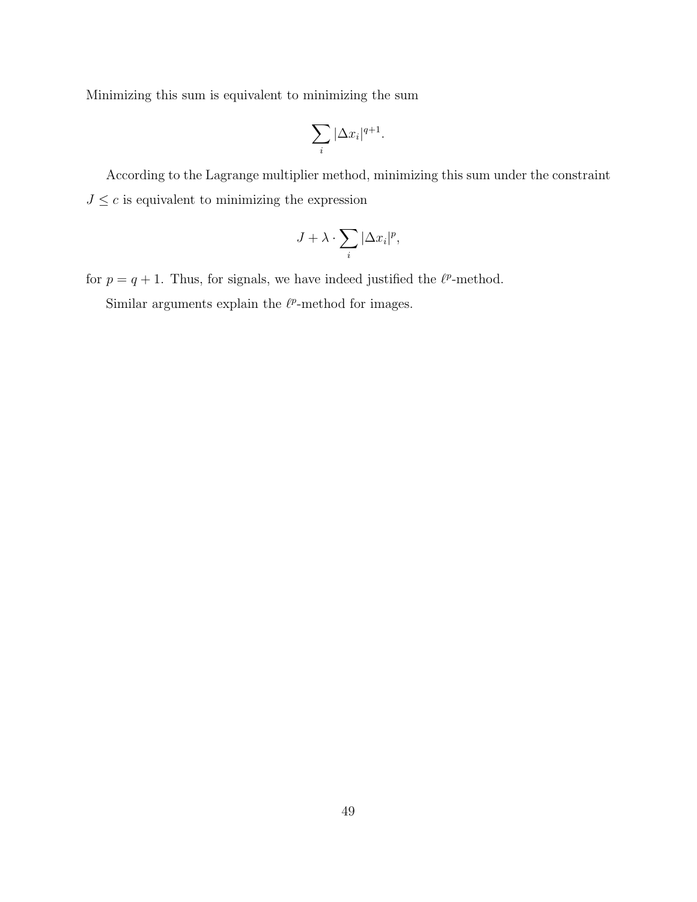Minimizing this sum is equivalent to minimizing the sum

$$
\sum_i |\Delta x_i|^{q+1}.
$$

According to the Lagrange multiplier method, minimizing this sum under the constraint  $J\leq c$  is equivalent to minimizing the expression

$$
J + \lambda \cdot \sum_{i} |\Delta x_{i}|^{p},
$$

for  $p = q + 1$ . Thus, for signals, we have indeed justified the  $\ell^p$ -method. Similar arguments explain the  $\ell^p$ -method for images.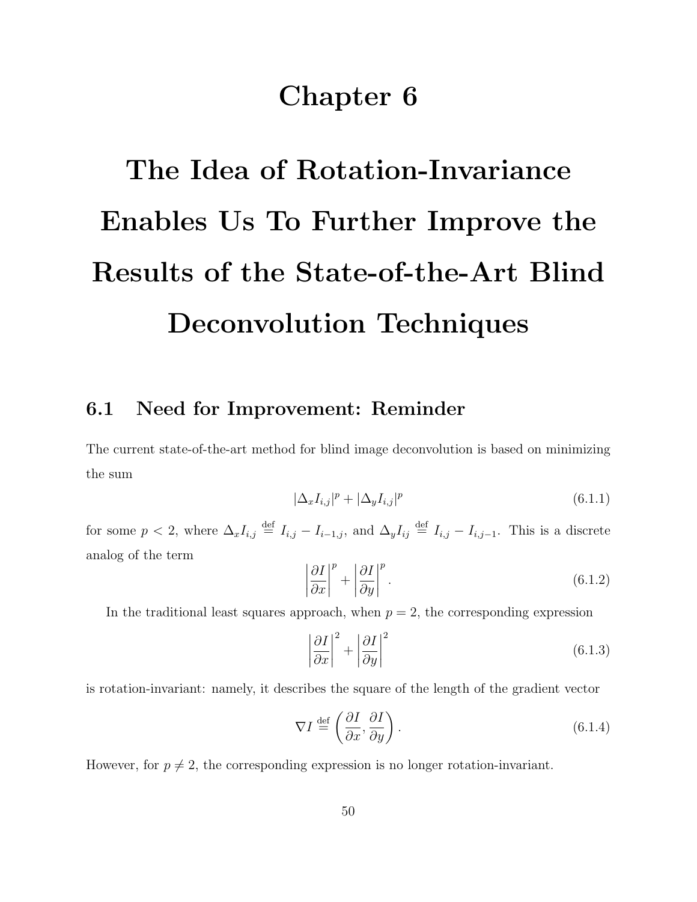## Chapter 6

# The Idea of Rotation-Invariance Enables Us To Further Improve the Results of the State-of-the-Art Blind Deconvolution Techniques

#### 6.1 Need for Improvement: Reminder

The current state-of-the-art method for blind image deconvolution is based on minimizing the sum

$$
|\Delta_x I_{i,j}|^p + |\Delta_y I_{i,j}|^p \tag{6.1.1}
$$

for some  $p < 2$ , where  $\Delta_x I_{i,j} \stackrel{\text{def}}{=} I_{i,j} - I_{i-1,j}$ , and  $\Delta_y I_{ij} \stackrel{\text{def}}{=} I_{i,j} - I_{i,j-1}$ . This is a discrete analog of the term

$$
\left|\frac{\partial I}{\partial x}\right|^p + \left|\frac{\partial I}{\partial y}\right|^p.
$$
\n(6.1.2)

In the traditional least squares approach, when  $p = 2$ , the corresponding expression

$$
\left|\frac{\partial I}{\partial x}\right|^2 + \left|\frac{\partial I}{\partial y}\right|^2\tag{6.1.3}
$$

is rotation-invariant: namely, it describes the square of the length of the gradient vector

$$
\nabla I \stackrel{\text{def}}{=} \left( \frac{\partial I}{\partial x}, \frac{\partial I}{\partial y} \right). \tag{6.1.4}
$$

However, for  $p \neq 2$ , the corresponding expression is no longer rotation-invariant.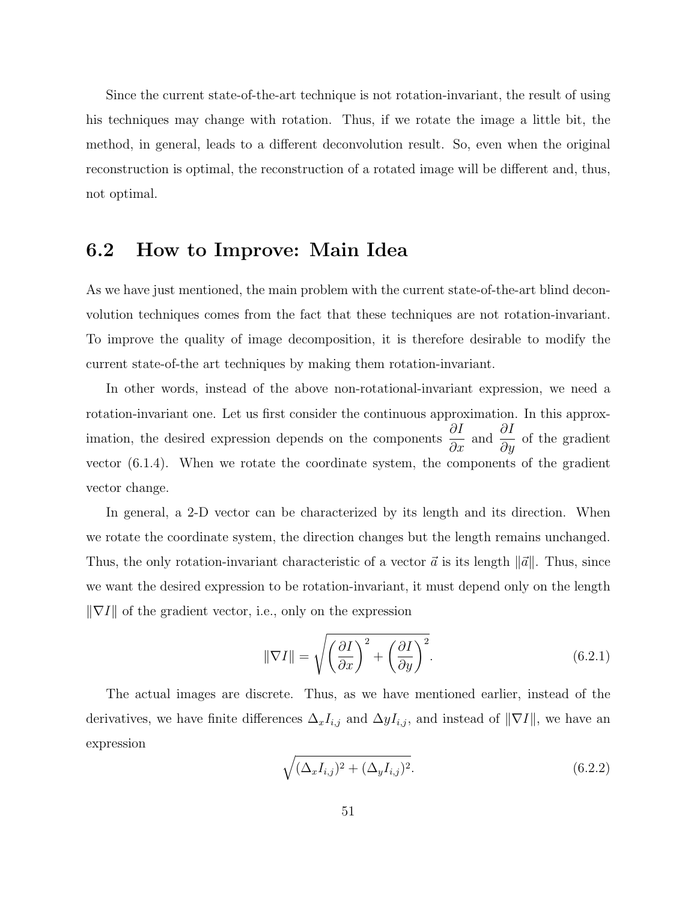Since the current state-of-the-art technique is not rotation-invariant, the result of using his techniques may change with rotation. Thus, if we rotate the image a little bit, the method, in general, leads to a different deconvolution result. So, even when the original reconstruction is optimal, the reconstruction of a rotated image will be different and, thus, not optimal.

#### 6.2 How to Improve: Main Idea

As we have just mentioned, the main problem with the current state-of-the-art blind deconvolution techniques comes from the fact that these techniques are not rotation-invariant. To improve the quality of image decomposition, it is therefore desirable to modify the current state-of-the art techniques by making them rotation-invariant.

In other words, instead of the above non-rotational-invariant expression, we need a rotation-invariant one. Let us first consider the continuous approximation. In this approximation, the desired expression depends on the components  $\frac{\partial I}{\partial x}$  and  $\frac{\partial I}{\partial y}$  of the gradient vector (6.1.4). When we rotate the coordinate system, the components of the gradient vector change.

In general, a 2-D vector can be characterized by its length and its direction. When we rotate the coordinate system, the direction changes but the length remains unchanged. Thus, the only rotation-invariant characteristic of a vector  $\vec{a}$  is its length  $\|\vec{a}\|$ . Thus, since we want the desired expression to be rotation-invariant, it must depend only on the length  $\|\nabla I\|$  of the gradient vector, i.e., only on the expression

$$
\|\nabla I\| = \sqrt{\left(\frac{\partial I}{\partial x}\right)^2 + \left(\frac{\partial I}{\partial y}\right)^2}.
$$
\n(6.2.1)

The actual images are discrete. Thus, as we have mentioned earlier, instead of the derivatives, we have finite differences  $\Delta_x I_{i,j}$  and  $\Delta y I_{i,j}$ , and instead of  $\|\nabla I\|$ , we have an expression

$$
\sqrt{(\Delta_x I_{i,j})^2 + (\Delta_y I_{i,j})^2}.\tag{6.2.2}
$$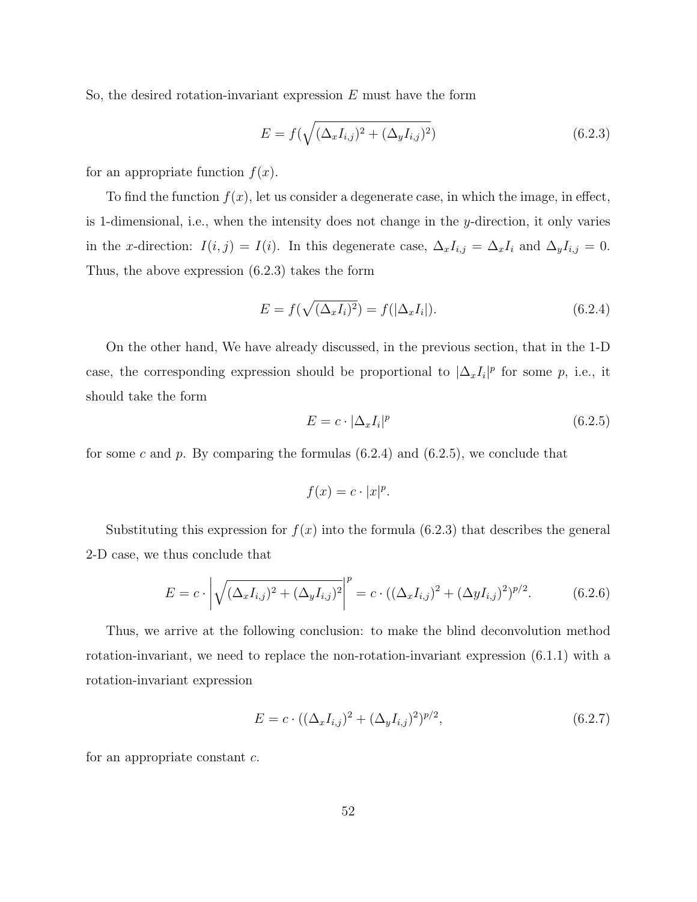So, the desired rotation-invariant expression  $E$  must have the form

$$
E = f(\sqrt{(\Delta_x I_{i,j})^2 + (\Delta_y I_{i,j})^2})
$$
\n(6.2.3)

for an appropriate function  $f(x)$ .

To find the function  $f(x)$ , let us consider a degenerate case, in which the image, in effect, is 1-dimensional, i.e., when the intensity does not change in the y-direction, it only varies in the x-direction:  $I(i, j) = I(i)$ . In this degenerate case,  $\Delta_x I_{i,j} = \Delta_x I_i$  and  $\Delta_y I_{i,j} = 0$ . Thus, the above expression (6.2.3) takes the form

$$
E = f(\sqrt{(\Delta_x I_i)^2}) = f(|\Delta_x I_i|). \tag{6.2.4}
$$

On the other hand, We have already discussed, in the previous section, that in the 1-D case, the corresponding expression should be proportional to  $|\Delta_x I_i|^p$  for some p, i.e., it should take the form

$$
E = c \cdot |\Delta_x I_i|^p \tag{6.2.5}
$$

for some c and p. By comparing the formulas  $(6.2.4)$  and  $(6.2.5)$ , we conclude that

$$
f(x) = c \cdot |x|^p.
$$

Substituting this expression for  $f(x)$  into the formula (6.2.3) that describes the general 2-D case, we thus conclude that

$$
E = c \cdot \left| \sqrt{(\Delta_x I_{i,j})^2 + (\Delta_y I_{i,j})^2} \right|^p = c \cdot ((\Delta_x I_{i,j})^2 + (\Delta_y I_{i,j})^2)^{p/2}.
$$
 (6.2.6)

Thus, we arrive at the following conclusion: to make the blind deconvolution method rotation-invariant, we need to replace the non-rotation-invariant expression (6.1.1) with a rotation-invariant expression

$$
E = c \cdot ((\Delta_x I_{i,j})^2 + (\Delta_y I_{i,j})^2)^{p/2}, \tag{6.2.7}
$$

for an appropriate constant c.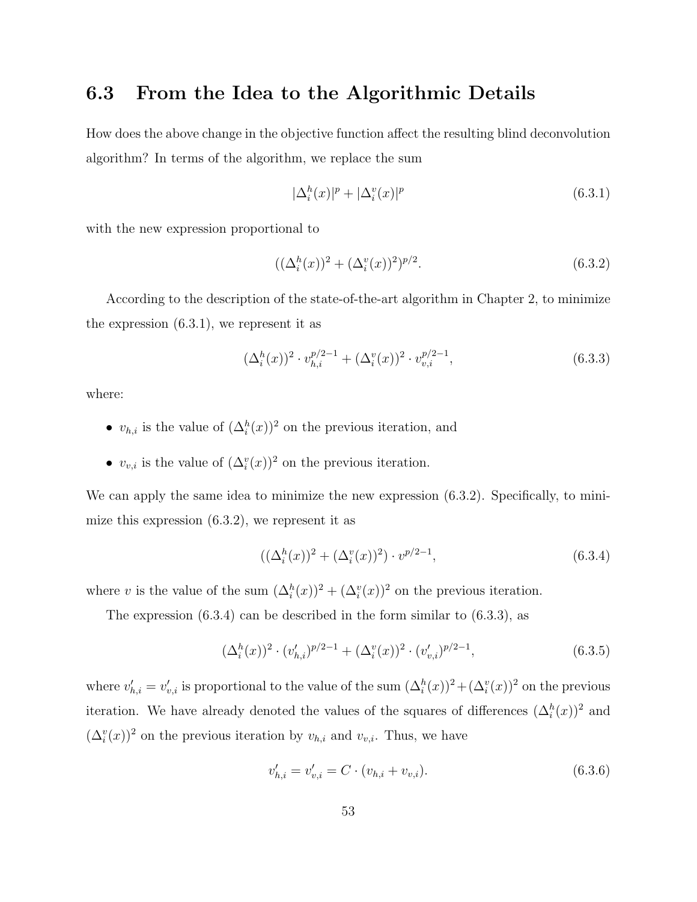#### 6.3 From the Idea to the Algorithmic Details

How does the above change in the objective function affect the resulting blind deconvolution algorithm? In terms of the algorithm, we replace the sum

$$
|\Delta_i^h(x)|^p + |\Delta_i^v(x)|^p \tag{6.3.1}
$$

with the new expression proportional to

$$
((\Delta_i^h(x))^2 + (\Delta_i^v(x))^2)^{p/2}.
$$
\n(6.3.2)

According to the description of the state-of-the-art algorithm in Chapter 2, to minimize the expression (6.3.1), we represent it as

$$
(\Delta_i^h(x))^2 \cdot v_{h,i}^{p/2-1} + (\Delta_i^v(x))^2 \cdot v_{v,i}^{p/2-1}, \tag{6.3.3}
$$

where:

- $v_{h,i}$  is the value of  $(\Delta_i^h(x))^2$  on the previous iteration, and
- $v_{v,i}$  is the value of  $(\Delta_i^v(x))^2$  on the previous iteration.

We can apply the same idea to minimize the new expression  $(6.3.2)$ . Specifically, to minimize this expression (6.3.2), we represent it as

$$
((\Delta_i^h(x))^2 + (\Delta_i^v(x))^2) \cdot v^{p/2 - 1}, \tag{6.3.4}
$$

where v is the value of the sum  $(\Delta_i^h(x))^2 + (\Delta_i^v(x))^2$  on the previous iteration.

The expression  $(6.3.4)$  can be described in the form similar to  $(6.3.3)$ , as

$$
(\Delta_i^h(x))^2 \cdot (v'_{h,i})^{p/2-1} + (\Delta_i^v(x))^2 \cdot (v'_{v,i})^{p/2-1}, \tag{6.3.5}
$$

where  $v'_{h,i} = v'_{v,i}$  is proportional to the value of the sum  $(\Delta_i^h(x))^2 + (\Delta_i^v(x))^2$  on the previous iteration. We have already denoted the values of the squares of differences  $(\Delta_i^h(x))^2$  and  $(\Delta_i^v(x))^2$  on the previous iteration by  $v_{h,i}$  and  $v_{v,i}$ . Thus, we have

$$
v'_{h,i} = v'_{v,i} = C \cdot (v_{h,i} + v_{v,i}).
$$
\n(6.3.6)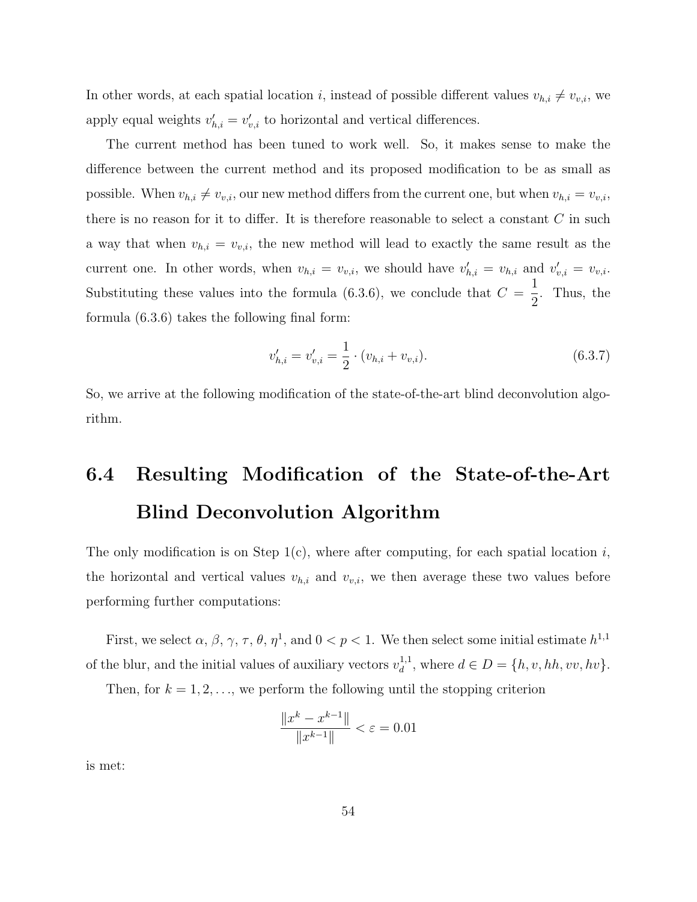In other words, at each spatial location i, instead of possible different values  $v_{h,i} \neq v_{v,i}$ , we apply equal weights  $v'_{h,i} = v'_{v,i}$  to horizontal and vertical differences.

The current method has been tuned to work well. So, it makes sense to make the difference between the current method and its proposed modification to be as small as possible. When  $v_{h,i} \neq v_{v,i}$ , our new method differs from the current one, but when  $v_{h,i} = v_{v,i}$ , there is no reason for it to differ. It is therefore reasonable to select a constant  $C$  in such a way that when  $v_{h,i} = v_{v,i}$ , the new method will lead to exactly the same result as the current one. In other words, when  $v_{h,i} = v_{v,i}$ , we should have  $v'_{h,i} = v_{h,i}$  and  $v'_{v,i} = v_{v,i}$ . Substituting these values into the formula  $(6.3.6)$ , we conclude that  $C =$ 1 2 . Thus, the formula (6.3.6) takes the following final form:

$$
v'_{h,i} = v'_{v,i} = \frac{1}{2} \cdot (v_{h,i} + v_{v,i}).
$$
\n(6.3.7)

So, we arrive at the following modification of the state-of-the-art blind deconvolution algorithm.

## 6.4 Resulting Modification of the State-of-the-Art Blind Deconvolution Algorithm

The only modification is on Step 1(c), where after computing, for each spatial location  $i$ , the horizontal and vertical values  $v_{h,i}$  and  $v_{v,i}$ , we then average these two values before performing further computations:

First, we select  $\alpha$ ,  $\beta$ ,  $\gamma$ ,  $\tau$ ,  $\theta$ ,  $\eta$ <sup>1</sup>, and  $0 < p < 1$ . We then select some initial estimate  $h^{1,1}$ of the blur, and the initial values of auxiliary vectors  $v_d^{1,1}$  $d_d^{1,1}$ , where  $d \in D = \{h, v, hh, vv, hv\}.$ 

Then, for  $k = 1, 2, \ldots$ , we perform the following until the stopping criterion

$$
\frac{\|x^k - x^{k-1}\|}{\|x^{k-1}\|} < \varepsilon = 0.01
$$

is met: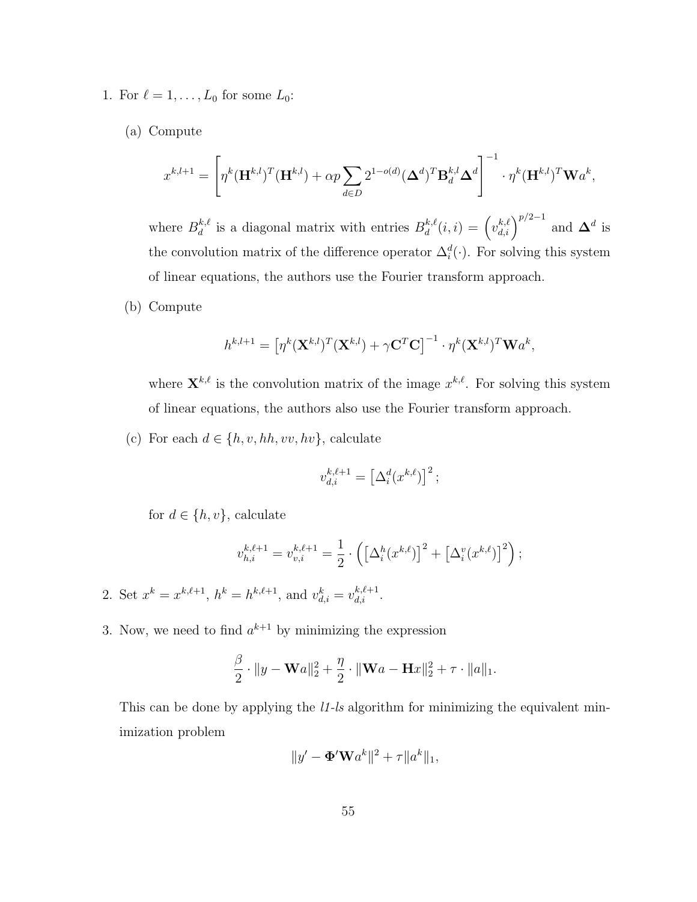- 1. For  $\ell = 1, \ldots, L_0$  for some  $L_0$ :
	- (a) Compute

$$
x^{k,l+1} = \left[ \eta^k (\mathbf{H}^{k,l})^T (\mathbf{H}^{k,l}) + \alpha p \sum_{d \in D} 2^{1-o(d)} (\mathbf{\Delta}^d)^T \mathbf{B}_d^{k,l} \mathbf{\Delta}^d \right]^{-1} \cdot \eta^k (\mathbf{H}^{k,l})^T \mathbf{W} a^k,
$$

where  $B_d^{k,\ell}$  $d_d^{k,\ell}$  is a diagonal matrix with entries  $B_d^{k,\ell}$  $\mathbf{d}^{k,\ell}(i,i) = \left(v_{d,i}^{k,\ell}\right)^{p/2-1}$  and  $\mathbf{\Delta}^d$  is the convolution matrix of the difference operator  $\Delta_i^d(\cdot)$ . For solving this system of linear equations, the authors use the Fourier transform approach.

(b) Compute

$$
h^{k,l+1} = \left[\eta^k(\mathbf{X}^{k,l})^T(\mathbf{X}^{k,l}) + \gamma \mathbf{C}^T \mathbf{C}\right]^{-1} \cdot \eta^k(\mathbf{X}^{k,l})^T \mathbf{W} a^k,
$$

where  $\mathbf{X}^{k,\ell}$  is the convolution matrix of the image  $x^{k,\ell}$ . For solving this system of linear equations, the authors also use the Fourier transform approach.

(c) For each  $d \in \{h, v, hh, vv, hv\}$ , calculate

$$
v_{d,i}^{k,\ell+1} = \left[\Delta_i^d(x^{k,\ell})\right]^2;
$$

for  $d \in \{h, v\}$ , calculate

$$
v_{h,i}^{k,\ell+1} = v_{v,i}^{k,\ell+1} = \frac{1}{2} \cdot \left( \left[ \Delta_i^h(x^{k,\ell}) \right]^2 + \left[ \Delta_i^v(x^{k,\ell}) \right]^2 \right);
$$

- 2. Set  $x^k = x^{k,\ell+1}$ ,  $h^k = h^{k,\ell+1}$ , and  $v_{d,i}^k = v_{d,i}^{k,\ell+1}$ .
- 3. Now, we need to find  $a^{k+1}$  by minimizing the expression

$$
\frac{\beta}{2} \cdot ||y - \mathbf{W}a||_2^2 + \frac{\eta}{2} \cdot ||\mathbf{W}a - \mathbf{H}x||_2^2 + \tau \cdot ||a||_1.
$$

This can be done by applying the *l1-ls* algorithm for minimizing the equivalent minimization problem

$$
||y' - \mathbf{\Phi}' \mathbf{W} a^k||^2 + \tau ||a^k||_1,
$$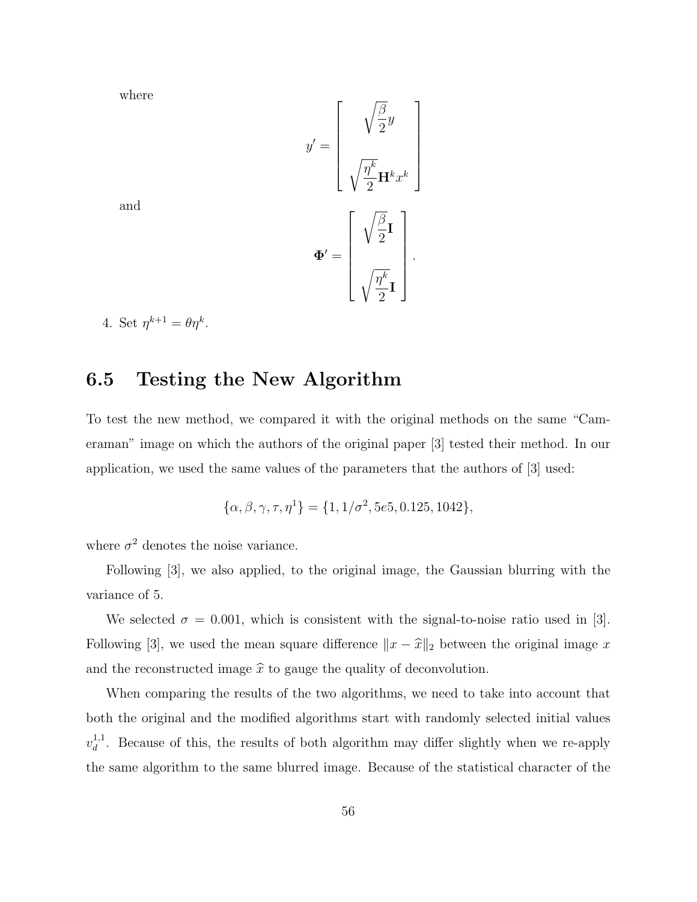where

$$
y' = \begin{bmatrix} \sqrt{\frac{\beta}{2}}y \\ \sqrt{\frac{\eta^k}{2}} \mathbf{H}^k x^k \end{bmatrix}
$$

$$
\Phi' = \begin{bmatrix} \sqrt{\frac{\beta}{2}}\mathbf{I} \\ \sqrt{\frac{\eta^k}{2}}\mathbf{I} \\ \sqrt{\frac{\eta^k}{2}}\mathbf{I} \end{bmatrix}.
$$

and

4. Set 
$$
\eta^{k+1} = \theta \eta^k
$$
.

#### 6.5 Testing the New Algorithm

To test the new method, we compared it with the original methods on the same "Cameraman" image on which the authors of the original paper [3] tested their method. In our application, we used the same values of the parameters that the authors of [3] used:

$$
\{\alpha, \beta, \gamma, \tau, \eta^1\} = \{1, 1/\sigma^2, 5e5, 0.125, 1042\},\
$$

where  $\sigma^2$  denotes the noise variance.

Following [3], we also applied, to the original image, the Gaussian blurring with the variance of 5.

We selected  $\sigma = 0.001$ , which is consistent with the signal-to-noise ratio used in [3]. Following [3], we used the mean square difference  $||x - \hat{x}||_2$  between the original image x and the reconstructed image  $\hat{x}$  to gauge the quality of deconvolution.

When comparing the results of the two algorithms, we need to take into account that both the original and the modified algorithms start with randomly selected initial values  $v_d^{1,1}$  $\frac{d}{d}$ . Because of this, the results of both algorithm may differ slightly when we re-apply the same algorithm to the same blurred image. Because of the statistical character of the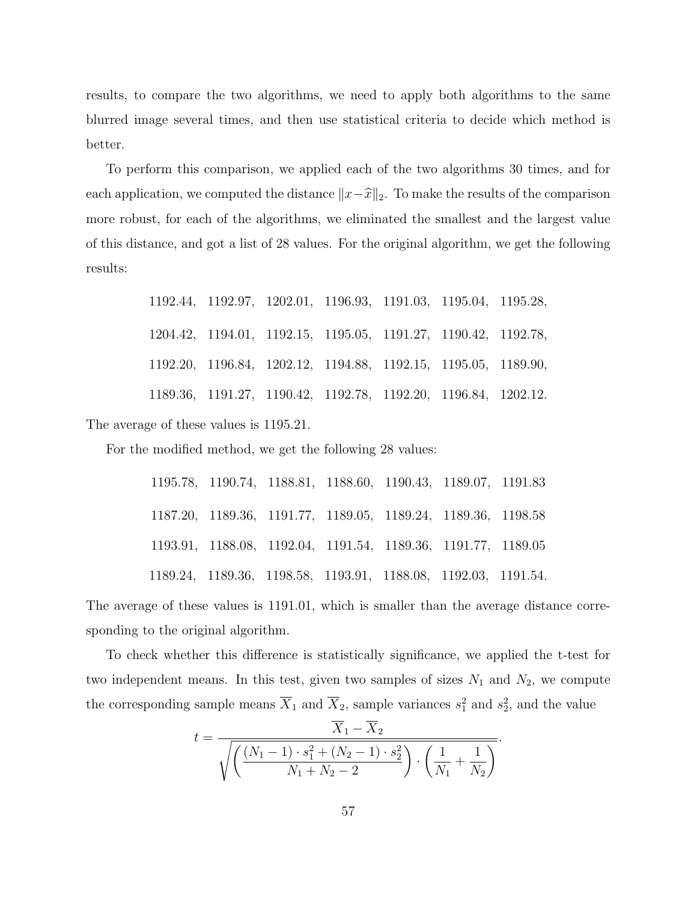results, to compare the two algorithms, we need to apply both algorithms to the same blurred image several times, and then use statistical criteria to decide which method is better.

To perform this comparison, we applied each of the two algorithms 30 times, and for each application, we computed the distance  $||x-\hat{x}||_2$ . To make the results of the comparison more robust, for each of the algorithms, we eliminated the smallest and the largest value of this distance, and got a list of 28 values. For the original algorithm, we get the following results:

| 1192.44, 1192.97, 1202.01, 1196.93, 1191.03, 1195.04, 1195.28, |                                                                |  |  |
|----------------------------------------------------------------|----------------------------------------------------------------|--|--|
|                                                                | 1204.42, 1194.01, 1192.15, 1195.05, 1191.27, 1190.42, 1192.78, |  |  |
|                                                                | 1192.20, 1196.84, 1202.12, 1194.88, 1192.15, 1195.05, 1189.90, |  |  |
|                                                                | 1189.36, 1191.27, 1190.42, 1192.78, 1192.20, 1196.84, 1202.12. |  |  |

The average of these values is 1195.21.

For the modified method, we get the following 28 values:

|  | 1195.78, 1190.74, 1188.81, 1188.60, 1190.43, 1189.07, 1191.83  |  |  |
|--|----------------------------------------------------------------|--|--|
|  | 1187.20, 1189.36, 1191.77, 1189.05, 1189.24, 1189.36, 1198.58  |  |  |
|  | 1193.91, 1188.08, 1192.04, 1191.54, 1189.36, 1191.77, 1189.05  |  |  |
|  | 1189.24, 1189.36, 1198.58, 1193.91, 1188.08, 1192.03, 1191.54. |  |  |

The average of these values is 1191.01, which is smaller than the average distance corresponding to the original algorithm.

To check whether this difference is statistically significance, we applied the t-test for two independent means. In this test, given two samples of sizes  $N_1$  and  $N_2$ , we compute the corresponding sample means  $\overline{X}_1$  and  $\overline{X}_2$ , sample variances  $s_1^2$  and  $s_2^2$ , and the value

$$
t = \frac{\overline{X}_1 - \overline{X}_2}{\sqrt{\left(\frac{(N_1 - 1) \cdot s_1^2 + (N_2 - 1) \cdot s_2^2}{N_1 + N_2 - 2}\right) \cdot \left(\frac{1}{N_1} + \frac{1}{N_2}\right)}}.
$$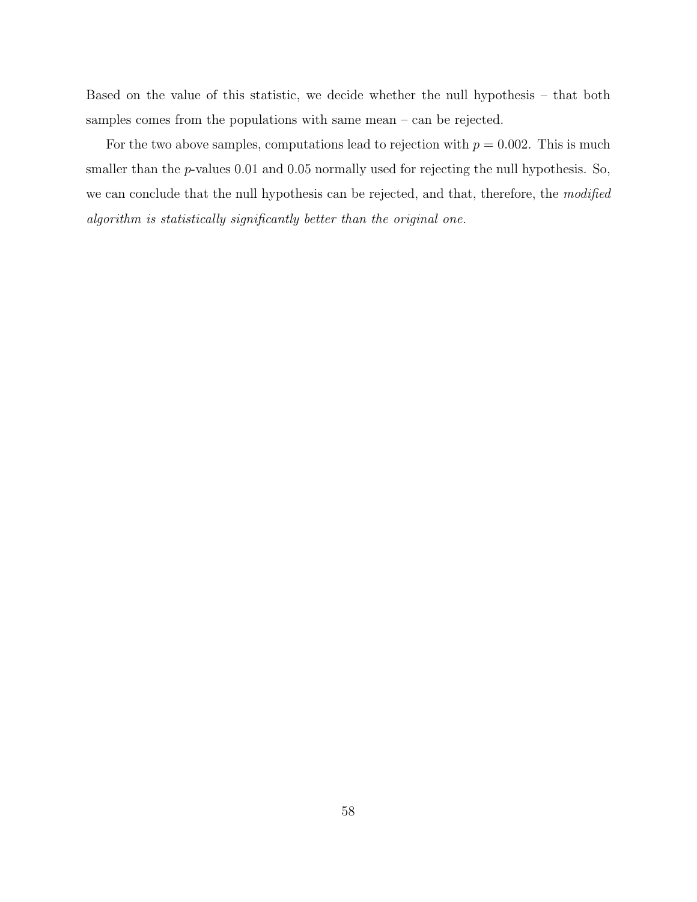Based on the value of this statistic, we decide whether the null hypothesis – that both samples comes from the populations with same mean – can be rejected.

For the two above samples, computations lead to rejection with  $p = 0.002$ . This is much smaller than the  $p$ -values 0.01 and 0.05 normally used for rejecting the null hypothesis. So, we can conclude that the null hypothesis can be rejected, and that, therefore, the modified algorithm is statistically significantly better than the original one.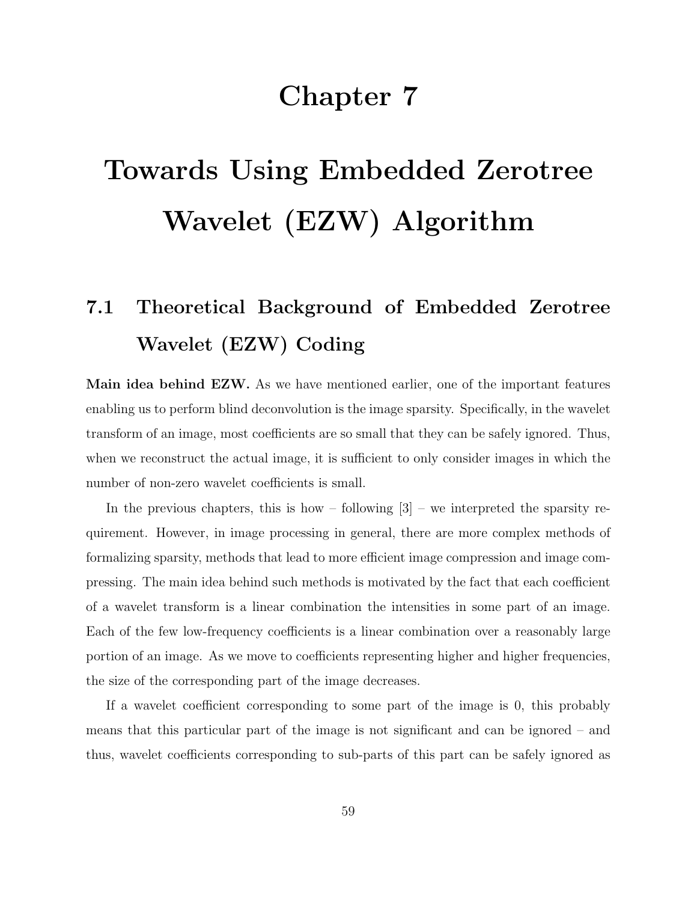## Chapter 7

## Towards Using Embedded Zerotree Wavelet (EZW) Algorithm

## 7.1 Theoretical Background of Embedded Zerotree Wavelet (EZW) Coding

Main idea behind EZW. As we have mentioned earlier, one of the important features enabling us to perform blind deconvolution is the image sparsity. Specifically, in the wavelet transform of an image, most coefficients are so small that they can be safely ignored. Thus, when we reconstruct the actual image, it is sufficient to only consider images in which the number of non-zero wavelet coefficients is small.

In the previous chapters, this is how – following  $[3]$  – we interpreted the sparsity requirement. However, in image processing in general, there are more complex methods of formalizing sparsity, methods that lead to more efficient image compression and image compressing. The main idea behind such methods is motivated by the fact that each coefficient of a wavelet transform is a linear combination the intensities in some part of an image. Each of the few low-frequency coefficients is a linear combination over a reasonably large portion of an image. As we move to coefficients representing higher and higher frequencies, the size of the corresponding part of the image decreases.

If a wavelet coefficient corresponding to some part of the image is 0, this probably means that this particular part of the image is not significant and can be ignored – and thus, wavelet coefficients corresponding to sub-parts of this part can be safely ignored as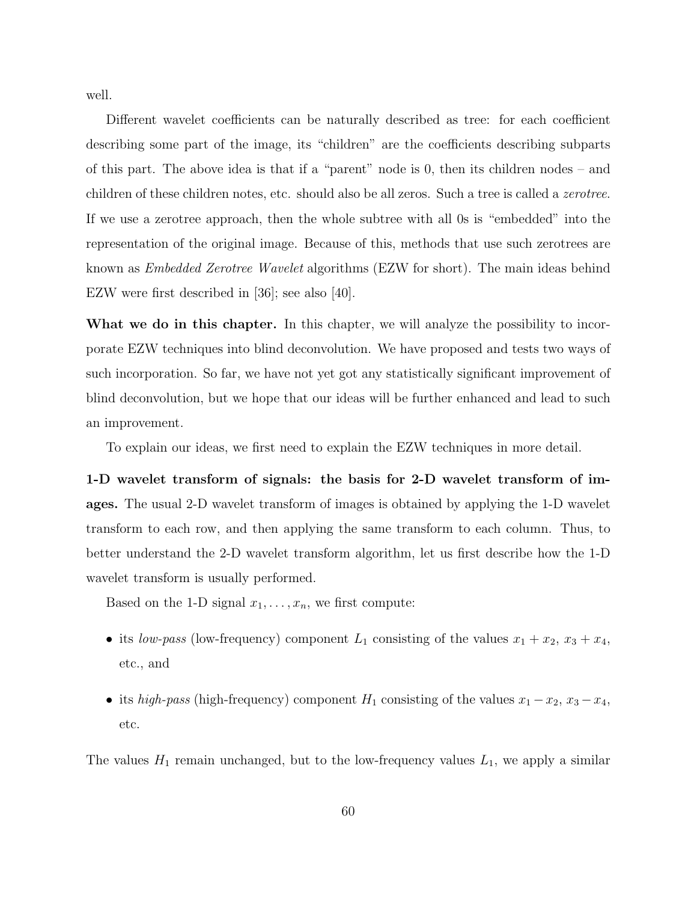well.

Different wavelet coefficients can be naturally described as tree: for each coefficient describing some part of the image, its "children" are the coefficients describing subparts of this part. The above idea is that if a "parent" node is 0, then its children nodes – and children of these children notes, etc. should also be all zeros. Such a tree is called a *zerotree*. If we use a zerotree approach, then the whole subtree with all 0s is "embedded" into the representation of the original image. Because of this, methods that use such zerotrees are known as Embedded Zerotree Wavelet algorithms (EZW for short). The main ideas behind EZW were first described in [36]; see also [40].

What we do in this chapter. In this chapter, we will analyze the possibility to incorporate EZW techniques into blind deconvolution. We have proposed and tests two ways of such incorporation. So far, we have not yet got any statistically significant improvement of blind deconvolution, but we hope that our ideas will be further enhanced and lead to such an improvement.

To explain our ideas, we first need to explain the EZW techniques in more detail.

1-D wavelet transform of signals: the basis for 2-D wavelet transform of images. The usual 2-D wavelet transform of images is obtained by applying the 1-D wavelet transform to each row, and then applying the same transform to each column. Thus, to better understand the 2-D wavelet transform algorithm, let us first describe how the 1-D wavelet transform is usually performed.

Based on the 1-D signal  $x_1, \ldots, x_n$ , we first compute:

- its low-pass (low-frequency) component  $L_1$  consisting of the values  $x_1 + x_2, x_3 + x_4$ , etc., and
- its high-pass (high-frequency) component  $H_1$  consisting of the values  $x_1 x_2, x_3 x_4$ , etc.

The values  $H_1$  remain unchanged, but to the low-frequency values  $L_1$ , we apply a similar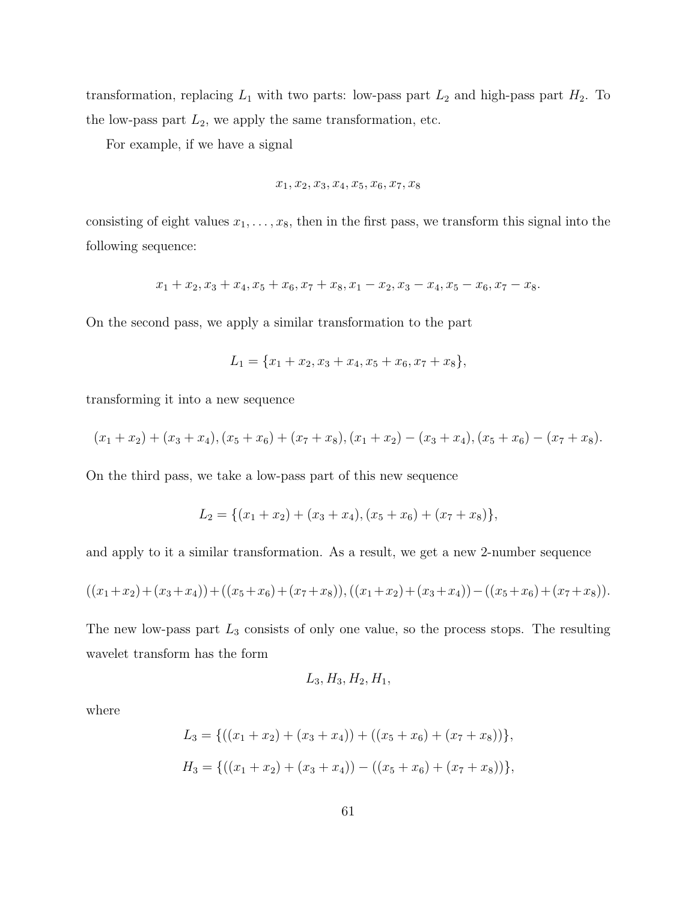transformation, replacing  $L_1$  with two parts: low-pass part  $L_2$  and high-pass part  $H_2$ . To the low-pass part  $L_2$ , we apply the same transformation, etc.

For example, if we have a signal

$$
x_1, x_2, x_3, x_4, x_5, x_6, x_7, x_8
$$

consisting of eight values  $x_1, \ldots, x_8$ , then in the first pass, we transform this signal into the following sequence:

$$
x_1 + x_2, x_3 + x_4, x_5 + x_6, x_7 + x_8, x_1 - x_2, x_3 - x_4, x_5 - x_6, x_7 - x_8.
$$

On the second pass, we apply a similar transformation to the part

$$
L_1 = \{x_1 + x_2, x_3 + x_4, x_5 + x_6, x_7 + x_8\},\
$$

transforming it into a new sequence

$$
(x_1 + x_2) + (x_3 + x_4), (x_5 + x_6) + (x_7 + x_8), (x_1 + x_2) - (x_3 + x_4), (x_5 + x_6) - (x_7 + x_8).
$$

On the third pass, we take a low-pass part of this new sequence

$$
L_2 = \{(x_1 + x_2) + (x_3 + x_4), (x_5 + x_6) + (x_7 + x_8)\},\
$$

and apply to it a similar transformation. As a result, we get a new 2-number sequence

$$
((x_1+x_2)+(x_3+x_4)) + ((x_5+x_6)+(x_7+x_8)), ((x_1+x_2)+(x_3+x_4)) - ((x_5+x_6)+(x_7+x_8)).
$$

The new low-pass part  $L_3$  consists of only one value, so the process stops. The resulting wavelet transform has the form

$$
L_3, H_3, H_2, H_1,
$$

where

$$
L_3 = \{((x_1 + x_2) + (x_3 + x_4)) + ((x_5 + x_6) + (x_7 + x_8))\},\
$$
  

$$
H_3 = \{((x_1 + x_2) + (x_3 + x_4)) - ((x_5 + x_6) + (x_7 + x_8))\},\
$$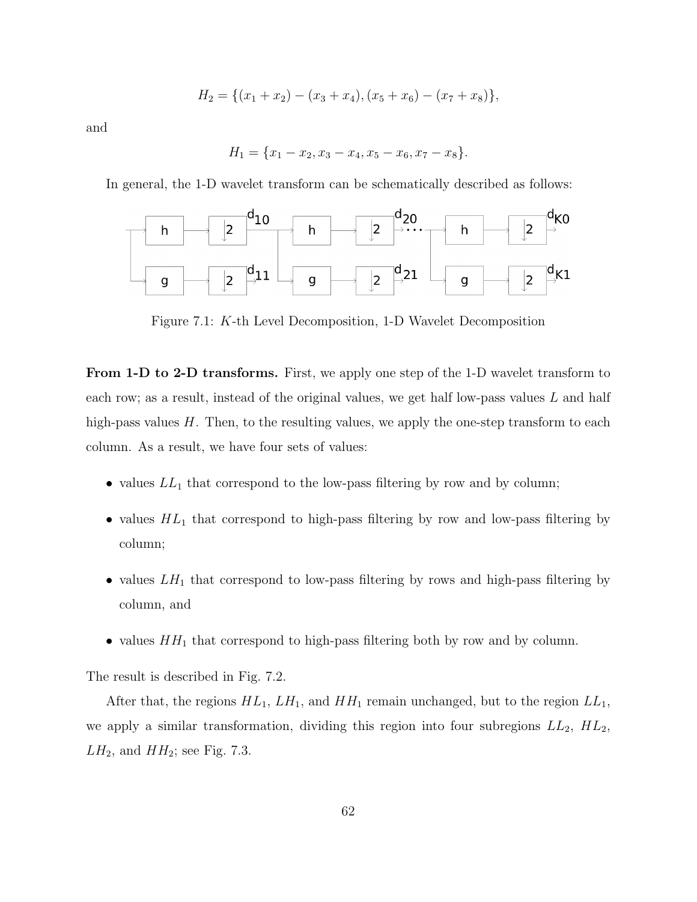$$
H_2 = \{(x_1 + x_2) - (x_3 + x_4), (x_5 + x_6) - (x_7 + x_8)\},\
$$

and

$$
H_1 = \{x_1 - x_2, x_3 - x_4, x_5 - x_6, x_7 - x_8\}.
$$

In general, the 1-D wavelet transform can be schematically described as follows:



Figure 7.1: K-th Level Decomposition, 1-D Wavelet Decomposition

From 1-D to 2-D transforms. First, we apply one step of the 1-D wavelet transform to each row; as a result, instead of the original values, we get half low-pass values  $L$  and half high-pass values H. Then, to the resulting values, we apply the one-step transform to each column. As a result, we have four sets of values:

- values  $LL_1$  that correspond to the low-pass filtering by row and by column;
- values  $HL_1$  that correspond to high-pass filtering by row and low-pass filtering by column;
- values  $LH_1$  that correspond to low-pass filtering by rows and high-pass filtering by column, and
- values  $HH_1$  that correspond to high-pass filtering both by row and by column.

The result is described in Fig. 7.2.

After that, the regions  $HL_1$ ,  $LH_1$ , and  $HH_1$  remain unchanged, but to the region  $LL_1$ , we apply a similar transformation, dividing this region into four subregions  $LL_2$ ,  $HL_2$ ,  $LH_2$ , and  $HH_2$ ; see Fig. 7.3.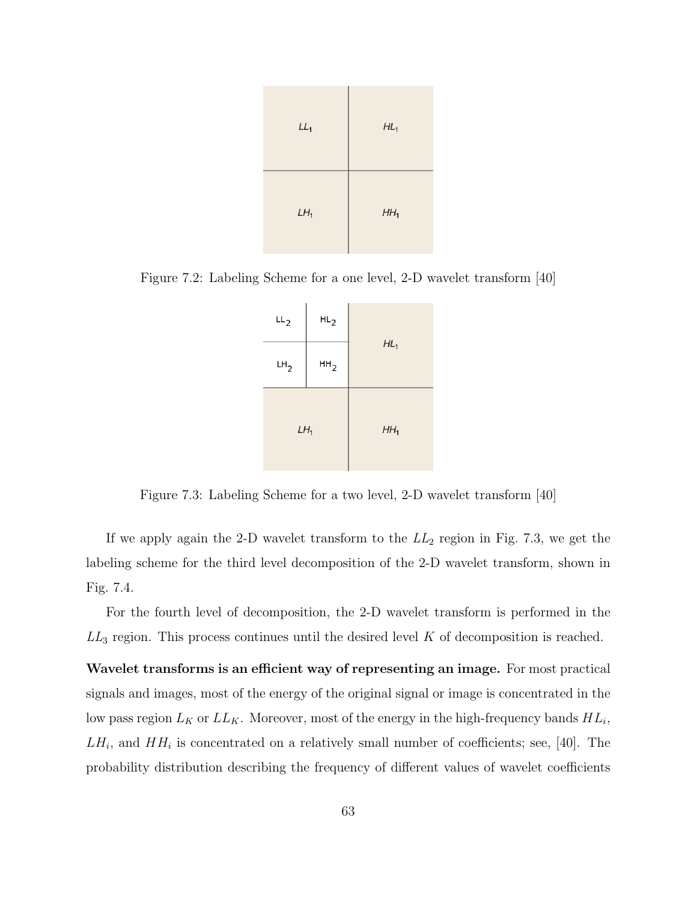

Figure 7.2: Labeling Scheme for a one level, 2-D wavelet transform [40]



Figure 7.3: Labeling Scheme for a two level, 2-D wavelet transform [40]

If we apply again the 2-D wavelet transform to the  $LL_2$  region in Fig. 7.3, we get the labeling scheme for the third level decomposition of the 2-D wavelet transform, shown in Fig. 7.4.

For the fourth level of decomposition, the 2-D wavelet transform is performed in the  $LL_3$  region. This process continues until the desired level  $K$  of decomposition is reached.

Wavelet transforms is an efficient way of representing an image. For most practical signals and images, most of the energy of the original signal or image is concentrated in the low pass region  $L_K$  or  $LL_K$ . Moreover, most of the energy in the high-frequency bands  $HL_i$ ,  $LH_i$ , and  $HH_i$  is concentrated on a relatively small number of coefficients; see, [40]. The probability distribution describing the frequency of different values of wavelet coefficients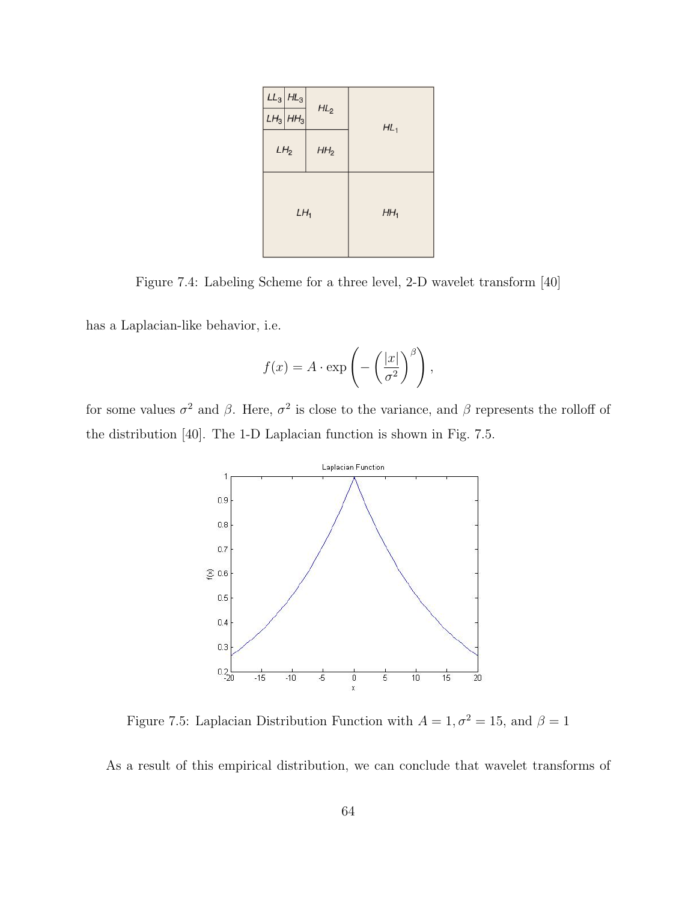|                 | $LL_3$ $HL_3$ |                 |                 |  |
|-----------------|---------------|-----------------|-----------------|--|
|                 | $LH_3$ $HH_3$ | $HL_2$          | $HL_1$          |  |
| LH <sub>2</sub> |               | HH <sub>2</sub> |                 |  |
| $LH_1$          |               |                 | HH <sub>1</sub> |  |

Figure 7.4: Labeling Scheme for a three level, 2-D wavelet transform [40]

has a Laplacian-like behavior, i.e.

$$
f(x) = A \cdot \exp\left(-\left(\frac{|x|}{\sigma^2}\right)^{\beta}\right),\,
$$

for some values  $\sigma^2$  and  $\beta$ . Here,  $\sigma^2$  is close to the variance, and  $\beta$  represents the rolloff of the distribution [40]. The 1-D Laplacian function is shown in Fig. 7.5.



Figure 7.5: Laplacian Distribution Function with  $A=1, \sigma^2=15,$  and  $\beta=1$ 

As a result of this empirical distribution, we can conclude that wavelet transforms of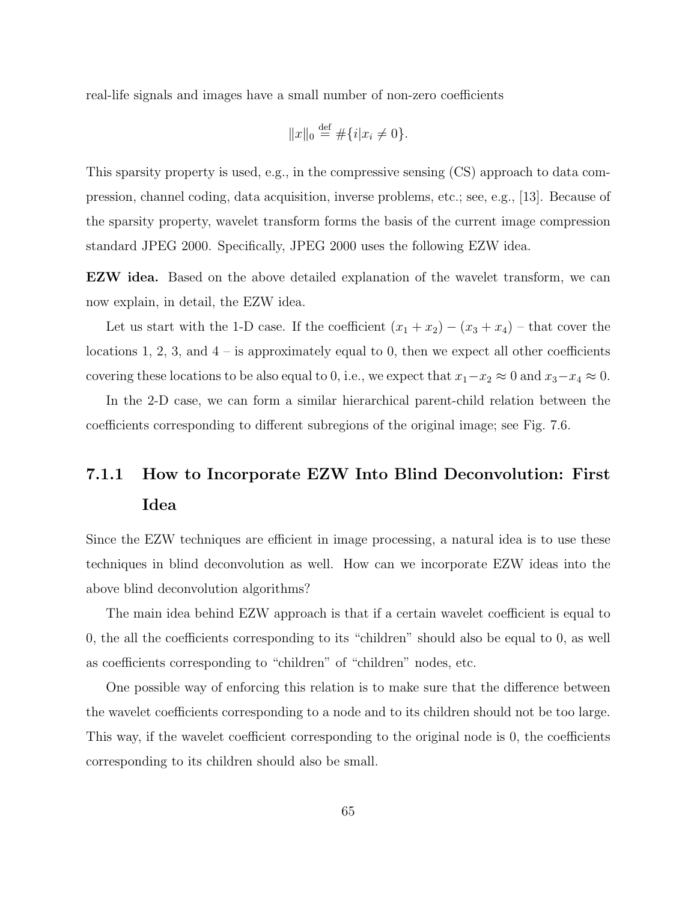real-life signals and images have a small number of non-zero coefficients

$$
||x||_0 \stackrel{\text{def}}{=} \# \{i | x_i \neq 0\}.
$$

This sparsity property is used, e.g., in the compressive sensing (CS) approach to data compression, channel coding, data acquisition, inverse problems, etc.; see, e.g., [13]. Because of the sparsity property, wavelet transform forms the basis of the current image compression standard JPEG 2000. Specifically, JPEG 2000 uses the following EZW idea.

EZW idea. Based on the above detailed explanation of the wavelet transform, we can now explain, in detail, the EZW idea.

Let us start with the 1-D case. If the coefficient  $(x_1 + x_2) - (x_3 + x_4)$  – that cover the locations 1, 2, 3, and  $4$  – is approximately equal to 0, then we expect all other coefficients covering these locations to be also equal to 0, i.e., we expect that  $x_1-x_2 \approx 0$  and  $x_3-x_4 \approx 0$ .

In the 2-D case, we can form a similar hierarchical parent-child relation between the coefficients corresponding to different subregions of the original image; see Fig. 7.6.

## 7.1.1 How to Incorporate EZW Into Blind Deconvolution: First Idea

Since the EZW techniques are efficient in image processing, a natural idea is to use these techniques in blind deconvolution as well. How can we incorporate EZW ideas into the above blind deconvolution algorithms?

The main idea behind EZW approach is that if a certain wavelet coefficient is equal to 0, the all the coefficients corresponding to its "children" should also be equal to 0, as well as coefficients corresponding to "children" of "children" nodes, etc.

One possible way of enforcing this relation is to make sure that the difference between the wavelet coefficients corresponding to a node and to its children should not be too large. This way, if the wavelet coefficient corresponding to the original node is 0, the coefficients corresponding to its children should also be small.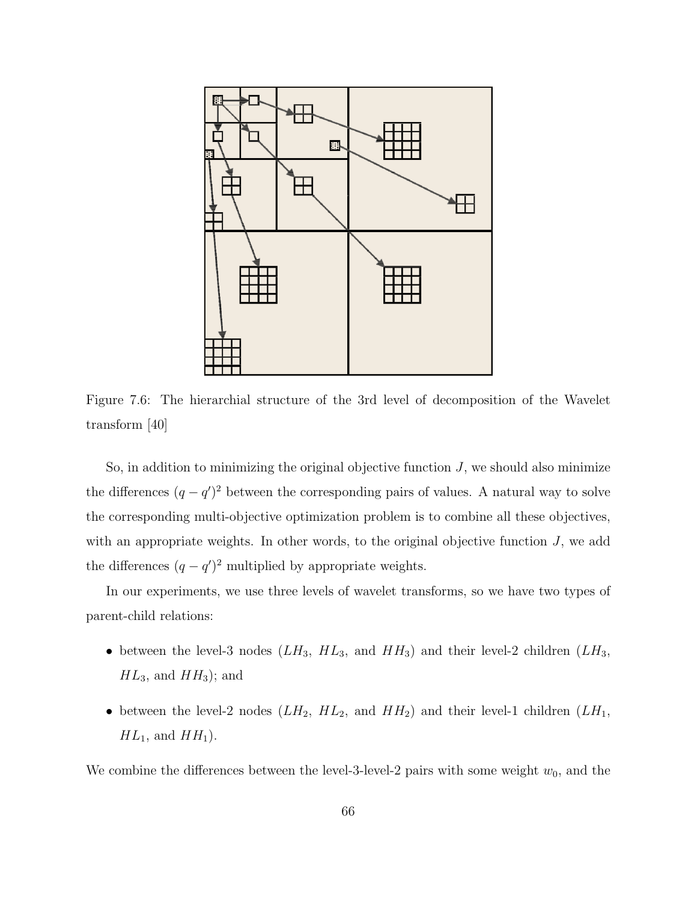

Figure 7.6: The hierarchial structure of the 3rd level of decomposition of the Wavelet transform [40]

So, in addition to minimizing the original objective function  $J$ , we should also minimize the differences  $(q - q')^2$  between the corresponding pairs of values. A natural way to solve the corresponding multi-objective optimization problem is to combine all these objectives, with an appropriate weights. In other words, to the original objective function  $J$ , we add the differences  $(q - q')^2$  multiplied by appropriate weights.

In our experiments, we use three levels of wavelet transforms, so we have two types of parent-child relations:

- between the level-3 nodes  $(LH_3, HL_3, \text{ and } HH_3)$  and their level-2 children  $(LH_3, H_3)$  $HL_3$ , and  $HH_3$ ); and
- between the level-2 nodes  $(LH_2, HL_2, \text{ and } HH_2)$  and their level-1 children  $(LH_1,$  $HL_1$ , and  $HH_1$ ).

We combine the differences between the level-3-level-2 pairs with some weight  $w_0$ , and the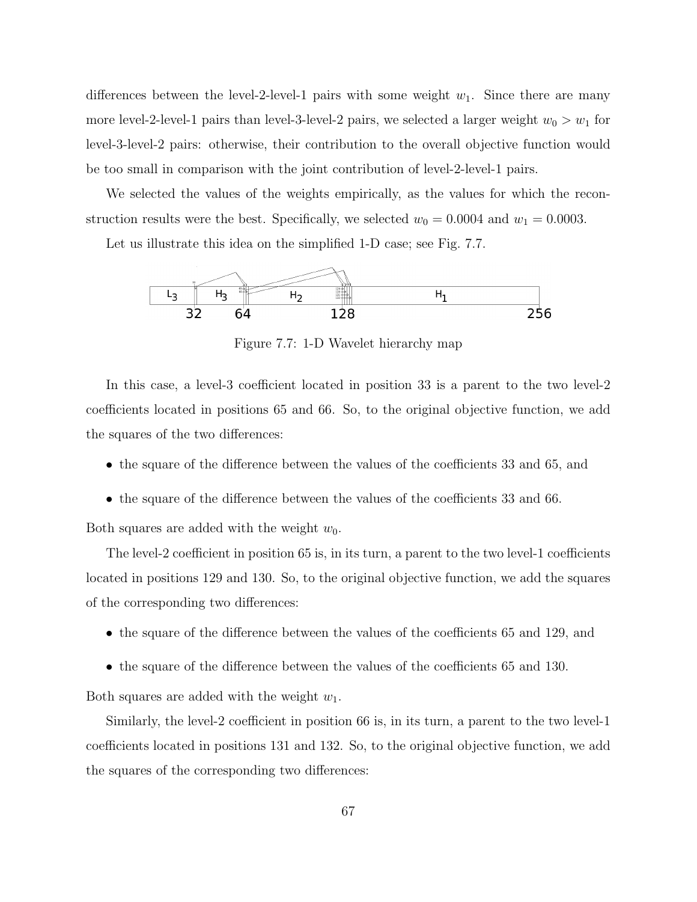differences between the level-2-level-1 pairs with some weight  $w_1$ . Since there are many more level-2-level-1 pairs than level-3-level-2 pairs, we selected a larger weight  $w_0 > w_1$  for level-3-level-2 pairs: otherwise, their contribution to the overall objective function would be too small in comparison with the joint contribution of level-2-level-1 pairs.

We selected the values of the weights empirically, as the values for which the reconstruction results were the best. Specifically, we selected  $w_0 = 0.0004$  and  $w_1 = 0.0003$ .

Let us illustrate this idea on the simplified 1-D case; see Fig. 7.7.



Figure 7.7: 1-D Wavelet hierarchy map

In this case, a level-3 coefficient located in position 33 is a parent to the two level-2 coefficients located in positions 65 and 66. So, to the original objective function, we add the squares of the two differences:

- the square of the difference between the values of the coefficients 33 and 65, and
- the square of the difference between the values of the coefficients 33 and 66.

Both squares are added with the weight  $w_0$ .

The level-2 coefficient in position 65 is, in its turn, a parent to the two level-1 coefficients located in positions 129 and 130. So, to the original objective function, we add the squares of the corresponding two differences:

- the square of the difference between the values of the coefficients 65 and 129, and
- the square of the difference between the values of the coefficients 65 and 130.

Both squares are added with the weight  $w_1$ .

Similarly, the level-2 coefficient in position 66 is, in its turn, a parent to the two level-1 coefficients located in positions 131 and 132. So, to the original objective function, we add the squares of the corresponding two differences: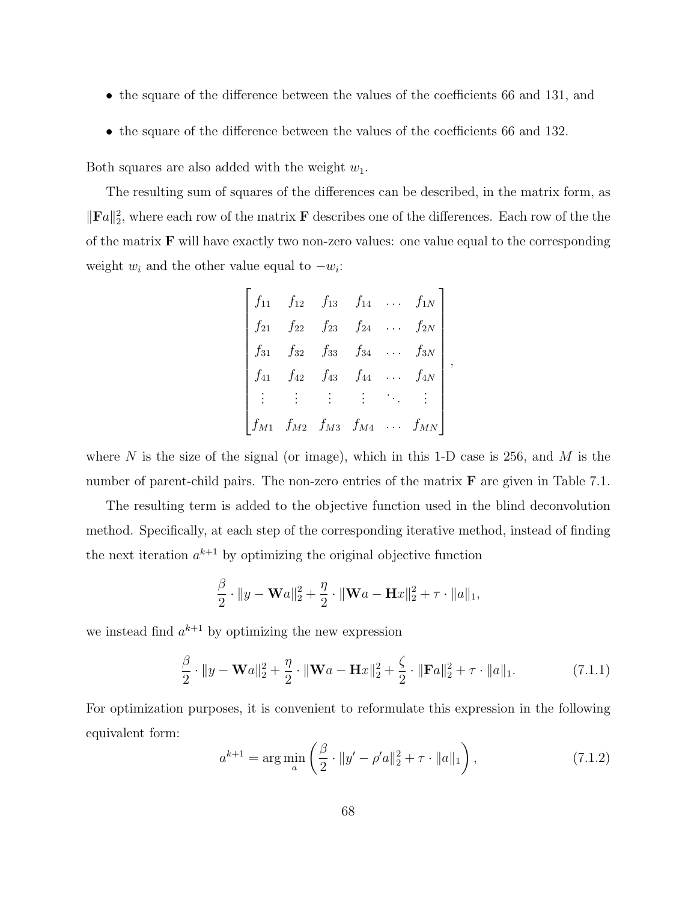- the square of the difference between the values of the coefficients 66 and 131, and
- the square of the difference between the values of the coefficients 66 and 132.

Both squares are also added with the weight  $w_1$ .

The resulting sum of squares of the differences can be described, in the matrix form, as  $\|\mathbf{F}a\|_2^2$ , where each row of the matrix **F** describes one of the differences. Each row of the the of the matrix  $\bf{F}$  will have exactly two non-zero values: one value equal to the corresponding weight  $w_i$  and the other value equal to  $-w_i$ :

$$
\begin{bmatrix}\nf_{11} & f_{12} & f_{13} & f_{14} & \cdots & f_{1N} \\
f_{21} & f_{22} & f_{23} & f_{24} & \cdots & f_{2N} \\
f_{31} & f_{32} & f_{33} & f_{34} & \cdots & f_{3N} \\
f_{41} & f_{42} & f_{43} & f_{44} & \cdots & f_{4N} \\
\vdots & \vdots & \vdots & \ddots & \vdots \\
f_{M1} & f_{M2} & f_{M3} & f_{M4} & \cdots & f_{MN}\n\end{bmatrix},
$$

where N is the size of the signal (or image), which in this 1-D case is 256, and M is the number of parent-child pairs. The non-zero entries of the matrix  $\bf{F}$  are given in Table 7.1.

The resulting term is added to the objective function used in the blind deconvolution method. Specifically, at each step of the corresponding iterative method, instead of finding the next iteration  $a^{k+1}$  by optimizing the original objective function

$$
\frac{\beta}{2} \cdot \|y - \mathbf{W}a\|_2^2 + \frac{\eta}{2} \cdot \|\mathbf{W}a - \mathbf{H}x\|_2^2 + \tau \cdot \|a\|_1,
$$

we instead find  $a^{k+1}$  by optimizing the new expression

$$
\frac{\beta}{2} \cdot \|y - \mathbf{W}a\|_2^2 + \frac{\eta}{2} \cdot \|\mathbf{W}a - \mathbf{H}x\|_2^2 + \frac{\zeta}{2} \cdot \|\mathbf{F}a\|_2^2 + \tau \cdot \|a\|_1. \tag{7.1.1}
$$

For optimization purposes, it is convenient to reformulate this expression in the following equivalent form:

$$
a^{k+1} = \arg\min_{a} \left( \frac{\beta}{2} \cdot \|y' - \rho'a\|_2^2 + \tau \cdot \|a\|_1 \right),\tag{7.1.2}
$$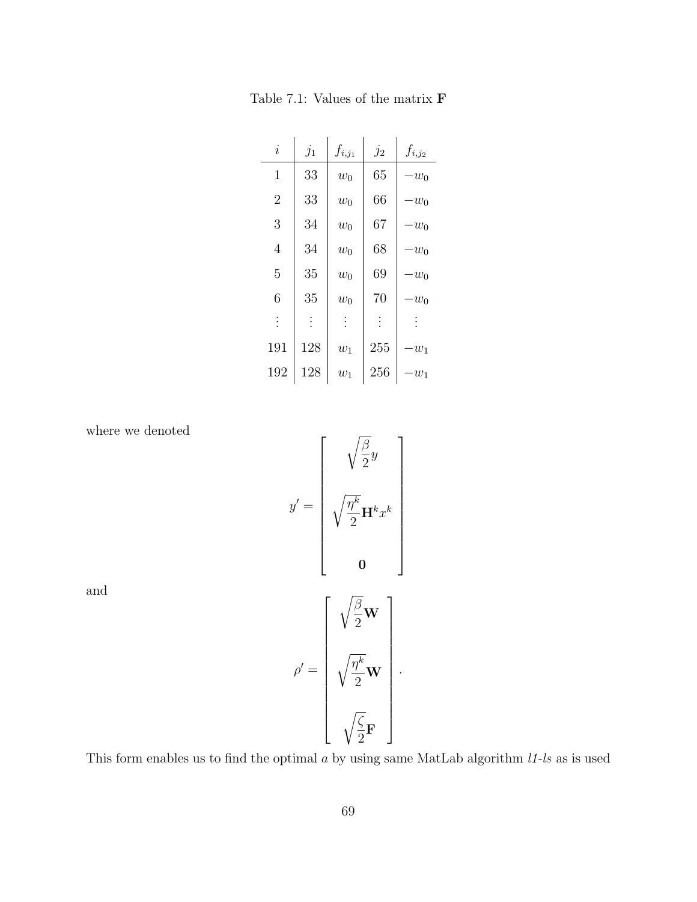| $\dot{i}$      | $j_1$    | $f_{i,j_1}$ | $j_2$    | $f_{i,j_2}$ |
|----------------|----------|-------------|----------|-------------|
| 1              | 33       | $w_0$       | 65       | $-w_0$      |
| $\overline{2}$ | 33       | $w_0$       | 66       | $-w_0$      |
| 3              | 34       | $w_0$       | 67       | $-w_0$      |
| $\overline{4}$ | 34       | $w_0$       | 68       | $-w_0$      |
| 5              | 35       | $w_0$       | 69       | $-w_0$      |
| 6              | 35       | $w_0$       | 70       | $w_0$       |
| $\vdots$       | $\vdots$ | $\vdots$    | $\vdots$ |             |
| 191            | 128      | $w_1$       | 255      | $w_1$       |
| 192            | 128      | $w_1$       | 256      | $w_1$       |

Table 7.1: Values of the matrix F

where we denoted

 $y' =$  $\sqrt{ }$   $\sqrt{\beta}$ 2  $\hat{y}$  $\sqrt{\eta^k}$ 2  $\mathbf{H}^k x^k$ 0 1 

and

$$
\rho' = \left[ \begin{array}{c} \sqrt{\frac{\beta}{2}} \mathbf{W} \\ \\ \sqrt{\frac{\eta^k}{2}} \mathbf{W} \\ \\ \sqrt{\frac{\zeta}{2}} \mathbf{F} \end{array} \right].
$$

This form enables us to find the optimal  $a$  by using same MatLab algorithm  $l1-ls$  as is used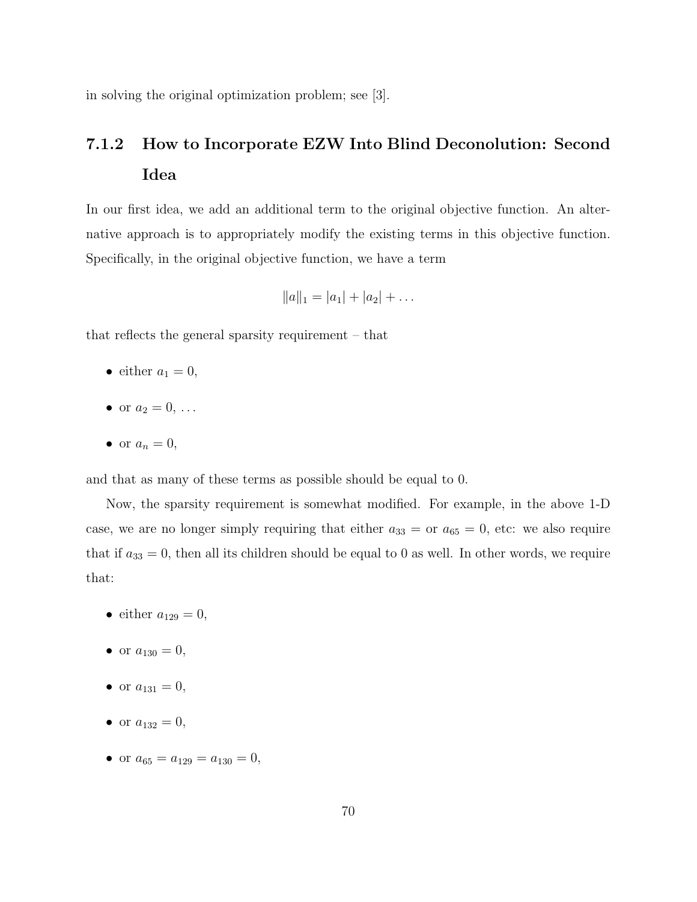in solving the original optimization problem; see [3].

## 7.1.2 How to Incorporate EZW Into Blind Deconolution: Second Idea

In our first idea, we add an additional term to the original objective function. An alternative approach is to appropriately modify the existing terms in this objective function. Specifically, in the original objective function, we have a term

$$
||a||_1 = |a_1| + |a_2| + \dots
$$

that reflects the general sparsity requirement – that

- either  $a_1 = 0$ ,
- or  $a_2 = 0, \ldots$
- or  $a_n = 0$ ,

and that as many of these terms as possible should be equal to 0.

Now, the sparsity requirement is somewhat modified. For example, in the above 1-D case, we are no longer simply requiring that either  $a_{33} =$  or  $a_{65} = 0$ , etc: we also require that if  $a_{33} = 0$ , then all its children should be equal to 0 as well. In other words, we require that:

- either  $a_{129} = 0$ ,
- or  $a_{130} = 0$ ,
- or  $a_{131} = 0$ ,
- or  $a_{132} = 0$ ,
- or  $a_{65} = a_{129} = a_{130} = 0$ ,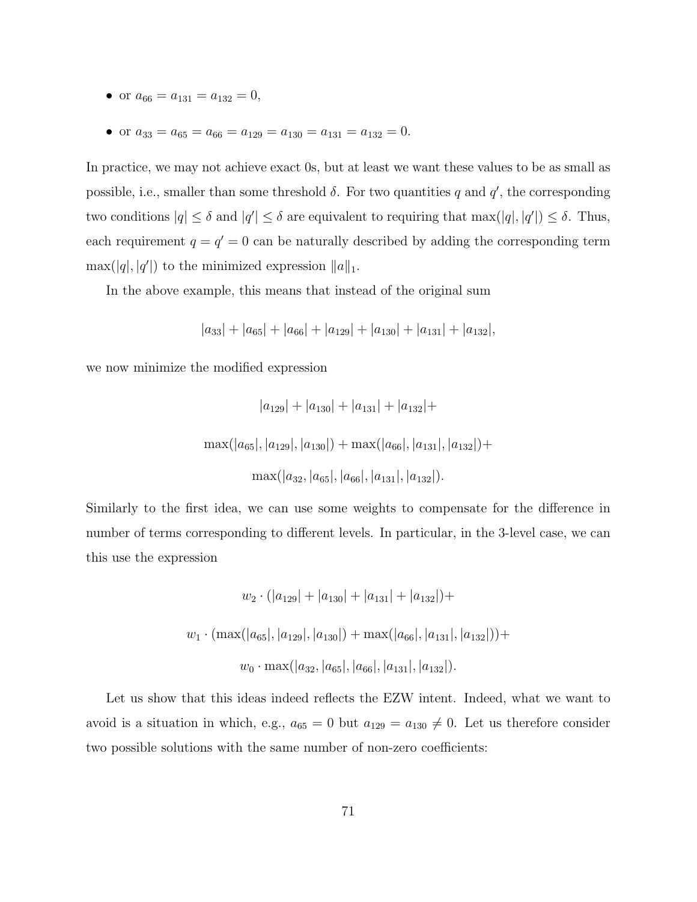- or  $a_{66} = a_{131} = a_{132} = 0$ ,
- or  $a_{33} = a_{65} = a_{66} = a_{129} = a_{130} = a_{131} = a_{132} = 0.$

In practice, we may not achieve exact 0s, but at least we want these values to be as small as possible, i.e., smaller than some threshold  $\delta$ . For two quantities q and  $q'$ , the corresponding two conditions  $|q| \leq \delta$  and  $|q'| \leq \delta$  are equivalent to requiring that  $\max(|q|, |q'|) \leq \delta$ . Thus, each requirement  $q = q' = 0$  can be naturally described by adding the corresponding term  $\max(|q|, |q'|)$  to the minimized expression  $||a||_1$ .

In the above example, this means that instead of the original sum

$$
|a_{33}| + |a_{65}| + |a_{66}| + |a_{129}| + |a_{130}| + |a_{131}| + |a_{132}|,
$$

we now minimize the modified expression

$$
|a_{129}| + |a_{130}| + |a_{131}| + |a_{132}| +
$$
  

$$
\max(|a_{65}|, |a_{129}|, |a_{130}|) + \max(|a_{66}|, |a_{131}|, |a_{132}|) +
$$
  

$$
\max(|a_{32}, |a_{65}|, |a_{66}|, |a_{131}|, |a_{132}|).
$$

Similarly to the first idea, we can use some weights to compensate for the difference in number of terms corresponding to different levels. In particular, in the 3-level case, we can this use the expression

$$
w_2 \cdot (|a_{129}| + |a_{130}| + |a_{131}| + |a_{132}|) +
$$
  

$$
w_1 \cdot (\max(|a_{65}|, |a_{129}|, |a_{130}|) + \max(|a_{66}|, |a_{131}|, |a_{132}|)) +
$$
  

$$
w_0 \cdot \max(|a_{32}, |a_{65}|, |a_{66}|, |a_{131}|, |a_{132}|).
$$

Let us show that this ideas indeed reflects the EZW intent. Indeed, what we want to avoid is a situation in which, e.g.,  $a_{65} = 0$  but  $a_{129} = a_{130} \neq 0$ . Let us therefore consider two possible solutions with the same number of non-zero coefficients: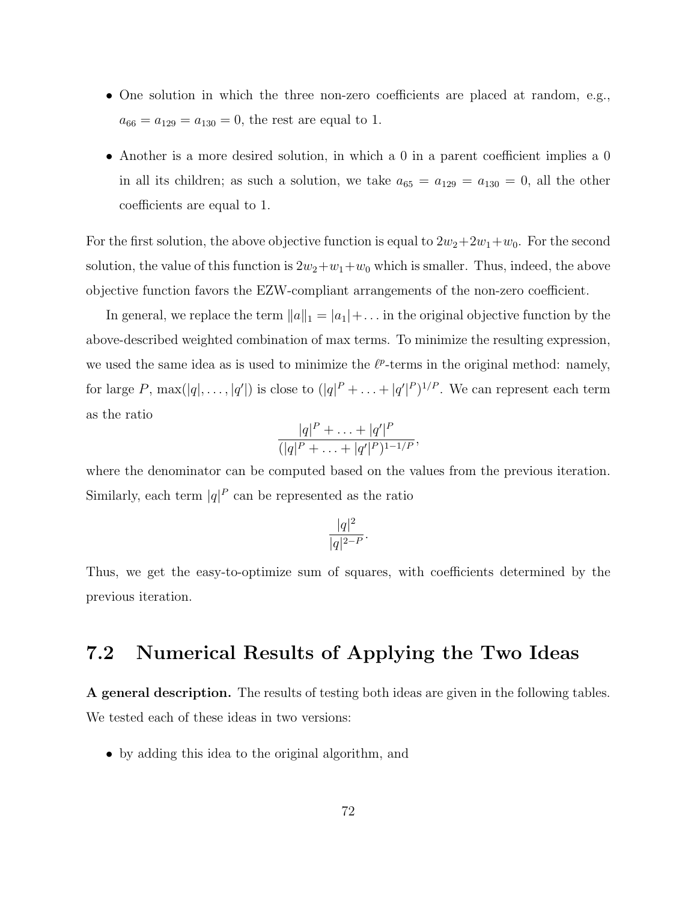- One solution in which the three non-zero coefficients are placed at random, e.g.,  $a_{66} = a_{129} = a_{130} = 0$ , the rest are equal to 1.
- Another is a more desired solution, in which a 0 in a parent coefficient implies a 0 in all its children; as such a solution, we take  $a_{65} = a_{129} = a_{130} = 0$ , all the other coefficients are equal to 1.

For the first solution, the above objective function is equal to  $2w_2+2w_1+w_0$ . For the second solution, the value of this function is  $2w_2+w_1+w_0$  which is smaller. Thus, indeed, the above objective function favors the EZW-compliant arrangements of the non-zero coefficient.

In general, we replace the term  $||a||_1 = |a_1| + \dots$  in the original objective function by the above-described weighted combination of max terms. To minimize the resulting expression, we used the same idea as is used to minimize the  $\ell^p$ -terms in the original method: namely, for large P,  $\max(|q|, \ldots, |q'|)$  is close to  $(|q|^P + \ldots + |q'|^P)^{1/P}$ . We can represent each term as the ratio

$$
\frac{|q|^P + \ldots + |q'|^P}{(|q|^P + \ldots + |q'|^P)^{1-1/P}},
$$

where the denominator can be computed based on the values from the previous iteration. Similarly, each term  $|q|^P$  can be represented as the ratio

$$
\frac{|q|^2}{|q|^{2-P}}.
$$

Thus, we get the easy-to-optimize sum of squares, with coefficients determined by the previous iteration.

## 7.2 Numerical Results of Applying the Two Ideas

A general description. The results of testing both ideas are given in the following tables. We tested each of these ideas in two versions:

• by adding this idea to the original algorithm, and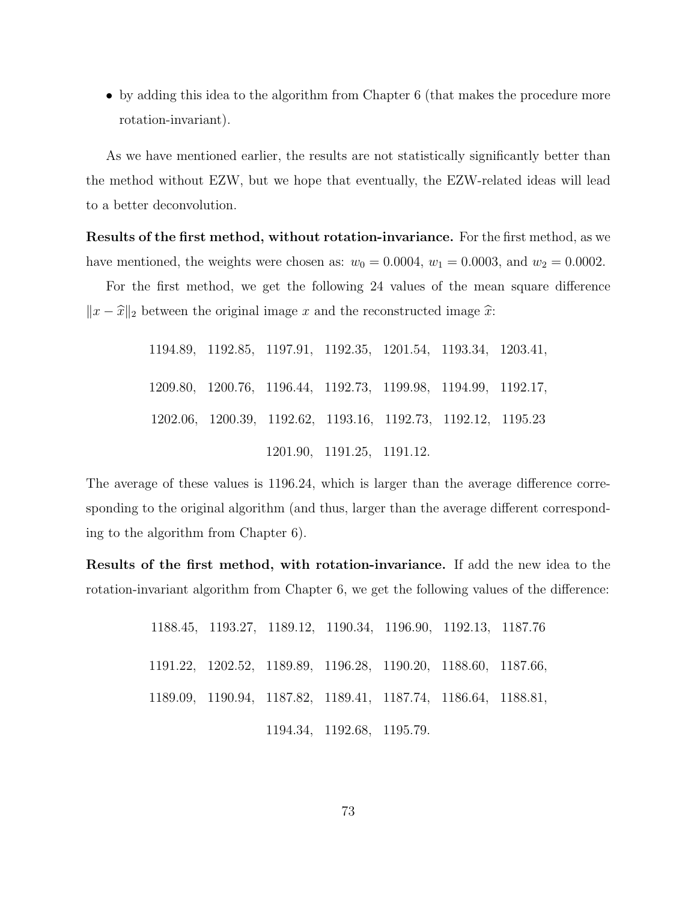• by adding this idea to the algorithm from Chapter 6 (that makes the procedure more rotation-invariant).

As we have mentioned earlier, the results are not statistically significantly better than the method without EZW, but we hope that eventually, the EZW-related ideas will lead to a better deconvolution.

Results of the first method, without rotation-invariance. For the first method, as we have mentioned, the weights were chosen as:  $w_0 = 0.0004$ ,  $w_1 = 0.0003$ , and  $w_2 = 0.0002$ .

For the first method, we get the following 24 values of the mean square difference  $||x - \hat{x}||_2$  between the original image x and the reconstructed image  $\hat{x}$ :

> .89, 1192.85, 1197.91, 1192.35, 1201.54, 1193.34, 1203.41, .80, 1200.76, 1196.44, 1192.73, 1199.98, 1194.99, 1192.17, .06, 1200.39, 1192.62, 1193.16, 1192.73, 1192.12, 1195.23 .90, 1191.25, 1191.12.

The average of these values is 1196.24, which is larger than the average difference corresponding to the original algorithm (and thus, larger than the average different corresponding to the algorithm from Chapter 6).

Results of the first method, with rotation-invariance. If add the new idea to the rotation-invariant algorithm from Chapter 6, we get the following values of the difference:

> .45, 1193.27, 1189.12, 1190.34, 1196.90, 1192.13, 1187.76 .22, 1202.52, 1189.89, 1196.28, 1190.20, 1188.60, 1187.66, .09, 1190.94, 1187.82, 1189.41, 1187.74, 1186.64, 1188.81, .34, 1192.68, 1195.79.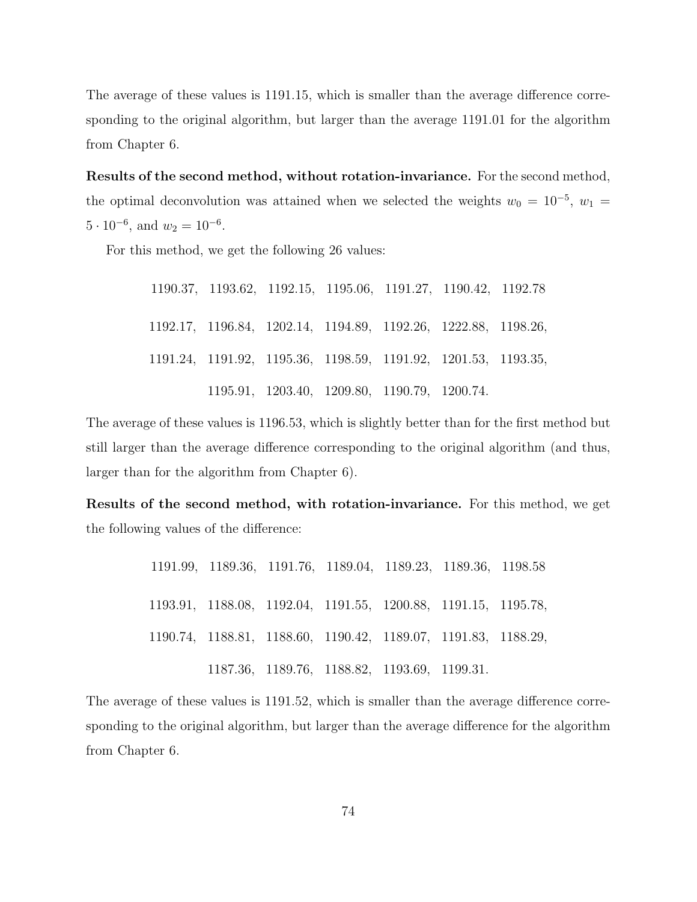The average of these values is 1191.15, which is smaller than the average difference corresponding to the original algorithm, but larger than the average 1191.01 for the algorithm from Chapter 6.

Results of the second method, without rotation-invariance. For the second method, the optimal deconvolution was attained when we selected the weights  $w_0 = 10^{-5}$ ,  $w_1 =$  $5 \cdot 10^{-6}$ , and  $w_2 = 10^{-6}$ .

For this method, we get the following 26 values:

| 1190.37, 1193.62, 1192.15, 1195.06, 1191.27, 1190.42, 1192.78  |                                              |  |  |
|----------------------------------------------------------------|----------------------------------------------|--|--|
| 1192.17, 1196.84, 1202.14, 1194.89, 1192.26, 1222.88, 1198.26, |                                              |  |  |
| 1191.24, 1191.92, 1195.36, 1198.59, 1191.92, 1201.53, 1193.35, |                                              |  |  |
|                                                                | 1195.91, 1203.40, 1209.80, 1190.79, 1200.74. |  |  |

The average of these values is 1196.53, which is slightly better than for the first method but still larger than the average difference corresponding to the original algorithm (and thus, larger than for the algorithm from Chapter 6).

Results of the second method, with rotation-invariance. For this method, we get the following values of the difference:

> .99, 1189.36, 1191.76, 1189.04, 1189.23, 1189.36, 1198.58 .91, 1188.08, 1192.04, 1191.55, 1200.88, 1191.15, 1195.78, .74, 1188.81, 1188.60, 1190.42, 1189.07, 1191.83, 1188.29, .36, 1189.76, 1188.82, 1193.69, 1199.31.

The average of these values is 1191.52, which is smaller than the average difference corresponding to the original algorithm, but larger than the average difference for the algorithm from Chapter 6.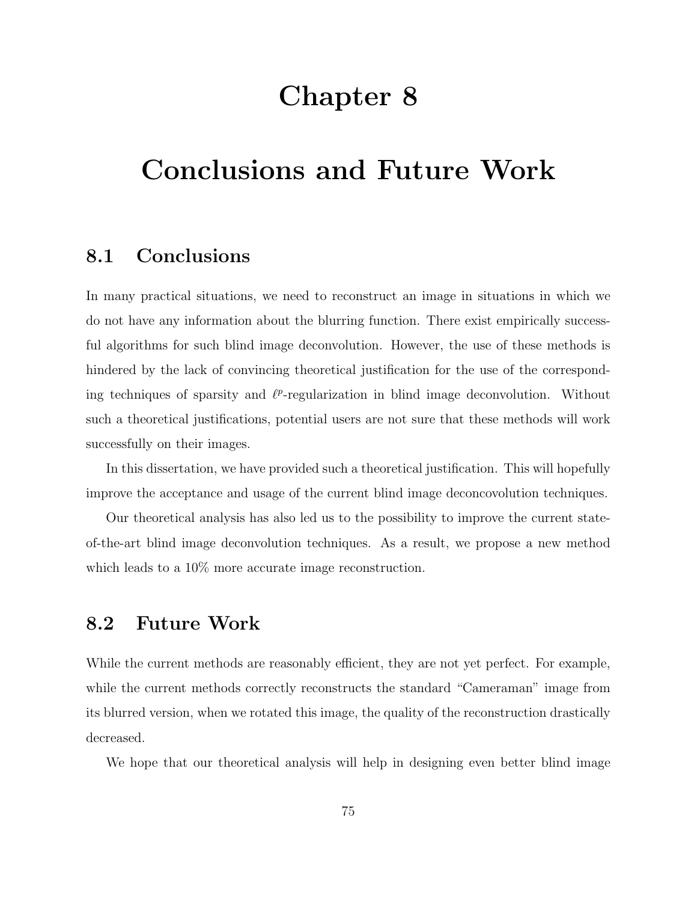## Chapter 8

# Conclusions and Future Work

#### 8.1 Conclusions

In many practical situations, we need to reconstruct an image in situations in which we do not have any information about the blurring function. There exist empirically successful algorithms for such blind image deconvolution. However, the use of these methods is hindered by the lack of convincing theoretical justification for the use of the corresponding techniques of sparsity and  $\ell^p$ -regularization in blind image deconvolution. Without such a theoretical justifications, potential users are not sure that these methods will work successfully on their images.

In this dissertation, we have provided such a theoretical justification. This will hopefully improve the acceptance and usage of the current blind image deconcovolution techniques.

Our theoretical analysis has also led us to the possibility to improve the current stateof-the-art blind image deconvolution techniques. As a result, we propose a new method which leads to a  $10\%$  more accurate image reconstruction.

### 8.2 Future Work

While the current methods are reasonably efficient, they are not yet perfect. For example, while the current methods correctly reconstructs the standard "Cameraman" image from its blurred version, when we rotated this image, the quality of the reconstruction drastically decreased.

We hope that our theoretical analysis will help in designing even better blind image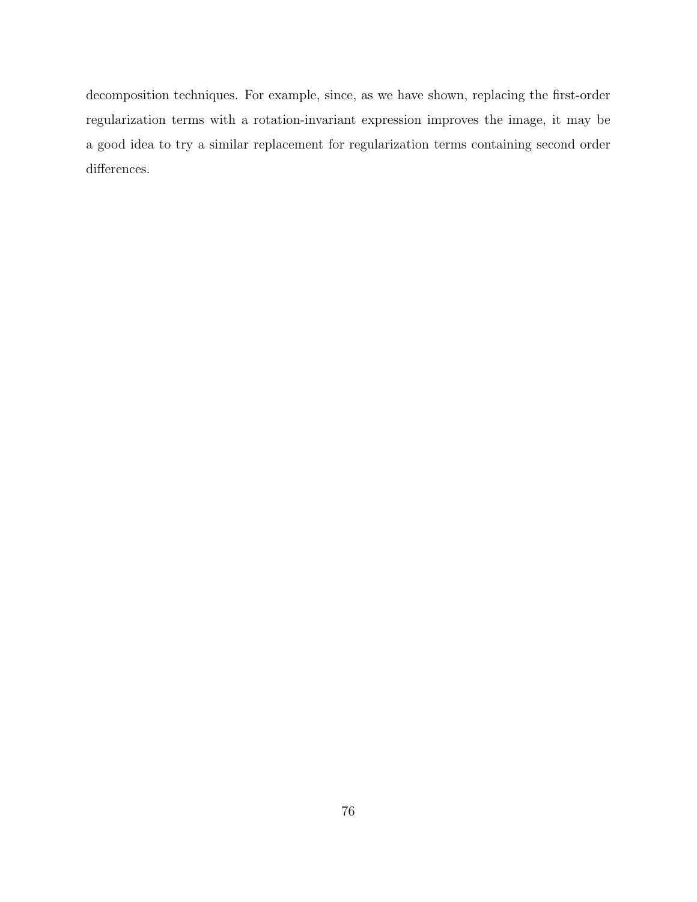decomposition techniques. For example, since, as we have shown, replacing the first-order regularization terms with a rotation-invariant expression improves the image, it may be a good idea to try a similar replacement for regularization terms containing second order differences.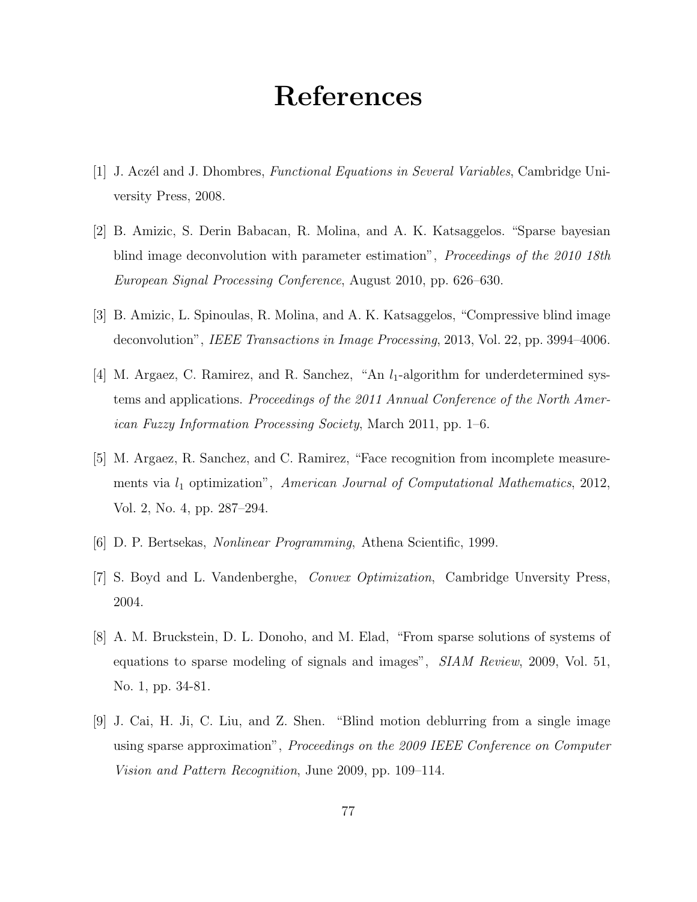## References

- [1] J. Aczél and J. Dhombres, *Functional Equations in Several Variables*, Cambridge University Press, 2008.
- [2] B. Amizic, S. Derin Babacan, R. Molina, and A. K. Katsaggelos. "Sparse bayesian blind image deconvolution with parameter estimation", Proceedings of the 2010 18th European Signal Processing Conference, August 2010, pp. 626–630.
- [3] B. Amizic, L. Spinoulas, R. Molina, and A. K. Katsaggelos, "Compressive blind image deconvolution", IEEE Transactions in Image Processing, 2013, Vol. 22, pp. 3994–4006.
- [4] M. Argaez, C. Ramirez, and R. Sanchez, "An  $l_1$ -algorithm for underdetermined systems and applications. Proceedings of the 2011 Annual Conference of the North American Fuzzy Information Processing Society, March 2011, pp. 1–6.
- [5] M. Argaez, R. Sanchez, and C. Ramirez, "Face recognition from incomplete measurements via  $l_1$  optimization", American Journal of Computational Mathematics, 2012, Vol. 2, No. 4, pp. 287–294.
- [6] D. P. Bertsekas, Nonlinear Programming, Athena Scientific, 1999.
- [7] S. Boyd and L. Vandenberghe, Convex Optimization, Cambridge Unversity Press, 2004.
- [8] A. M. Bruckstein, D. L. Donoho, and M. Elad, "From sparse solutions of systems of equations to sparse modeling of signals and images", SIAM Review, 2009, Vol. 51, No. 1, pp. 34-81.
- [9] J. Cai, H. Ji, C. Liu, and Z. Shen. "Blind motion deblurring from a single image using sparse approximation", Proceedings on the 2009 IEEE Conference on Computer Vision and Pattern Recognition, June 2009, pp. 109–114.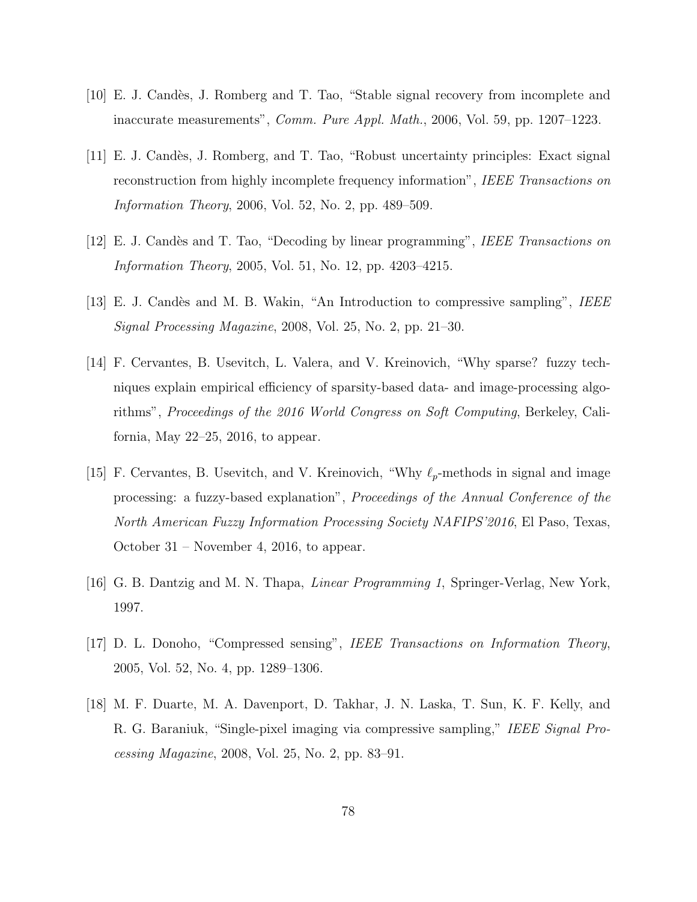- [10] E. J. Cand`es, J. Romberg and T. Tao, "Stable signal recovery from incomplete and inaccurate measurements", Comm. Pure Appl. Math., 2006, Vol. 59, pp. 1207–1223.
- [11] E. J. Cand`es, J. Romberg, and T. Tao, "Robust uncertainty principles: Exact signal reconstruction from highly incomplete frequency information", IEEE Transactions on Information Theory, 2006, Vol. 52, No. 2, pp. 489–509.
- [12] E. J. Candès and T. Tao, "Decoding by linear programming", IEEE Transactions on Information Theory, 2005, Vol. 51, No. 12, pp. 4203–4215.
- [13] E. J. Candès and M. B. Wakin, "An Introduction to compressive sampling", IEEE Signal Processing Magazine, 2008, Vol. 25, No. 2, pp. 21–30.
- [14] F. Cervantes, B. Usevitch, L. Valera, and V. Kreinovich, "Why sparse? fuzzy techniques explain empirical efficiency of sparsity-based data- and image-processing algorithms", Proceedings of the 2016 World Congress on Soft Computing, Berkeley, California, May  $22-25$ ,  $2016$ , to appear.
- [15] F. Cervantes, B. Usevitch, and V. Kreinovich, "Why  $\ell_p$ -methods in signal and image processing: a fuzzy-based explanation", Proceedings of the Annual Conference of the North American Fuzzy Information Processing Society NAFIPS'2016, El Paso, Texas, October 31 – November 4, 2016, to appear.
- [16] G. B. Dantzig and M. N. Thapa, Linear Programming 1, Springer-Verlag, New York, 1997.
- [17] D. L. Donoho, "Compressed sensing", IEEE Transactions on Information Theory, 2005, Vol. 52, No. 4, pp. 1289–1306.
- [18] M. F. Duarte, M. A. Davenport, D. Takhar, J. N. Laska, T. Sun, K. F. Kelly, and R. G. Baraniuk, "Single-pixel imaging via compressive sampling," IEEE Signal Processing Magazine, 2008, Vol. 25, No. 2, pp. 83–91.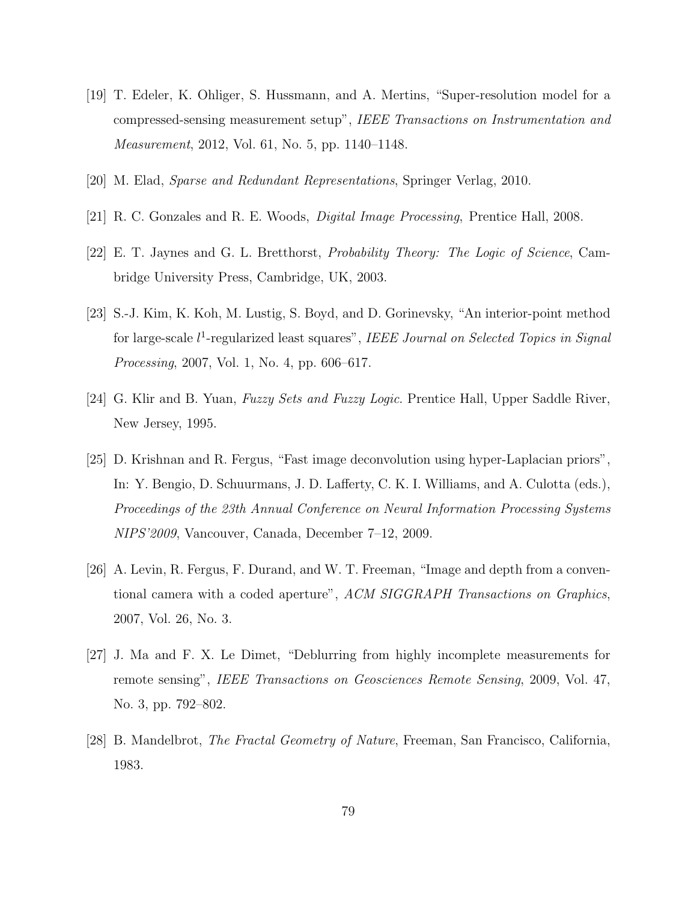- [19] T. Edeler, K. Ohliger, S. Hussmann, and A. Mertins, "Super-resolution model for a compressed-sensing measurement setup", IEEE Transactions on Instrumentation and Measurement, 2012, Vol. 61, No. 5, pp. 1140–1148.
- [20] M. Elad, Sparse and Redundant Representations, Springer Verlag, 2010.
- [21] R. C. Gonzales and R. E. Woods, Digital Image Processing, Prentice Hall, 2008.
- [22] E. T. Jaynes and G. L. Bretthorst, Probability Theory: The Logic of Science, Cambridge University Press, Cambridge, UK, 2003.
- [23] S.-J. Kim, K. Koh, M. Lustig, S. Boyd, and D. Gorinevsky, "An interior-point method for large-scale  $l^1$ -regularized least squares", IEEE Journal on Selected Topics in Signal Processing, 2007, Vol. 1, No. 4, pp. 606–617.
- [24] G. Klir and B. Yuan, Fuzzy Sets and Fuzzy Logic. Prentice Hall, Upper Saddle River, New Jersey, 1995.
- [25] D. Krishnan and R. Fergus, "Fast image deconvolution using hyper-Laplacian priors", In: Y. Bengio, D. Schuurmans, J. D. Lafferty, C. K. I. Williams, and A. Culotta (eds.), Proceedings of the 23th Annual Conference on Neural Information Processing Systems NIPS'2009, Vancouver, Canada, December 7–12, 2009.
- [26] A. Levin, R. Fergus, F. Durand, and W. T. Freeman, "Image and depth from a conventional camera with a coded aperture", ACM SIGGRAPH Transactions on Graphics, 2007, Vol. 26, No. 3.
- [27] J. Ma and F. X. Le Dimet, "Deblurring from highly incomplete measurements for remote sensing", IEEE Transactions on Geosciences Remote Sensing, 2009, Vol. 47, No. 3, pp. 792–802.
- [28] B. Mandelbrot, The Fractal Geometry of Nature, Freeman, San Francisco, California, 1983.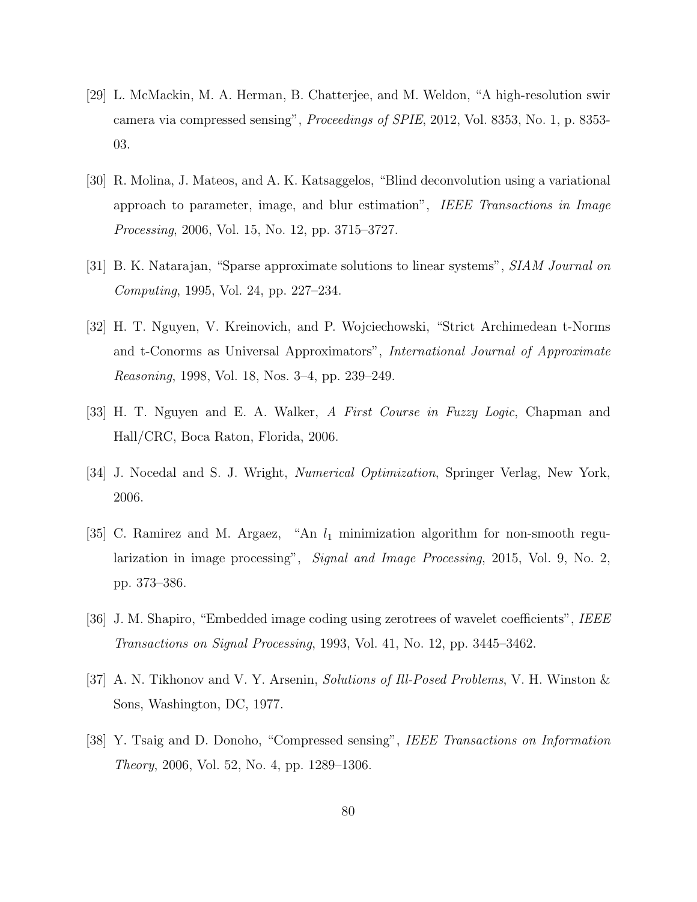- [29] L. McMackin, M. A. Herman, B. Chatterjee, and M. Weldon, "A high-resolution swir camera via compressed sensing", Proceedings of SPIE, 2012, Vol. 8353, No. 1, p. 8353- 03.
- [30] R. Molina, J. Mateos, and A. K. Katsaggelos, "Blind deconvolution using a variational approach to parameter, image, and blur estimation", IEEE Transactions in Image Processing, 2006, Vol. 15, No. 12, pp. 3715–3727.
- [31] B. K. Natarajan, "Sparse approximate solutions to linear systems", SIAM Journal on Computing, 1995, Vol. 24, pp. 227–234.
- [32] H. T. Nguyen, V. Kreinovich, and P. Wojciechowski, "Strict Archimedean t-Norms and t-Conorms as Universal Approximators", International Journal of Approximate Reasoning, 1998, Vol. 18, Nos. 3–4, pp. 239–249.
- [33] H. T. Nguyen and E. A. Walker, A First Course in Fuzzy Logic, Chapman and Hall/CRC, Boca Raton, Florida, 2006.
- [34] J. Nocedal and S. J. Wright, Numerical Optimization, Springer Verlag, New York, 2006.
- [35] C. Ramirez and M. Argaez, "An  $l_1$  minimization algorithm for non-smooth regularization in image processing", Signal and Image Processing, 2015, Vol. 9, No. 2, pp. 373–386.
- [36] J. M. Shapiro, "Embedded image coding using zerotrees of wavelet coefficients", IEEE Transactions on Signal Processing, 1993, Vol. 41, No. 12, pp. 3445–3462.
- [37] A. N. Tikhonov and V. Y. Arsenin, Solutions of Ill-Posed Problems, V. H. Winston & Sons, Washington, DC, 1977.
- [38] Y. Tsaig and D. Donoho, "Compressed sensing", IEEE Transactions on Information Theory, 2006, Vol. 52, No. 4, pp. 1289–1306.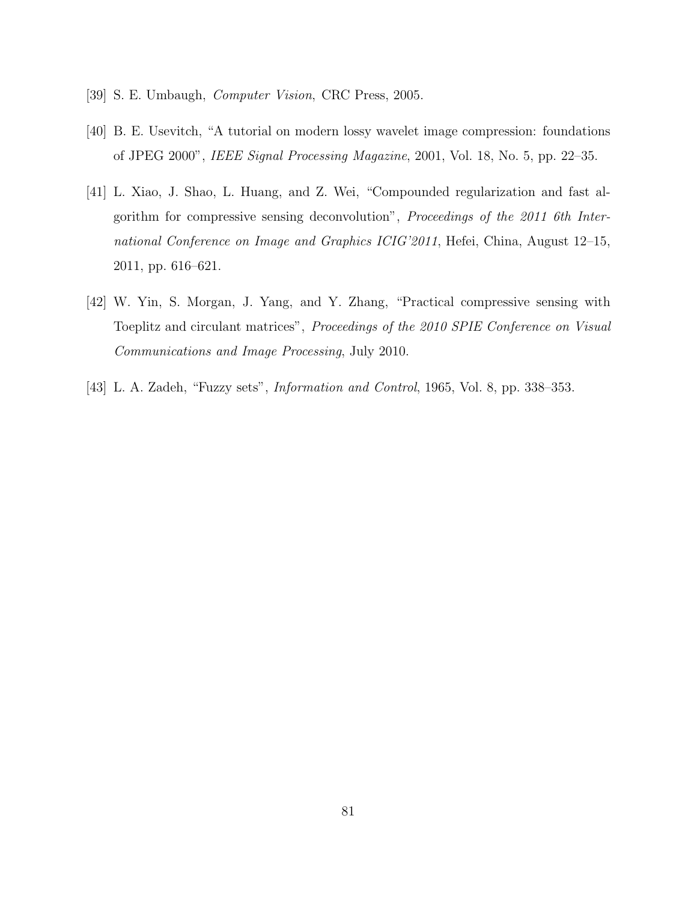- [39] S. E. Umbaugh, Computer Vision, CRC Press, 2005.
- [40] B. E. Usevitch, "A tutorial on modern lossy wavelet image compression: foundations of JPEG 2000", IEEE Signal Processing Magazine, 2001, Vol. 18, No. 5, pp. 22–35.
- [41] L. Xiao, J. Shao, L. Huang, and Z. Wei, "Compounded regularization and fast algorithm for compressive sensing deconvolution", Proceedings of the 2011 6th International Conference on Image and Graphics ICIG'2011, Hefei, China, August 12–15, 2011, pp. 616–621.
- [42] W. Yin, S. Morgan, J. Yang, and Y. Zhang, "Practical compressive sensing with Toeplitz and circulant matrices", Proceedings of the 2010 SPIE Conference on Visual Communications and Image Processing, July 2010.
- [43] L. A. Zadeh, "Fuzzy sets", Information and Control, 1965, Vol. 8, pp. 338–353.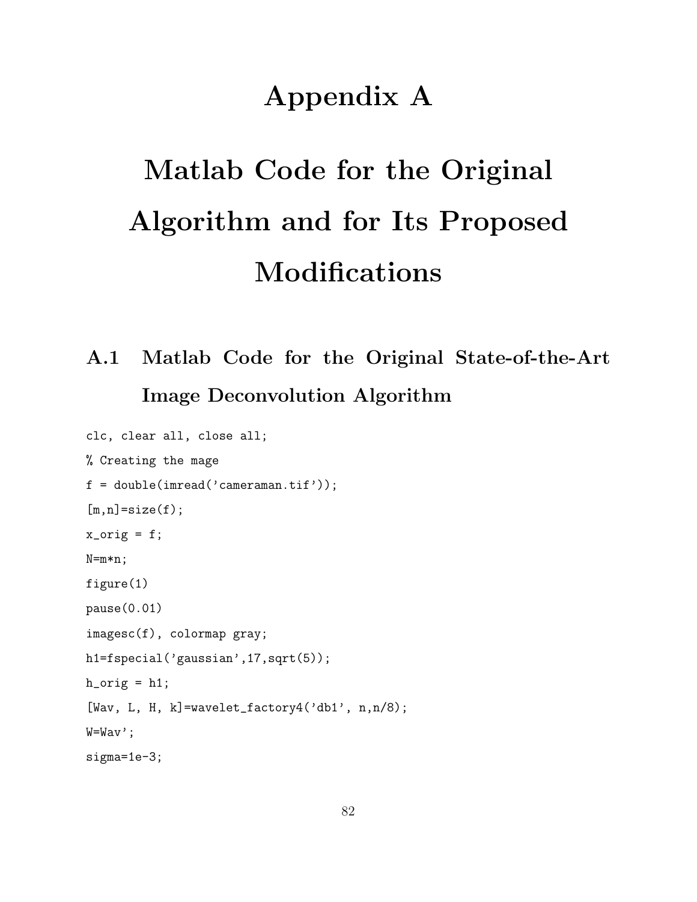# Appendix A

# Matlab Code for the Original Algorithm and for Its Proposed Modifications

# A.1 Matlab Code for the Original State-of-the-Art Image Deconvolution Algorithm

```
clc, clear all, close all;
% Creating the mage
f = double(imread('cameraman.tif'));
[m,n]=size(f);
x_corig = f;
N=m*n;
figure(1)
pause(0.01)
imagesc(f), colormap gray;
h1=fspecial('gaussian',17,sqrt(5));
h\_orig = h1;[Wav, L, H, k]=wavelet_factory4('db1', n,n/8);
W=Wav';
sigma=1e-3;
```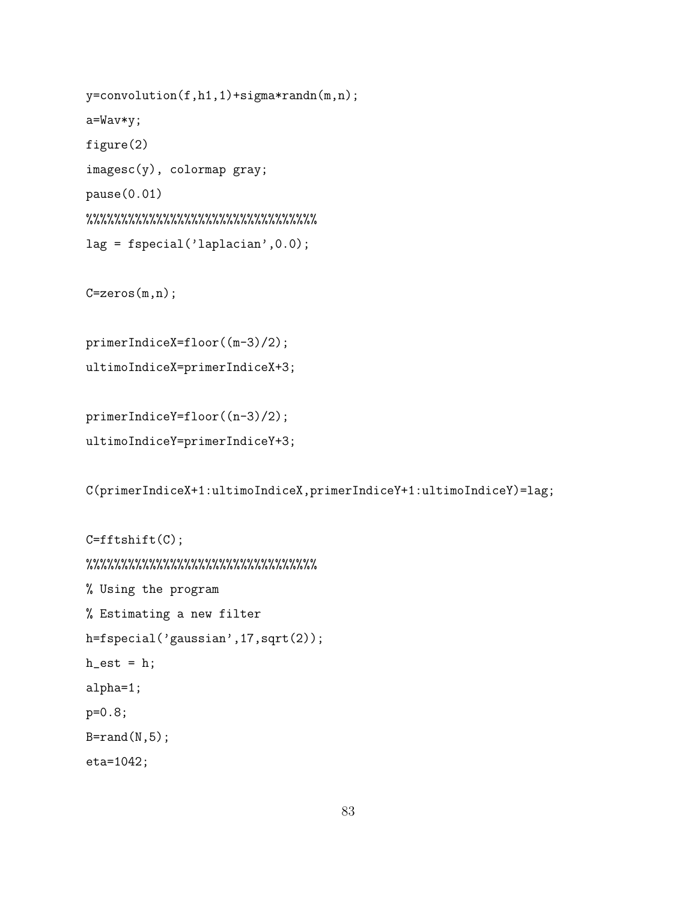```
y=convolution(f,h1,1)+sigma*randn(m,n);
a=Wav*y;
figure(2)
imagesc(y), colormap gray;
pause(0.01)
%%%%%%%%%%%%%%%%%%%%%%%%%%%%%%%%%
lag = fspecial('laplacian',0.0);
```
 $C = zeros(m, n);$ 

primerIndiceX=floor((m-3)/2); ultimoIndiceX=primerIndiceX+3;

```
primerIndiceY=floor((n-3)/2);
ultimoIndiceY=primerIndiceY+3;
```
C(primerIndiceX+1:ultimoIndiceX,primerIndiceY+1:ultimoIndiceY)=lag;

```
C = fftshift(C);
%%%%%%%%%%%%%%%%%%%%%%%%%%%%%%%%%
% Using the program
% Estimating a new filter
h=fspecial('gaussian',17,sqrt(2));
h<sub>est</sub> = h;
alpha=1;
p=0.8;
B=rand(N,5);eta=1042;
```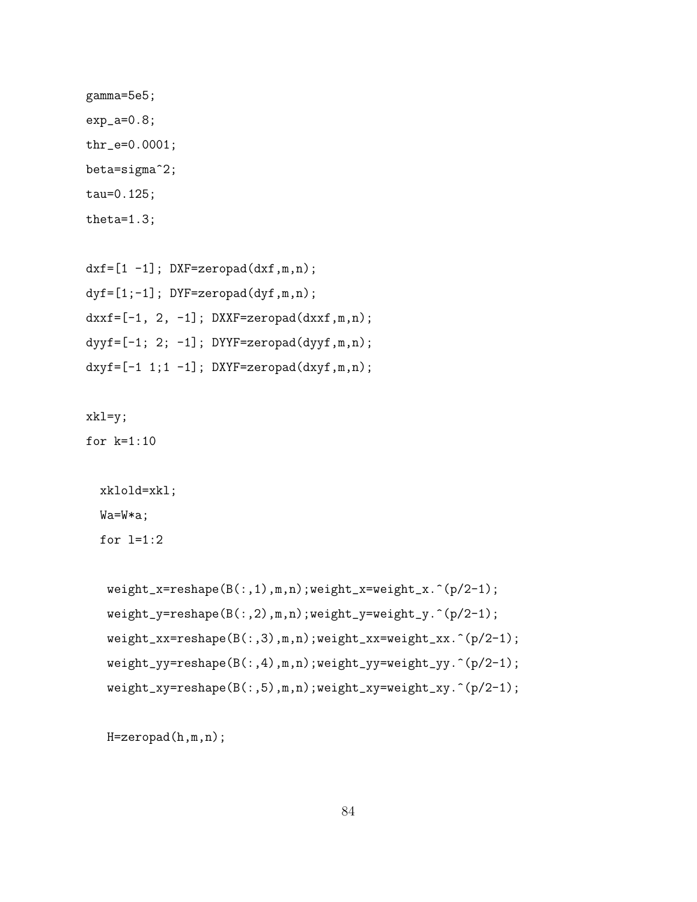```
gamma=5e5;
exp_a=0.8;
thr_e=0.0001;
beta=sigma^2;
tau=0.125;
theta=1.3;
```

```
dxf=[1 -1]; DXF=zeropad(dxf,m,n);
dyf=[1;-1]; DYF=zeropad(dyf,m,n);
dxxf=[-1, 2, -1]; DXXF=zeropad(dxxf,m,n);dyyf=[-1; 2; -1]; DYYF=zeropad(dyyf,m,n);
dxyf=[-1 1; 1 -1]; DXYF=zeropad(dxyf, m, n);
```
xkl=y;

for k=1:10

```
xklold=xkl;
Wa=W*a;
for l=1:2
```

```
weight_x=reshape(B(:,1),m,n);weight_x=weight_x.^(p/2-1);
weight_y=reshape(B(:,2),m,n);weight_y=weight_y.^(p/2-1);
weight_xx=reshape(B(:,3),m,n);weight_xx=weight_xx.^(p/2-1);
weight_yy=reshape(B(:,4),m,n);weight_yy=weight_yy.^(p/2-1);
weight_xy=reshape(B(:,5),m,n);weight_xy=weight_xy.^(p/2-1);
```
H=zeropad(h,m,n);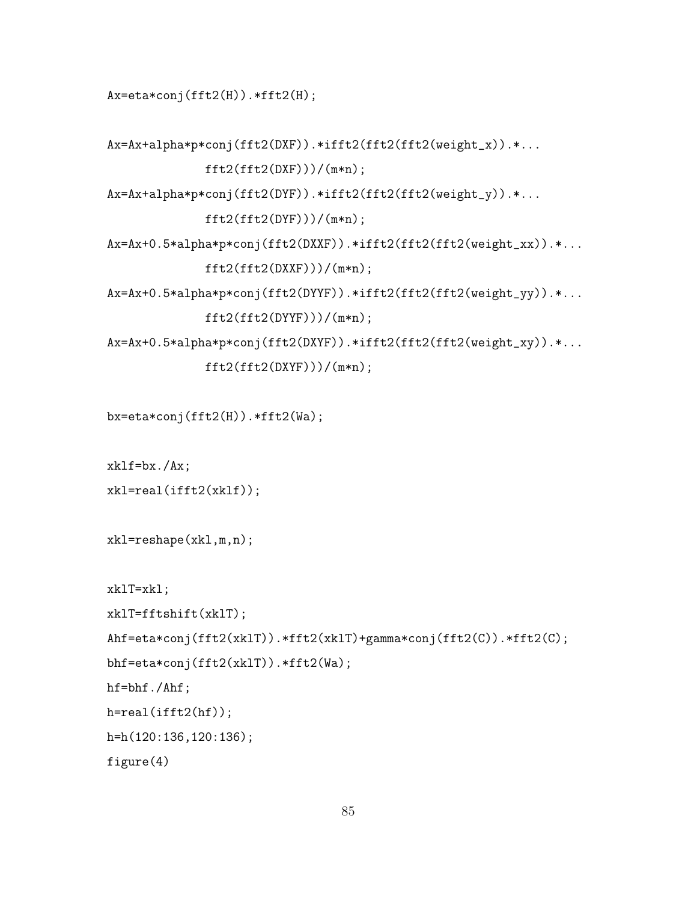Ax=eta\*conj(fft2(H)).\*fft2(H);

```
Ax=Ax+alpha*p*conj(fft2(DXF)).*ifft2(fft2(fft2(weight_x)).*...
              fft2(fft2(DXF)))/(m*n);Ax=Ax+alpha*p*conj(fft2(DYF)).*ifft2(fft2(fft2(weight_y)).*...
              fft2(fft2(DYF)))/(m*n);Ax=Ax+0.5*alpha*p*conj(fft2(DXXF)).*ifft2(fft2(fft2(weight_xx)).*...
             fft2(fft2(DXXF)))/(m*n);Ax=Ax+0.5*alpha*p*conj(fft2(DYYF)).*ifft2(fft2(fft2(weight_yy)).*...
             fft2(fft2(DYYF)))/(m*n);Ax=Ax+0.5*alpha*p*conj(fft2(DXYF)).*ifft2(fft2(fft2(weight_xy)).*...
              fft2(fft2(DXYF)))/(m*n);
bx=eta*conj(fft2(H)).*fft2(Wa);
```

```
xklf=bx./Ax;
xkl=real(ifft2(xklf));
```

```
xkl=reshape(xkl,m,n);
```

```
xklT=xkl;
```

```
xklT=fftshift(xklT);
```

```
Ahf=eta*conj(fft2(xklT)).*fft2(xklT)+gamma*conj(fft2(C)).*fft2(C);
```

```
bhf=eta*conj(fft2(xklT)).*fft2(Wa);
```
hf=bhf./Ahf;

```
h=real(ifft2(hf));
```

```
h=h(120:136,120:136);
```
figure(4)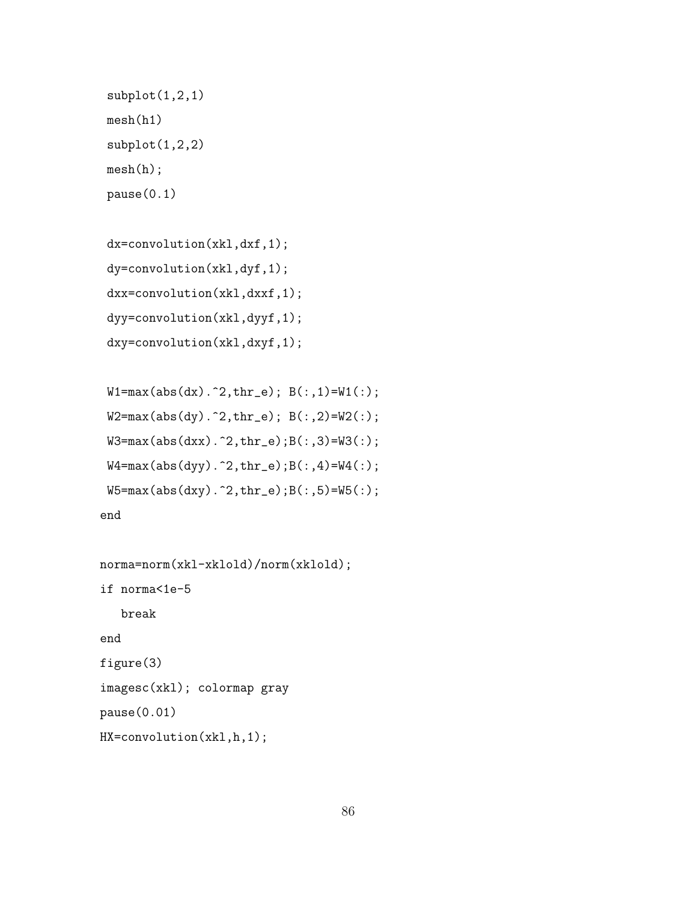```
subplot(1,2,1)mesh(h1)
subplot(1,2,2)mesh(h);
pause(0.1)
```

```
dx=convolution(xkl,dxf,1);
dy=convolution(xkl,dyf,1);
dxx=convolution(xkl,dxxf,1);
dyy=convolution(xkl,dyyf,1);
dxy=convolution(xkl,dxyf,1);
```

```
W1 = max(abs(dx).^2, thr_e); B(:,1) = W1(:,);W2 = max(abs(dy).^2, thr_e); B(:,2)=W2(:);W3 = max(abs(dxx) . 2, thr_e); B(:,3) = W3(:);W4 = max(abs(dyy) . 2, thr_e);B(:,4) = W4(:,);W5 = max(abs(dy).^2, thr_e);B(:,5) = W5(:);end
```

```
norma=norm(xkl-xklold)/norm(xklold);
if norma<1e-5
   break
end
figure(3)
imagesc(xkl); colormap gray
pause(0.01)
HX=convolution(xkl,h,1);
```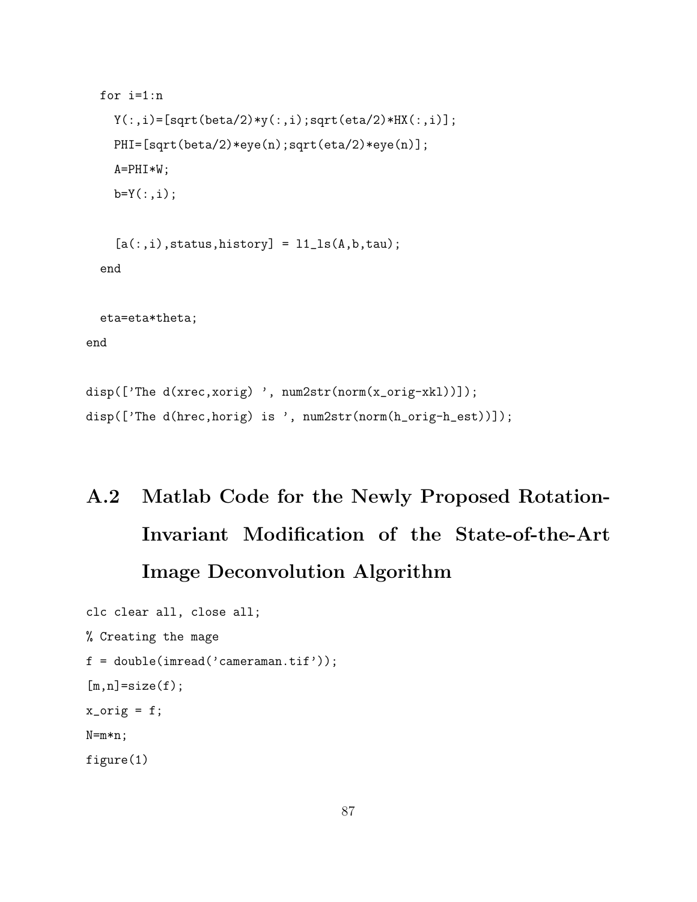```
for i=1:n
    Y(:,i)=[sqrt(beta/2)*y(:,i);sqrt(eta/2)*HX(:,i)];
    PHI=[sqrt(beta/2)*eye(n);sqrt(eta/2)*eye(n)];
    A=PHI*W;
    b=Y(:,i);[a(:,i),status,history] = 11<sub>-</sub>1s(A,b,tau);end
  eta=eta*theta;
end
disp(['The d(xrec,xorig) ', num2str(norm(x_orig-xkl))]);
disp(['The d(hrec,horig) is ', num2str(norm(h_orig-h_est))]);
```
# A.2 Matlab Code for the Newly Proposed Rotation-Invariant Modification of the State-of-the-Art Image Deconvolution Algorithm

```
clc clear all, close all;
% Creating the mage
f = double(imread('cameraman.tif'));
[m,n]=size(f);
x_corig = f;
N=m*n;
figure(1)
```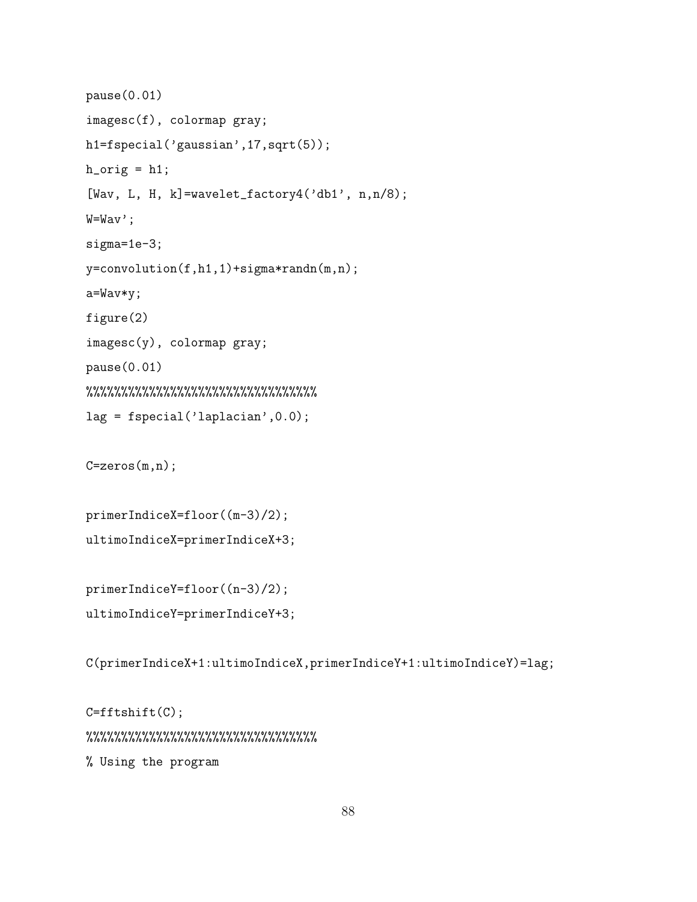```
pause(0.01)
imagesc(f), colormap gray;
h1=fspecial('gaussian',17,sqrt(5));
h\_orig = h1;[Wav, L, H, k]=wavelet_factory4('db1', n, n/8);
W=Wav';
sigma=1e-3;
y=convolution(f,h1,1)+sigma*randn(m,n);
a=Wav*y;
figure(2)
imagesc(y), colormap gray;
pause(0.01)
%%%%%%%%%%%%%%%%%%%%%%%%%%%%%%%%%
lag = fspecial('laplacian',0.0);
```
C=zeros(m,n);

primerIndiceX=floor((m-3)/2); ultimoIndiceX=primerIndiceX+3;

```
primerIndiceY=floor((n-3)/2);
ultimoIndiceY=primerIndiceY+3;
```
C(primerIndiceX+1:ultimoIndiceX,primerIndiceY+1:ultimoIndiceY)=lag;

C=fftshift(C); %%%%%%%%%%%%%%%%%%%%%%%%%%%%%%%%% % Using the program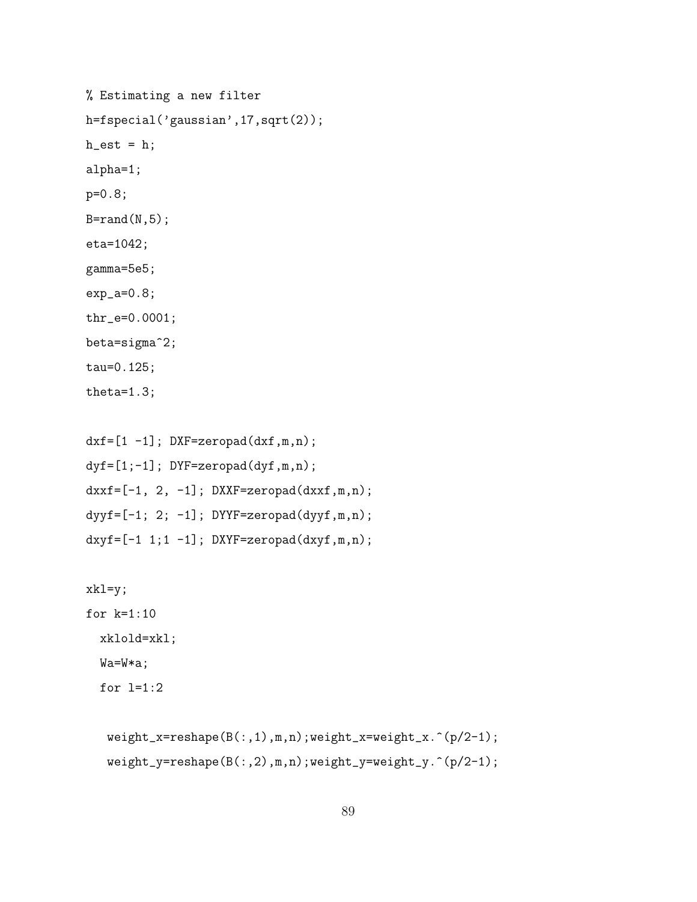```
% Estimating a new filter
h=fspecial('gaussian',17,sqrt(2));
h_{est} = h;alpha=1;
p=0.8;
B=rand(N,5);eta=1042;
gamma=5e5;
exp_a=0.8;
thr_e=0.0001;
beta=sigma^2;
tau=0.125;
theta=1.3;
```

```
dxf=[1 -1]; DXF=zeropad(dxf,m,n);
dyf=[1;-1]; DYF=zeropad(dyf,m,n);
dxxf=[-1, 2, -1]; DXXF=zeropad(dxxf,m,n);dyyf=[-1; 2; -1]; DYYF=zeropad(dyyf,m,n);dxyf=[-1 1;1 -1]; DXYF=zeropad(dxyf,m,n);
```

```
xkl=y;
for k=1:10
  xklold=xkl;
  Wa=W*a;
  for l=1:2
```

```
weight_x=reshape(B(:,1),m,n);weight_x=weight_x.^(p/2-1);
weight_y=reshape(B(:,2),m,n);weight_y=weight_y.^(p/2-1);
```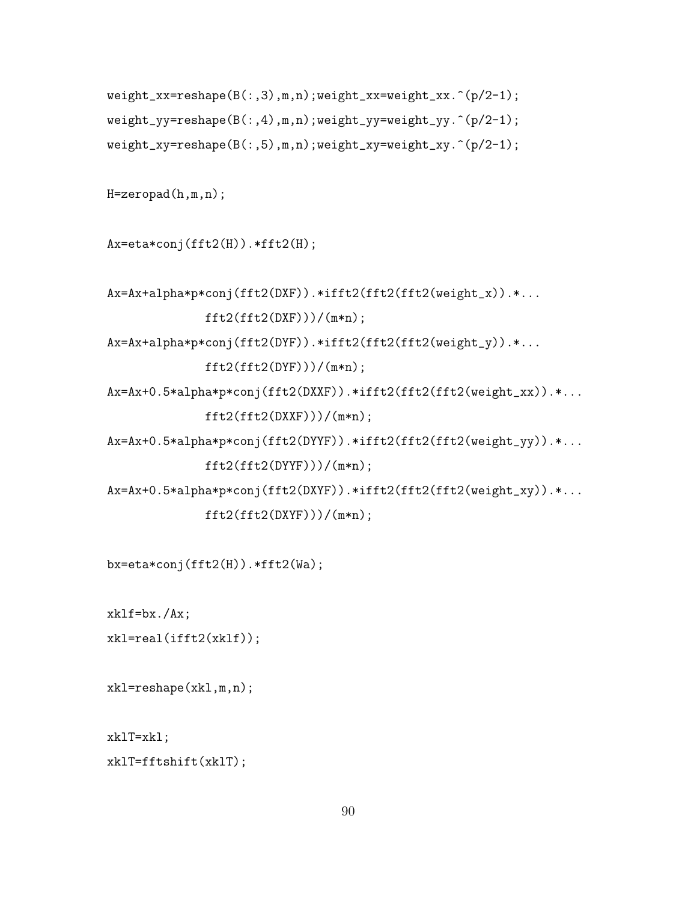```
weight_xx=reshape(B(:,3),m,n);weight_xx=weight_xx.^(p/2-1);
weight_yy=reshape(B(:,4),m,n);weight_yy=weight_yy.^(p/2-1);
weight_xy=reshape(B(:,5),m,n);weight_xy=weight_xy.^(p/2-1);
```

```
H=zeropad(h,m,n);
```
Ax=eta\*conj(fft2(H)).\*fft2(H);

```
Ax=Ax+alpha*p*conj(fft2(DXF)).*ifft2(fft2(fft2(weight_x)).*...
             fft2(fft2(DXF)))/(m*n);
```
Ax=Ax+alpha\*p\*conj(fft2(DYF)).\*ifft2(fft2(fft2(weight\_y)).\*...

```
fft2(fft2(DYF)))/(m*n);
```

```
Ax=Ax+0.5*alpha*p*conj(fft2(DXXF)).*ifft2(fft2(fft2(weight_xx)).*...
             ft2(fft2(DXXF)))/(m*n);
```

```
Ax=Ax+0.5*alpha*p*conj(fft2(DYYF)).*ifft2(fft2(fft2(weight_yy)).*...
             fft2(fft2(DYYF)))/(m*n);
```

```
Ax=Ax+0.5*alpha*p*conj(fft2(DXYF)).*ifft2(fft2(fft2(weight_xy)).*...
              fft2(fft2(DXYF)))/(m*n);
```
bx=eta\*conj(fft2(H)).\*fft2(Wa);

xklf=bx./Ax;

```
xkl=real(ifft2(xklf));
```
xkl=reshape(xkl,m,n);

xklT=xkl;

xklT=fftshift(xklT);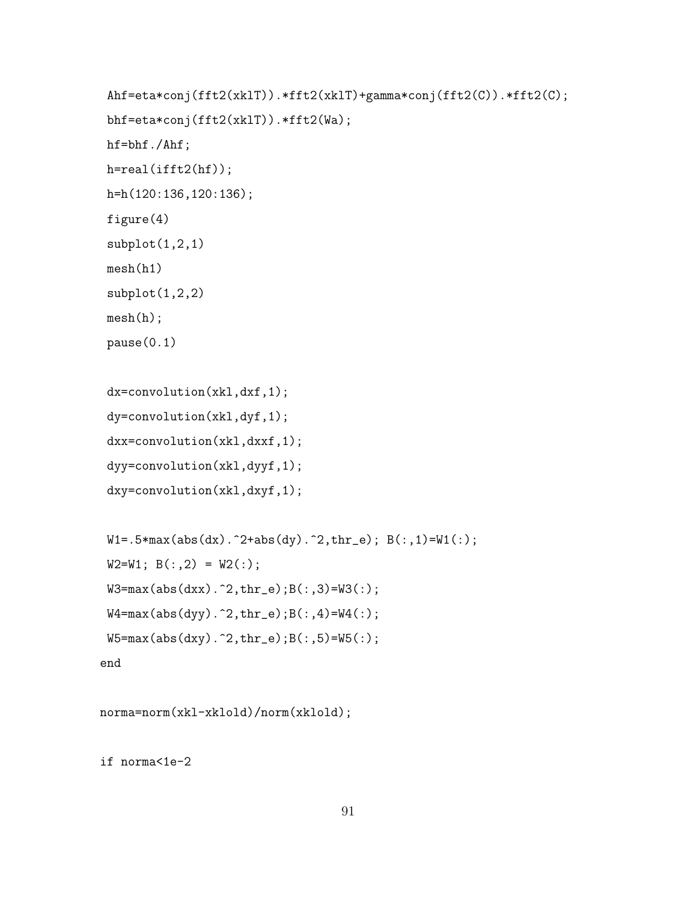```
Ahf=eta*conj(fft2(xklT)).*fft2(xklT)+gamma*conj(fft2(C)).*fft2(C);
bhf=eta*conj(fft2(xklT)).*fft2(Wa);
hf=bhf./Ahf;
h=real(ifft2(hf));
h=h(120:136,120:136);
figure(4)
subplot(1,2,1)
mesh(h1)
subplot(1,2,2)
mesh(h);
pause(0.1)
dx=convolution(xkl,dxf,1);
dy=convolution(xkl,dyf,1);
dxx=convolution(xkl,dxxf,1);
dyy=convolution(xkl,dyyf,1);
dxy=convolution(xkl,dxyf,1);
W1 = .5*max(abs(dx)).^2+abs(dy).^2, thr_e); B(:,1)=W1(:,);
```

```
W2=W1; B(:,2) = W2(:);
```

```
W3 = max(abs(dxx) . 2, thr_e); B(:,3) = W3(:,);
```

```
W4 = max(abs(dyy) . 2, thr_e); B(:,4) = W4(:,);
```

```
W5 = max(abs(dy).^2, thr_e);B(:,5) = W5(:);
```

```
end
```

```
norma=norm(xkl-xklold)/norm(xklold);
```
if norma<1e-2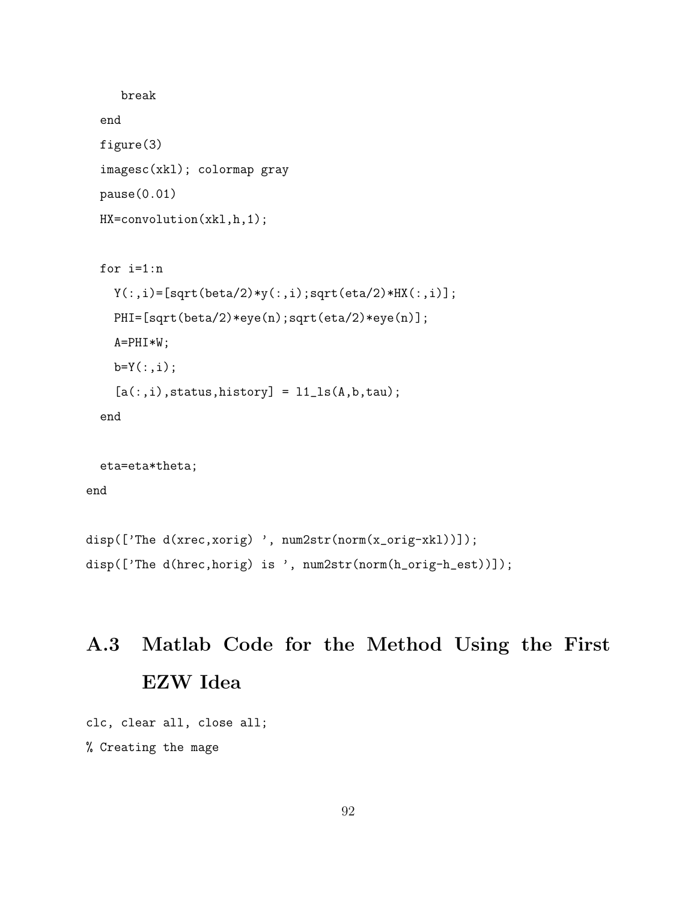```
break
end
figure(3)
imagesc(xkl); colormap gray
pause(0.01)
HX=convolution(xkl,h,1);
for i=1:n
  Y(:,i) = [sqrt(beta/2)*y(:,i);sqrt(eta/2)*HX(:,i)];
```

```
PHI=[sqrt(beta/2)*eye(n);sqrt(eta/2)*eye(n)];
```
A=PHI\*W;

 $b=Y(:,i);$ 

```
[a(:,i),status,history] = 11<sub>-</sub>1s(A,b,tau);
```
end

```
eta=eta*theta;
```
end

```
disp(['The d(xrec,xorig) ', num2str(norm(x_orig-xkl))]);
disp(['The d(hrec,horig) is ', num2str(norm(h_orig-h_est))]);
```
# A.3 Matlab Code for the Method Using the First EZW Idea

```
clc, clear all, close all;
% Creating the mage
```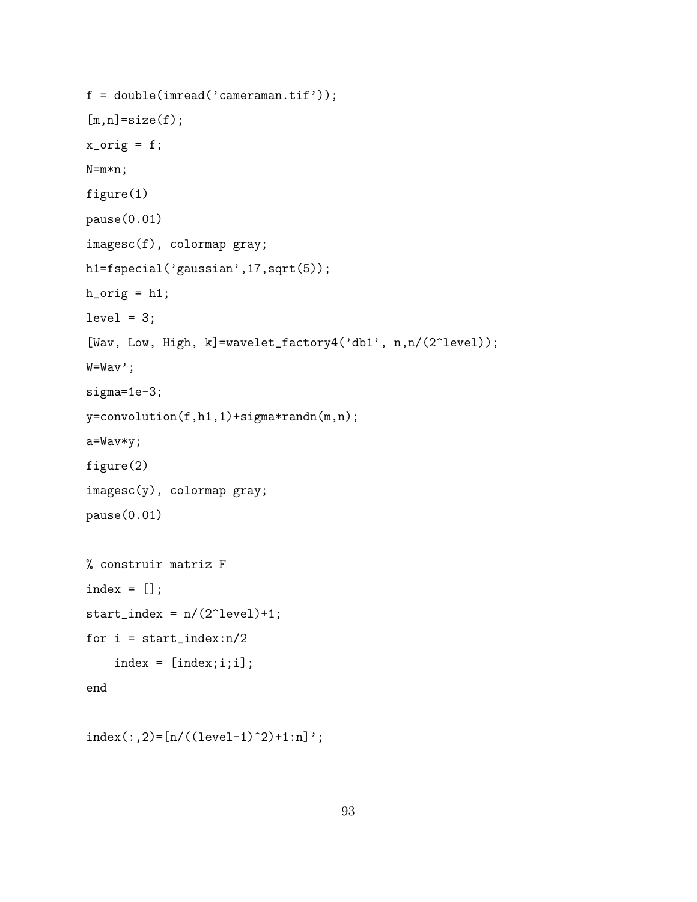```
f = double(imread('cameraman.tif'));
[m,n]=size(f);
x\_orig = f;N=m*n;
figure(1)
pause(0.01)
imagesc(f), colormap gray;
h1=fspecial('gaussian',17,sqrt(5));
h\_orig = h1;level = 3;[Wav, Low, High, k]=wavelet_factory4('db1', n,n/(2^level));
W=Wav';
sigma=1e-3;
y=convolution(f,h1,1)+sigma*randn(m,n);
a=Wav*y;
figure(2)
imagesc(y), colormap gray;
pause(0.01)
% construir matriz F
index = [];
start_index = n/(2^{\text{-}1evel)+1;
for i = start_index:n/2index = [index; i; i];end
```

```
index(:,2)=[n/((level-1)^{2}+1:n]';
```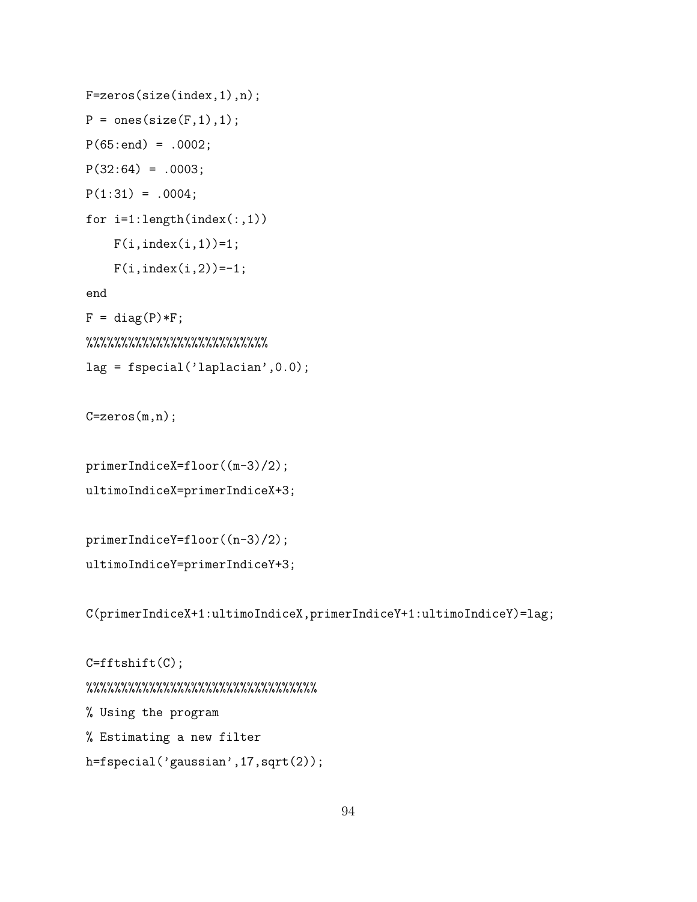```
F=zeros(size(index,1),n);
P = ones(size(F,1),1);P(65:end) = .0002;P(32:64) = .0003;P(1:31) = .0004;for i=1:length(index(:,1))
    F(i, index(i,1))=1;F(i, index(i, 2)) = -1;end
F = diag(P) * F;%%%%%%%%%%%%%%%%%%%%%%%%%%%%%%%%%%%%
lag = fspecial('laplacian',0.0);
```

```
C = zeros(m,n);
```

```
primerIndiceX=floor((m-3)/2);
ultimoIndiceX=primerIndiceX+3;
```

```
primerIndiceY=floor((n-3)/2);
ultimoIndiceY=primerIndiceY+3;
```
C(primerIndiceX+1:ultimoIndiceX,primerIndiceY+1:ultimoIndiceY)=lag;

```
C=fftshift(C);
%%%%%%%%%%%%%%%%%%%%%%%%%%%%%%%%%
% Using the program
% Estimating a new filter
h=fspecial('gaussian',17,sqrt(2));
```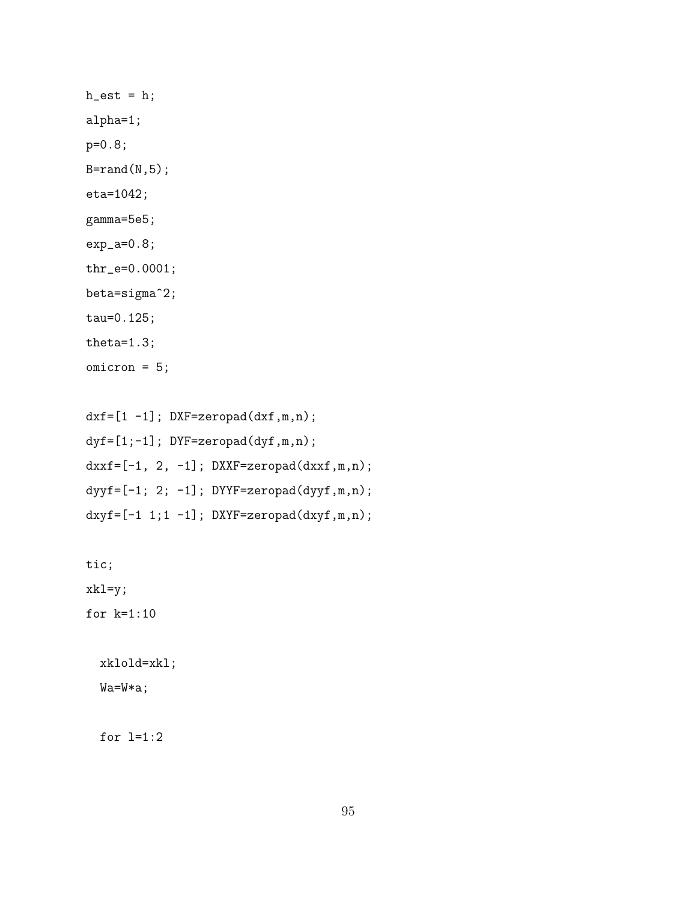$h$ <sub>-est</sub> =  $h$ ; alpha=1; p=0.8;  $B=rand(N,5);$ eta=1042; gamma=5e5; exp\_a=0.8; thr\_e=0.0001; beta=sigma^2; tau=0.125; theta=1.3; omicron = 5;

 $dxf=[1 -1]$ ;  $DXF=zeropad(dxf,m,n)$ ;  $dyf=[1;-1]$ ; DYF=zeropad(dyf,m,n);  $dxxf=[-1, 2, -1]; DXXF=zeropad(dxxf,m,n);$  $dyyf=[-1; 2; -1]; DYYF=zeropad(dyyf,m,n);$  $dxyf=[-1 1; 1 -1];$  DXYF=zeropad( $dxyf, m, n);$ 

tic; xkl=y;

for k=1:10

xklold=xkl; Wa=W\*a;

for l=1:2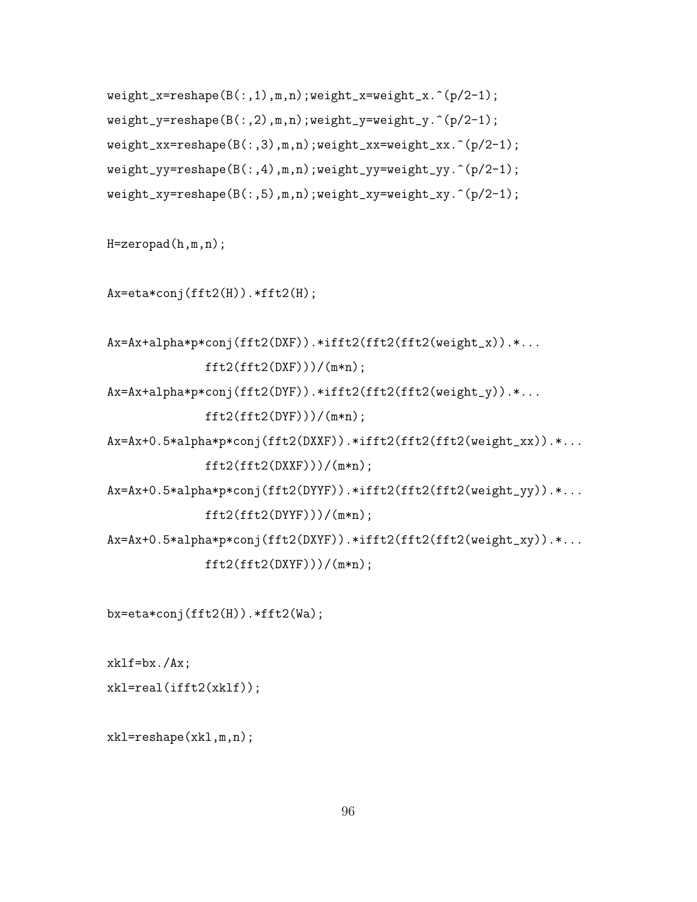```
weight_x = reshape(B(:,1),m,n); weight_x = weight_x.^(p/2-1);weight_y = reshape(B(:,2),m,n); weight_y = weight_y.^(p/2-1);weight_xx=reshape(B(:,3),m,n);weight_xx=weight_xx.^(p/2-1);
weight_yy=reshape(B(:,4),m,n);weight_yy=weight_yy.^(p/2-1);weight_xy = reshape(B(:,5),m,n); weight_xy = weight_xy.^(p/2-1);
```
H=zeropad(h,m,n);

```
Ax = eta * conj(fft2(H)). *ft2(H);
```

```
Ax=Ax+alpha*p*conj(fft2(DXF)).*ifft2(fft2(fft2(weight_x)).*...
             fft2(fft2(DXF)))/(m*n);
```

```
Ax=Ax+alpha*p*conj(fft2(DYF)).*ifft2(fft2(fft2(weight_y)).*...
             fft2(fft2(DYF)))/(m*n);
```

```
Ax=Ax+0.5*alpha*p*conj(fft2(DXXF)).*ifft2(fft2(fft2(weight_xx)).*...
             ft2(fft2(DXXF)))/(m*n);
```

```
Ax=Ax+0.5*alpha*p*conj(fft2(DYYF)).*ifft2(fft2(fft2(weight_yy)).*...
             fft2(fft2(DYYF)))/(m*n);
```
Ax=Ax+0.5\*alpha\*p\*conj(fft2(DXYF)).\*ifft2(fft2(fft2(weight\_xy)).\*...  $ft2(fft2(DXYF)))/(m*n);$ 

bx=eta\*conj(fft2(H)).\*fft2(Wa);

 $xk1f=bx./Ax;$ 

```
xkl=real(ifft2(xklf));
```
xkl=reshape(xkl,m,n);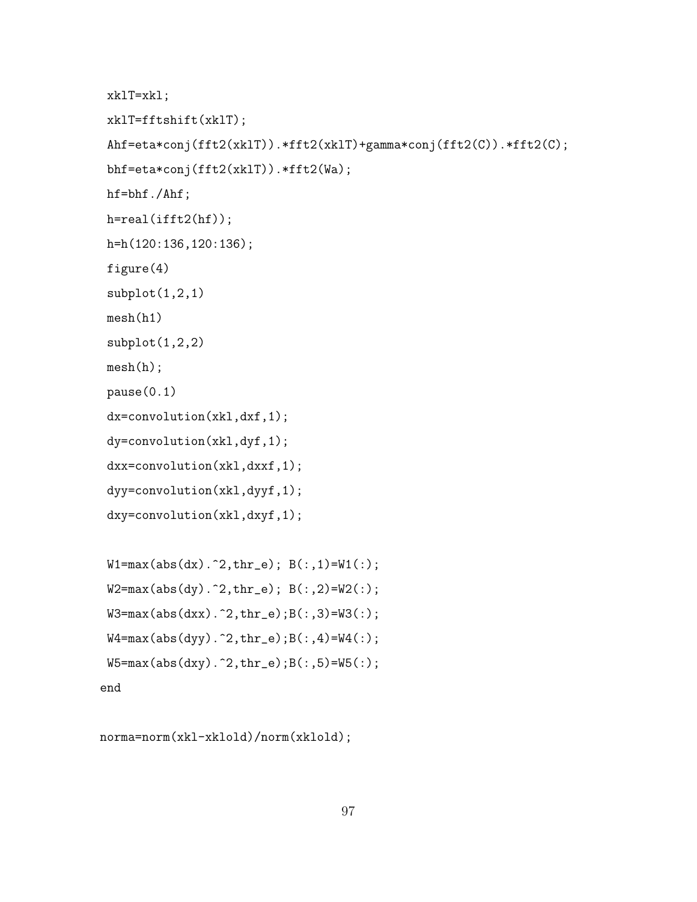```
xklT=xkl;
xklT=fftshift(xklT);
Ahf=eta*conj(fft2(xklT)).*fft2(xklT)+gamma*conj(fft2(C)).*fft2(C);
bhf=eta*conj(fft2(xklT)).*fft2(Wa);
hf=bhf./Ahf;
h=real(ifft2(hf));
h=h(120:136,120:136);
figure(4)
subplot(1,2,1)
mesh(h1)
subplot(1,2,2)mesh(h);
pause(0.1)
dx=convolution(xkl,dxf,1);
dy=convolution(xkl,dyf,1);
dxx=convolution(xkl,dxxf,1);
dyy=convolution(xkl,dyyf,1);
dxy=convolution(xkl,dxyf,1);
```

```
W1 = max(abs(dx).^2, thr_e); B(:,1) = W1(:,);W2 = max(abs(dy).^2, thr_e); B(:,2)=W2(:);W3 = max(abs(dxx) . 2, thr_e); B(:,3) = W3(:);W4 = max(abs(dyy) . 2, thr_e); B(:,4) = W4(:,);W5 = max(abs(dy).^2, thr_e);B(:,5) = W5(:);end
```
norma=norm(xkl-xklold)/norm(xklold);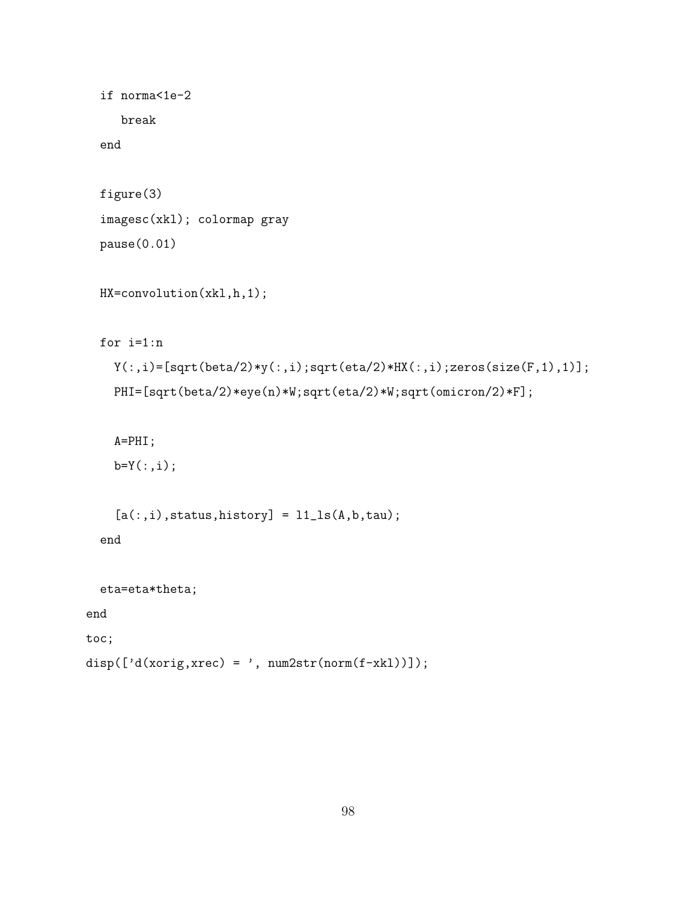```
if norma<1e-2
    break
  end
 figure(3)
 imagesc(xkl); colormap gray
 pause(0.01)
 HX=convolution(xkl,h,1);
 for i=1:n
   Y(:,i)=[sqrt(beta/2)*y(:,i);sqrt(eta/2)*HX(:,i);zeros(size(F,1),1)];
   PHI=[sqrt(beta/2)*eye(n)*W;sqrt(eta/2)*W;sqrt(omicron/2)*F];
   A=PHI;
   b=Y(:,i);[a(:,i),status,history] = 11<sub>-</sub>ls(A,b,tau);
  end
 eta=eta*theta;
end
toc;
```

```
disp([ 'd(xorig, xrec) = ', num2str(norm(f-xk1)) ]);
```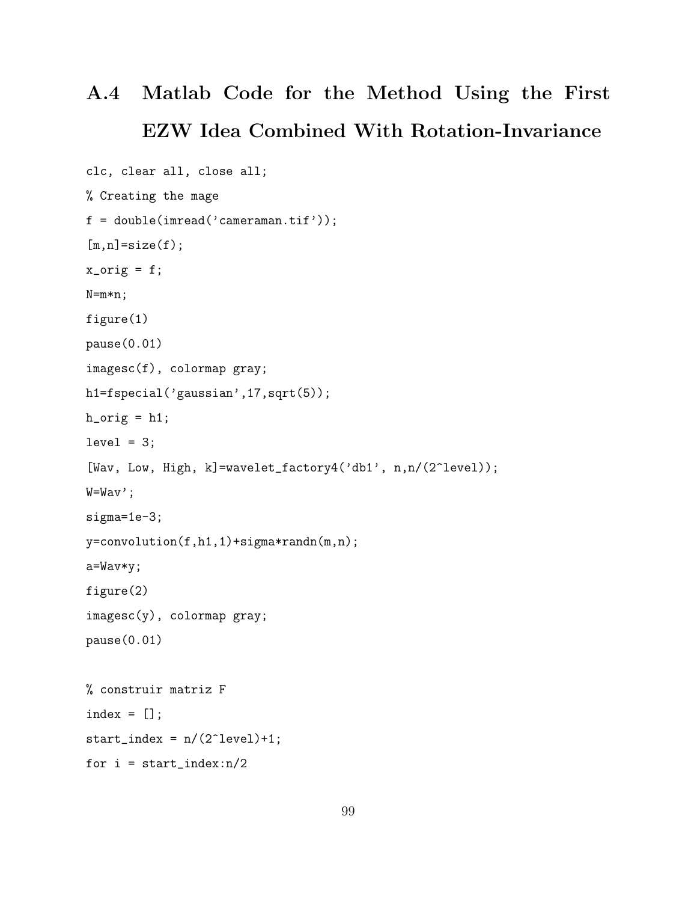## A.4 Matlab Code for the Method Using the First EZW Idea Combined With Rotation-Invariance

```
clc, clear all, close all;
% Creating the mage
f = double(imread('cameraman.tif'));
[m,n]=size(f);
x_corig = f;
N=m*n;
figure(1)
pause(0.01)
imagesc(f), colormap gray;
h1=fspecial('gaussian',17,sqrt(5));
h\_orig = h1;level = 3;[Wav, Low, High, k]=wavelet_factory4('db1', n,n/(2^level));
W=Wav';
sigma=1e-3;
y=convolution(f,h1,1)+sigma*randn(m,n);
a=Wav*y;
figure(2)
imagesc(y), colormap gray;
pause(0.01)
% construir matriz F
index = [];
start_index = n/(2^{\text{-}1evel)+1;
for i = start_index:n/2
```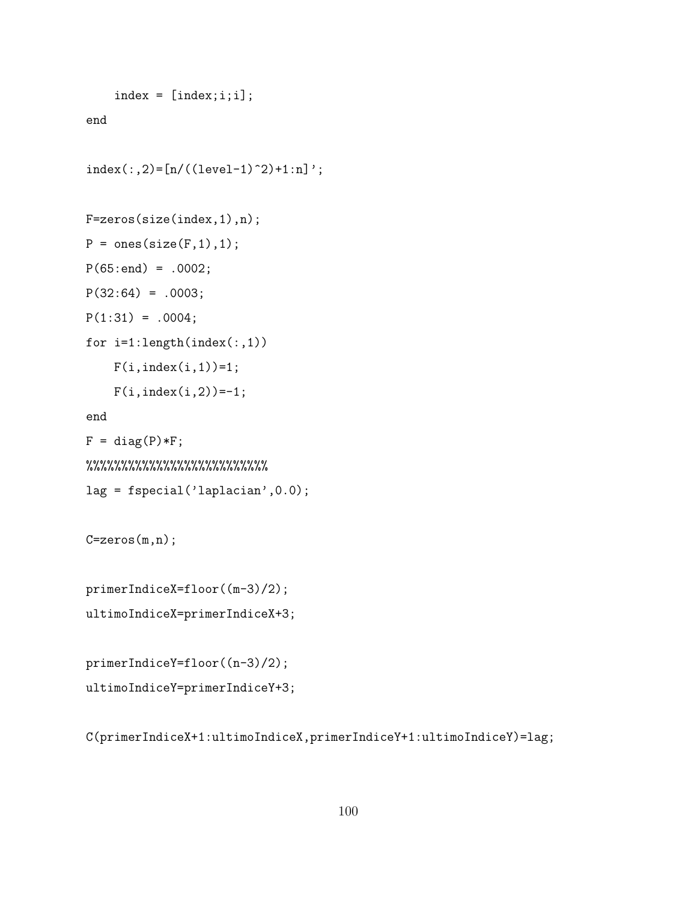```
index = [index; i; i];end
index(:,2)=[n/((level-1)^{2}+1:n]';F=zeros(size(index,1),n);
P = ones(size(F,1),1);P(65:end) = .0002;P(32:64) = .0003;P(1:31) = .0004;for i=1:length(index(:,1))
    F(i, index(i,1))=1;F(i, index(i, 2)) = -1;end
F = diag(P) * F;%%%%%%%%%%%%%%%%%%%%%%%%%%
lag = fspecial('laplacian',0.0);
C=zeros(m,n);
primerIndiceX=floor((m-3)/2);
```

```
ultimoIndiceX=primerIndiceX+3;
```

```
primerIndiceY=floor((n-3)/2);
ultimoIndiceY=primerIndiceY+3;
```
C(primerIndiceX+1:ultimoIndiceX,primerIndiceY+1:ultimoIndiceY)=lag;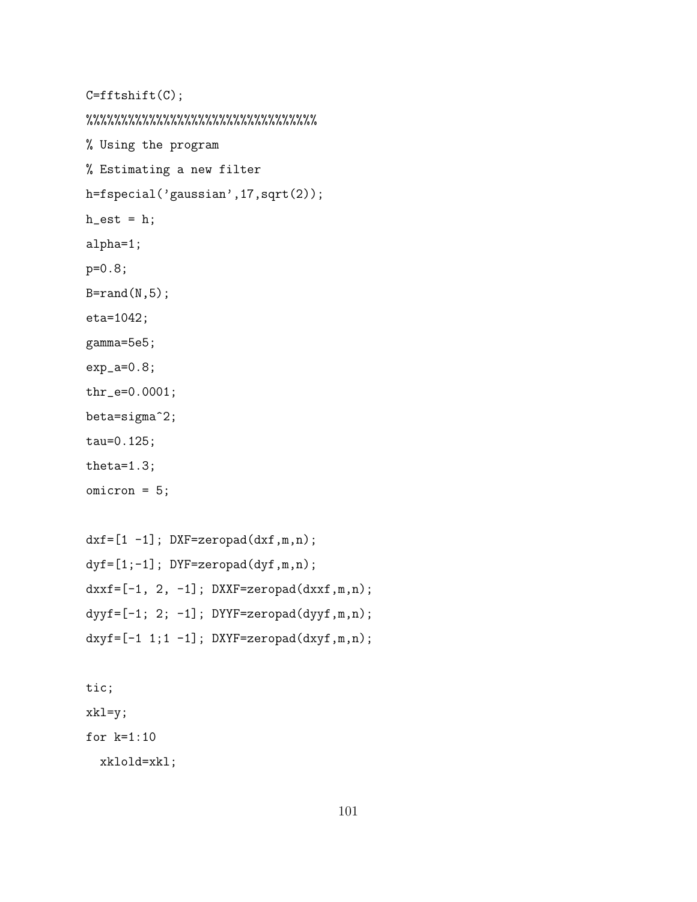```
C=fftshift(C);
%%%%%%%%%%%%%%%%%%%%%%%%%%%%%%%%%
% Using the program
% Estimating a new filter
h=fspecial('gaussian',17,sqrt(2));
h_{est} = h;alpha=1;
p=0.8;
B=rand(N,5);eta=1042;
gamma=5e5;
exp_a=0.8;
thr_e=0.0001;
beta=sigma^2;
tau=0.125;
theta=1.3;
omicron = 5;
```

```
dxf=[1 -1]; DXF=zeropad(dxf,m,n);
dyf=[1;-1]; DYF=zeropad(dyf,m,n);
dxxf=[-1, 2, -1]; DXXF=zeropad(dxxf,m,n);dyyf=[-1; 2; -1]; DYYF=zeropad(dyyf,m,n);dxyf=[-1 1; 1 -1]; DXYF=zeropad(dxyf,m,n);
```
tic; xkl=y; for k=1:10 xklold=xkl;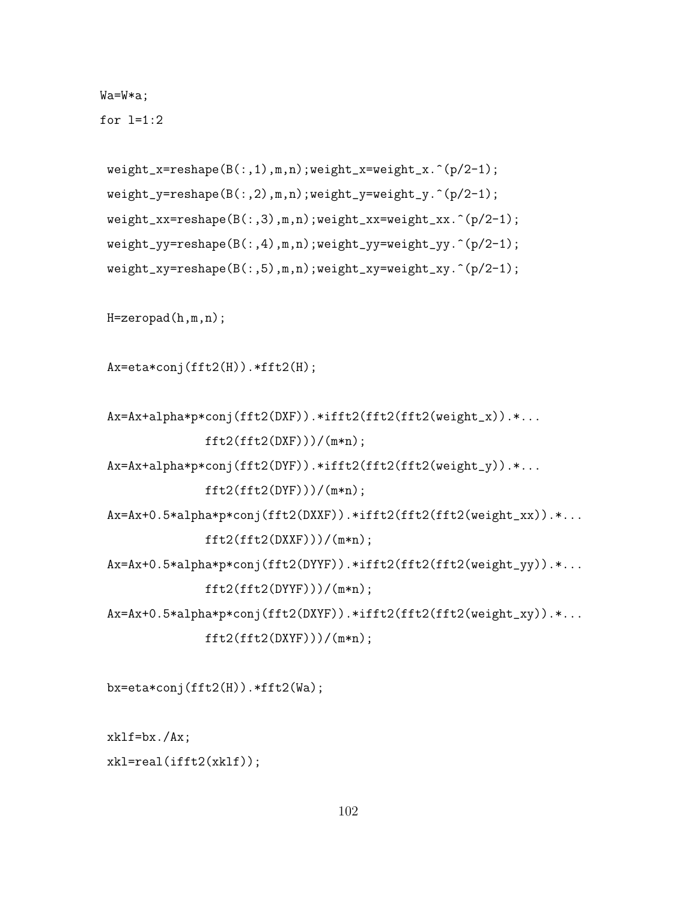Wa=W\*a;

for  $l=1:2$ 

```
weight_x = reshape(B(:,1),m,n); weight_x = weight_x.^(p/2-1);weight_y = reshape(B(:,2),m,n); weight_y = weight_y.^(p/2-1);weight_xx=reshape(B(:,3),m,n);weight_xx=weight_xx.^(p/2-1);
weight_yy=reshape(B(:,4),m,n);weight_yy=weight_yy.^(p/2-1);
weight_xy=reshape(B(:,5),m,n);weight_xy=weight_xy.^(p/2-1);
```

```
H=zeropad(h,m,n);
```

```
Ax=eta*conj(fft2(H)).*fft2(H);
```

```
Ax=Ax+alpha*p*conj(fft2(DXF)).*ifft2(fft2(fft2(weight_x)).*...
             fft2(fft2(DXF)))/(m*n);
```
Ax=Ax+alpha\*p\*conj(fft2(DYF)).\*ifft2(fft2(fft2(weight\_y)).\*...

 $fft2(fft2(DYF)))/(m*n);$ 

Ax=Ax+0.5\*alpha\*p\*conj(fft2(DXXF)).\*ifft2(fft2(fft2(weight\_xx)).\*...

 $ft2(fft2(DXXF)))/(m*n);$ 

```
Ax=Ax+0.5*alpha*p*conj(fft2(DYYF)).*ifft2(fft2(fft2(weight_yy)).*...
             ft2(fft2(DYYF)))/(m*n);
```
Ax=Ax+0.5\*alpha\*p\*conj(fft2(DXYF)).\*ifft2(fft2(fft2(weight\_xy)).\*...

```
ft2(fft2(DXYF)))/(m*n);
```

```
bx=eta*conj(fft2(H)).*fft2(Wa);
```
 $xk1f=bx./Ax;$ 

```
xkl=real(ifft2(xklf));
```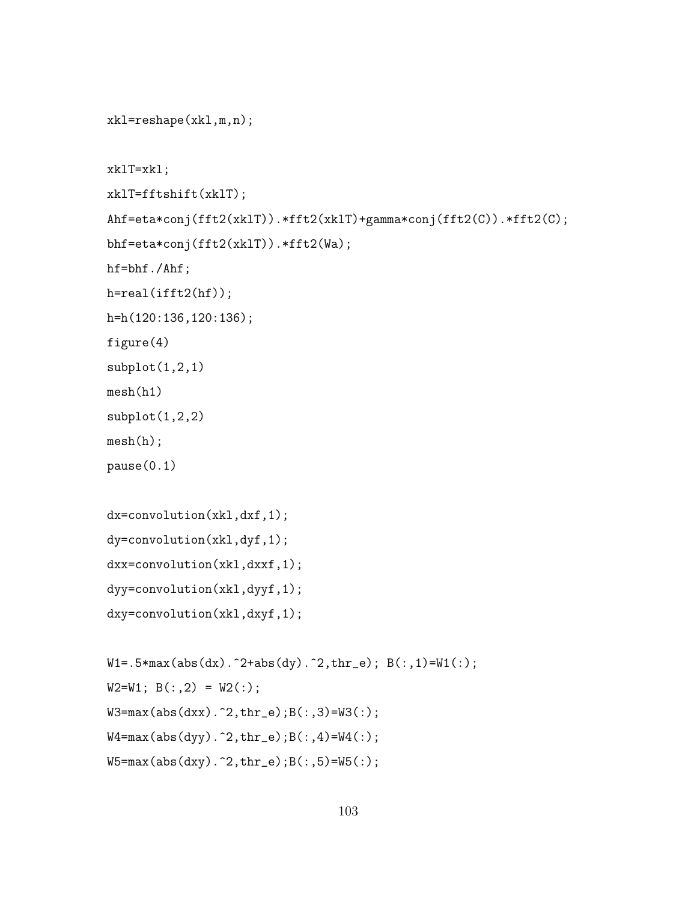```
xkl=reshape(xkl,m,n);
xklT=xkl;
xklT=fftshift(xklT);
Ahf=eta*conj(fft2(xklT)).*fft2(xklT)+gamma*conj(fft2(C)).*fft2(C);
bhf=eta*conj(fft2(xklT)).*fft2(Wa);
hf=bhf./Ahf;
h=real(ifft2(hf));
h=h(120:136,120:136);
figure(4)
subplot(1,2,1)mesh(h1)
subplot(1,2,2)mesh(h);
pause(0.1)
dx=convolution(xkl,dxf,1);
dy=convolution(xkl,dyf,1);
dxx=convolution(xkl,dxxf,1);
dyy=convolution(xkl,dyyf,1);
dxy=convolution(xkl,dxyf,1);
W1 = .5*max(abs(dx)).^2+abs(dy).^2, thr_e); B(:,1)=W1(:,);W2=W1; B(:,2) = W2(:);W3 = max(abs(dxx) . 2, thr_e); B(:,3) = W3(:);
```

```
W4 = max(abs(dyy) . 2, thr_e); B(:,4) = W4(:,);W5 = max(abs(dy).^2, thr_e);B(:,5) = W5(:);
```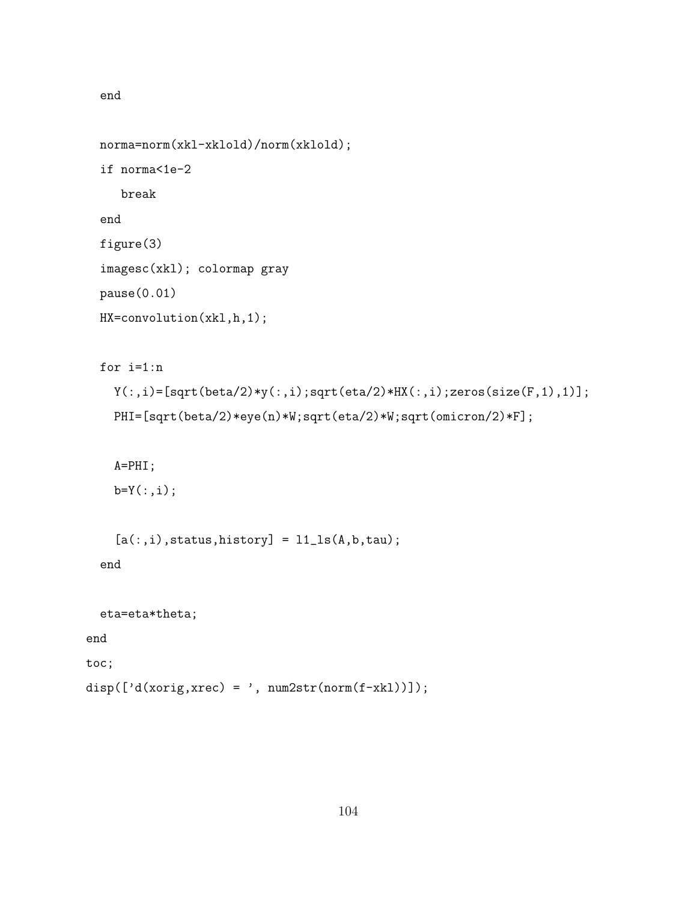```
end
```

```
norma=norm(xkl-xklold)/norm(xklold);
  if norma<1e-2
     break
  end
  figure(3)
  imagesc(xkl); colormap gray
 pause(0.01)
 HX=convolution(xkl,h,1);
  for i=1:n
   Y(:,i)=[sqrt(beta/2)*y(:,i);sqrt(eta/2)*HX(:,i);zeros(size(F,1),1)];
   PHI=[sqrt(beta/2)*eye(n)*W;sqrt(eta/2)*W;sqrt(omicron/2)*F];
    A=PHI;
   b=Y(:,i);[a(:,i),status,history] = 11<sub>-</sub>ls(A,b,tau);
  end
  eta=eta*theta;
end
toc;
```

```
disp([\text{'d}(xorig, xrec) = ', num2str(norm(f-xk1)));
```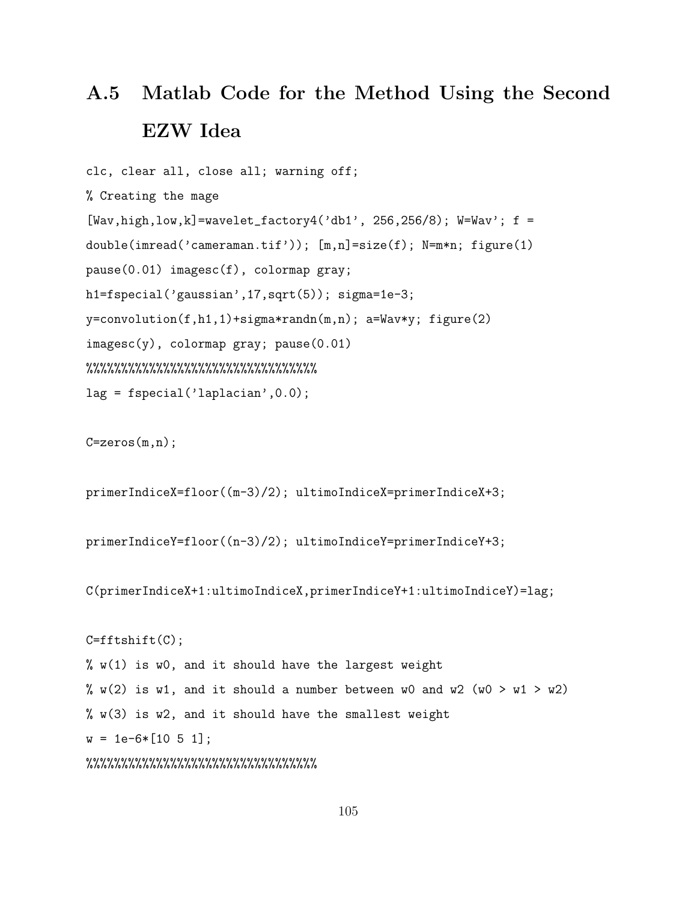## A.5 Matlab Code for the Method Using the Second EZW Idea

```
clc, clear all, close all; warning off;
% Creating the mage
[Wav, high, low, k] = wavelet_factory4('db1', 256, 256/8); W = Wav'; f =double(imread('cameraman.tif')); [m,n]=size(f); N=m*n; figure(1)
pause(0.01) imagesc(f), colormap gray;
h1=fspecial('gaussian',17,sqrt(5)); sigma=1e-3;
y=convolution(f,h1,1)+sigma*randn(m,n); a=Wav*y; figure(2)
imagesc(y), colormap gray; pause(0.01)
%%%%%%%%%%%%%%%%%%%%%%%%%%%%%%%%%
lag = fspecial('laplacian',0.0);
```
 $C = zeros(m, n);$ 

primerIndiceX=floor((m-3)/2); ultimoIndiceX=primerIndiceX+3;

```
primerIndiceY=floor((n-3)/2); ultimoIndiceY=primerIndiceY+3;
```
C(primerIndiceX+1:ultimoIndiceX,primerIndiceY+1:ultimoIndiceY)=lag;

```
C = fftshift(C);
% w(1) is w0, and it should have the largest weight
% w(2) is w1, and it should a number between w0 and w2 (w0 > w1 > w2)
% w(3) is w2, and it should have the smallest weight
w = 1e-6*[10 5 1];%%%%%%%%%%%%%%%%%%%%%%%%%%%%%%%%%
```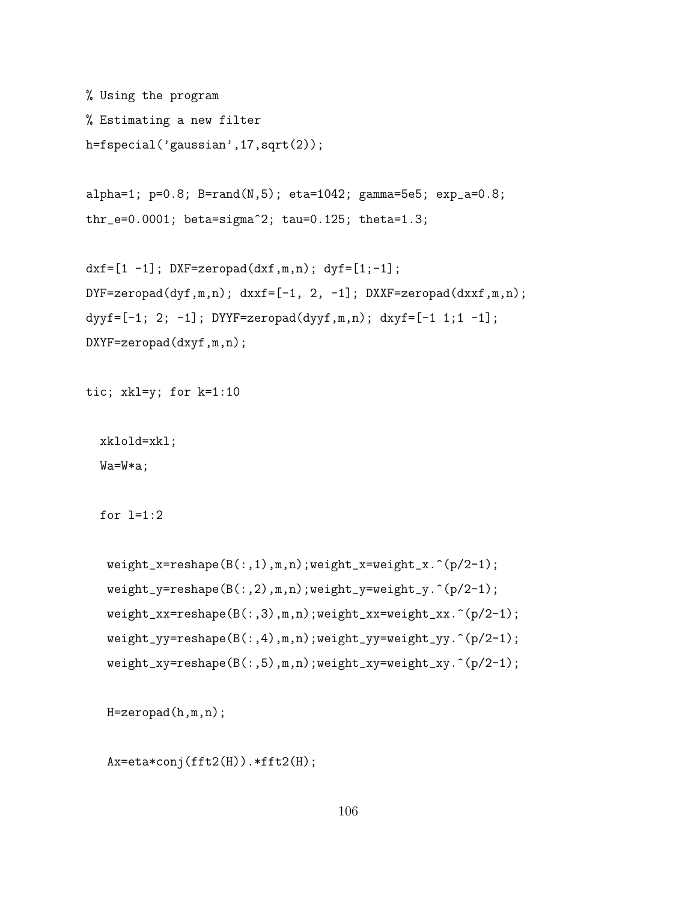```
% Using the program
% Estimating a new filter
h=fspecial('gaussian',17,sqrt(2));
```

```
alpha=1; p=0.8; B=rand(N,5); eta=1042; gamma=5e5; exp_a=0.8;
thr_e=0.0001; beta=sigma^2; tau=0.125; theta=1.3;
```

```
dxf=[1 -1]; DXF=zeropad(dxf,m,n); dyf=[1;-1];
DYF = zeropad(dyf,m,n); dxxf = [-1, 2, -1]; DXXF = zeropad(dxxf,m,n);dyyf=[-1; 2; -1]; DYYF=zeropad(dyyf,m,n); dxyf=[-1; 1; 1 -1];
DXYF=zeropad(dxyf,m,n);
```

```
tic; xkl=y; for k=1:10
```

```
xklold=xkl;
```
Wa=W\*a;

```
for l=1:2
```

```
weight_x = reshape(B(:,1),m,n); weight_x = weight_x.^(p/2-1);weight_y=reshape(B(:,2),m,n);weight_y=weight_y.^(p/2-1);
weight_xx=reshape(B(:,3),m,n);weight_xx=weight_xx.^(p/2-1);
weight_yy=reshape(B(:,4),m,n);weight_yy=weight_yy.^(p/2-1);
weight_xy=reshape(B(:,5),m,n);weight_xy=weight_xy.^(p/2-1);
```
H=zeropad(h,m,n);

```
Ax=eta*conj(fft2(H)).*fft2(H);
```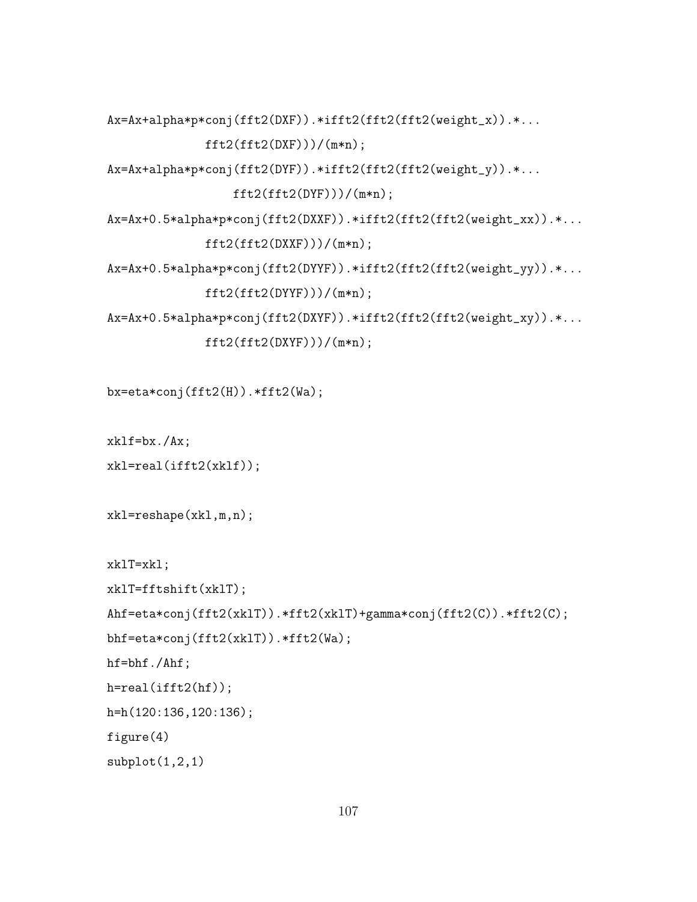```
Ax=Ax+alpha*p*conj(fft2(DXF)).*ifft2(fft2(fft2(weight_x)).*...
```

```
ft2(fft2(DXF)))/(m*n);
```
Ax=Ax+alpha\*p\*conj(fft2(DYF)).\*ifft2(fft2(fft2(weight\_y)).\*...

```
fft2(fft2(DYF)))/(m*n);
```
Ax=Ax+0.5\*alpha\*p\*conj(fft2(DXXF)).\*ifft2(fft2(fft2(weight\_xx)).\*...  $fft2(fft2(DXXF)))/(m*n);$ 

```
Ax=Ax+0.5*alpha*p*conj(fft2(DYYF)).*ifft2(fft2(fft2(weight_yy)).*...
              fft2(fft2(DYYF)))/(m*n);
```
Ax=Ax+0.5\*alpha\*p\*conj(fft2(DXYF)).\*ifft2(fft2(fft2(weight\_xy)).\*...

```
ft2(fft2(DXYF)))/(m*n);
```
bx=eta\*conj(fft2(H)).\*fft2(Wa);

xklf=bx./Ax;

```
xkl=real(ifft2(xklf));
```

```
xkl=reshape(xkl,m,n);
```
xklT=xkl;

```
xklT=fftshift(xklT);
Ahf=eta*conj(fft2(xklT)).*fft2(xklT)+gamma*conj(fft2(C)).*fft2(C);
bhf=eta*conj(fft2(xklT)).*fft2(Wa);
hf=bhf./Ahf;
h=real(ifft2(hf));
h=h(120:136,120:136);
figure(4)
subplot(1,2,1)
```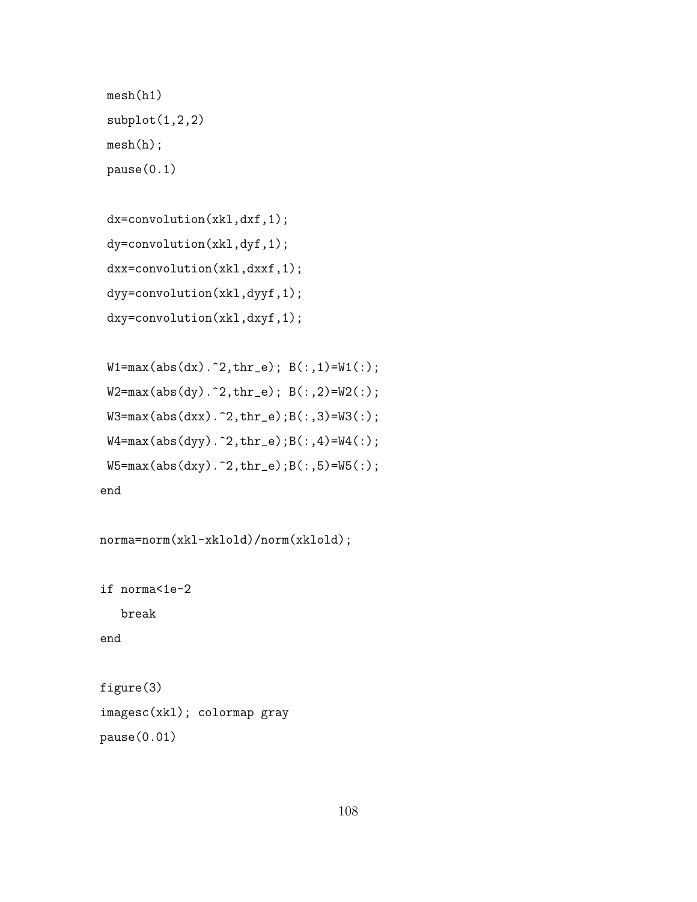```
mesh(h1)
\text{subplot}(1,2,2)mesh(h);
pause(0.1)
```

```
dx=convolution(xkl,dxf,1);
dy=convolution(xkl,dyf,1);
dxx=convolution(xkl,dxxf,1);
dyy=convolution(xkl,dyyf,1);
dxy=convolution(xkl,dxyf,1);
```

```
W1 = max(abs(dx).^2, thr_e); B(:,1) = W1(:,);W2 = max(abs(dy).^2, thr_e); B(:,2)=W2(:);W3 = max(abs(dxx).^2, thr_e);B(:,3) = W3(:,);W4 = max(abs(dyy) . 2, thr_e);B(:,4) = W4(:,);W5 = max(abs(dxy) . 2, thr_e);B(:,5) = W5(:,);end
```

```
norma=norm(xkl-xklold)/norm(xklold);
```
if norma<1e-2 break end

figure(3) imagesc(xkl); colormap gray pause(0.01)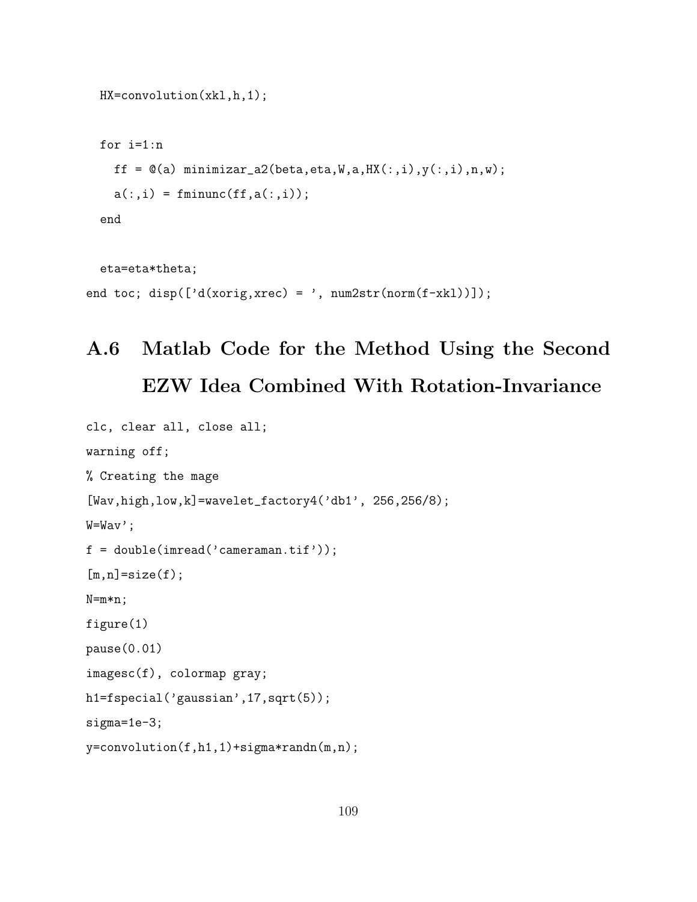```
HX=convolution(xkl,h,1);
for i=1:n
  ff = \mathfrak{A}(a) minimizar_a2(beta, eta, W, a, HX(:,i), y(:,i), n, w);
  a(:,i) = fminunc(f, a(:,i));end
eta=eta*theta;
```

```
end toc; disp(['d(xorig,xrec) = ', num2str(norm(f-xkl))]);
```
## A.6 Matlab Code for the Method Using the Second EZW Idea Combined With Rotation-Invariance

```
clc, clear all, close all;
warning off;
% Creating the mage
[Wav,high,low,k]=wavelet_factory4('db1', 256,256/8);
W=Wav';
f = double(imread('cameraman.tif'));
[m,n]=size(f);
N=m*n;
figure(1)
pause(0.01)
imagesc(f), colormap gray;
h1=fspecial('gaussian',17,sqrt(5));
sigma=1e-3;
y=convolution(f,h1,1)+sigma*randn(m,n);
```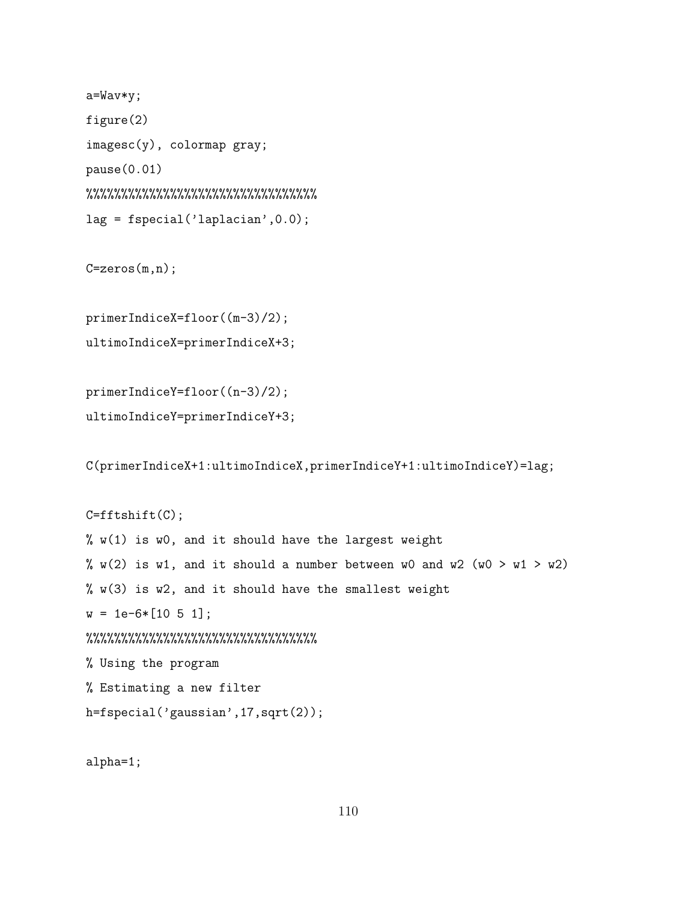```
a=Wav*y;
figure(2)
imagesc(y), colormap gray;
pause(0.01)
%%%%%%%%%%%%%%%%%%%%%%%%%%%%%%%%%
lag = fspecial('laplacian',0.0);
```

```
C = zeros(m, n);
```

```
primerIndiceX=floor((m-3)/2);
ultimoIndiceX=primerIndiceX+3;
```

```
primerIndiceY=floor((n-3)/2);
ultimoIndiceY=primerIndiceY+3;
```
C(primerIndiceX+1:ultimoIndiceX,primerIndiceY+1:ultimoIndiceY)=lag;

```
C = fftshift(C);
% w(1) is w0, and it should have the largest weight
% w(2) is w1, and it should a number between w0 and w2 (w0 > w1 > w2)
% w(3) is w2, and it should have the smallest weight
w = 1e-6*[10 5 1];%%%%%%%%%%%%%%%%%%%%%%%%%%%%%%%%%
% Using the program
% Estimating a new filter
h=fspecial('gaussian',17,sqrt(2));
```
alpha=1;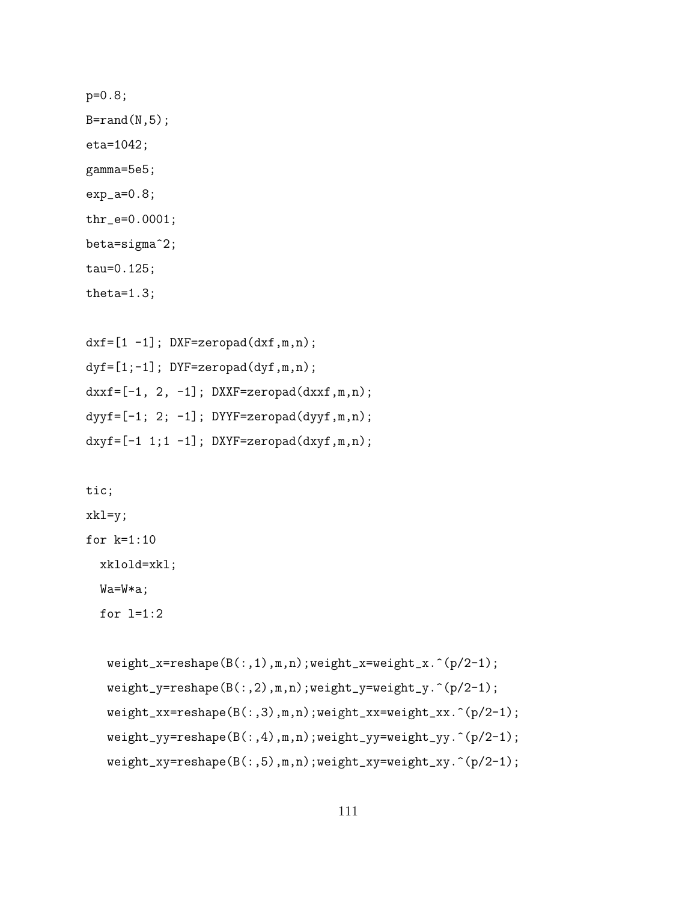```
p=0.8;
B=rand(N,5);eta=1042;
gamma=5e5;
exp_2 = 0.8;
thr_e=0.0001;
beta=sigma^2;
tau=0.125;
theta=1.3;
```

```
dxf=[1 -1]; DXF=zeropad(dxf,m,n);
dyf=[1;-1]; DYF=zeropad(dyf,m,n);
dxxf=[-1, 2, -1]; DXXF=zeropad(dxxf,m,n);dyyf=[-1; 2; -1]; DYYF=zeropad(dyyf,m,n);dxyf=[-1 1;1 -1]; DXYF=zeropad(dxyf,m,n);
```
tic;

xkl=y;

for k=1:10

xklold=xkl;

Wa=W\*a;

for  $l=1:2$ 

```
weight_x=reshape(B(:,1),m,n);weight_x=weight_x.^(p/2-1);
weight_y=reshape(B(:,2),m,n);weight_y=weight_y.^(p/2-1);
weight_xx=reshape(B(:,3),m,n);weight_xx=weight_xx.^(p/2-1);
weight_yy=reshape(B(:,4),m,n);weight_yy=weight_yy.^(p/2-1);
weight_xy=reshape(B(:,5),m,n);weight_xy=weight_xy.^(p/2-1);
```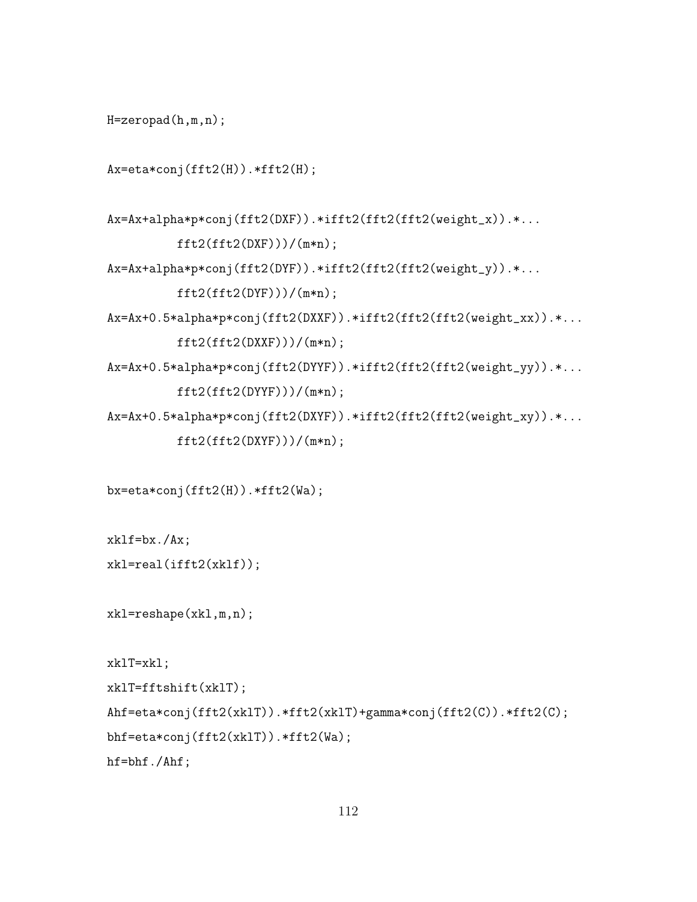```
H=zeropad(h,m,n);
```

```
Ax=eta*conj(fft2(H)).*fft2(H);
```

```
Ax=Ax+alpha*p*conj(fft2(DXF)).*ifft2(fft2(fft2(weight_x)).*...
          ft2(fft2(DXF)))/(m*n);Ax=Ax+alpha*p*conj(fft2(DYF)).*ifft2(fft2(fft2(weight_y)).*...
          fft2(fft2(DYF)))/(m*n);
Ax=Ax+0.5*alpha*p*conj(fft2(DXXF)).*ifft2(fft2(fft2(weight_xx)).*...
          ft2(fft2(DXXF)))/(m*n);Ax=Ax+0.5*alpha*p*conj(fft2(DYYF)).*ifft2(fft2(fft2(weight_yy)).*...
          fft2(fft2(DYYF)))/(m*n);Ax=Ax+0.5*alpha*p*conj(fft2(DXYF)).*ifft2(fft2(fft2(weight_xy)).*...
```

```
fft2(fft2(DXYF)))/(m*n);
```

```
bx=eta*conj(fft2(H)).*fft2(Wa);
```

```
xklf=bx./Ax;
xkl=real(ifft2(xklf));
```
xkl=reshape(xkl,m,n);

```
xklT=xkl;
```

```
xklT=fftshift(xklT);
```

```
Ahf=eta*conj(fft2(xklT)).*fft2(xklT)+gamma*conj(fft2(C)).*fft2(C);
```

```
bhf=eta*conj(fft2(xklT)).*fft2(Wa);
```
hf=bhf./Ahf;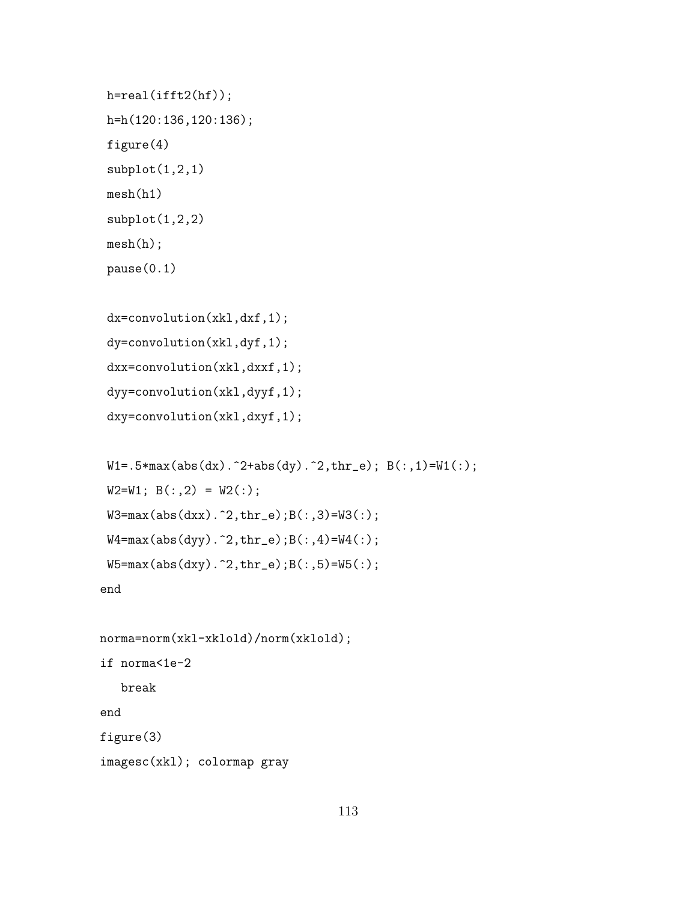```
h=real(ifft2(hf));
h=h(120:136,120:136);
figure(4)
subplot(1,2,1)mesh(h1)
subplot(1,2,2)
mesh(h);
pause(0.1)
```

```
dx=convolution(xkl,dxf,1);
dy=convolution(xkl,dyf,1);
dxx=convolution(xkl,dxxf,1);
dyy=convolution(xkl,dyyf,1);
dxy=convolution(xkl,dxyf,1);
```

```
W1 = .5*max(abs(dx)).^2+abs(dy).^2, thr_e); B(:,1)=W1(:,);W2=W1; B(:,2) = W2(:);
W3 = max(abs(dxx) . 2, thr_e); B(:,3) = W3(:);W4 = max(abs(dyy) . 2, thr_e); B(:,4) = W4(:,);W5 = max(abs(dy).^2, thr_e);B(:,5) = W5(:,;
```
end

```
norma=norm(xkl-xklold)/norm(xklold);
if norma<1e-2
   break
end
figure(3)
imagesc(xkl); colormap gray
```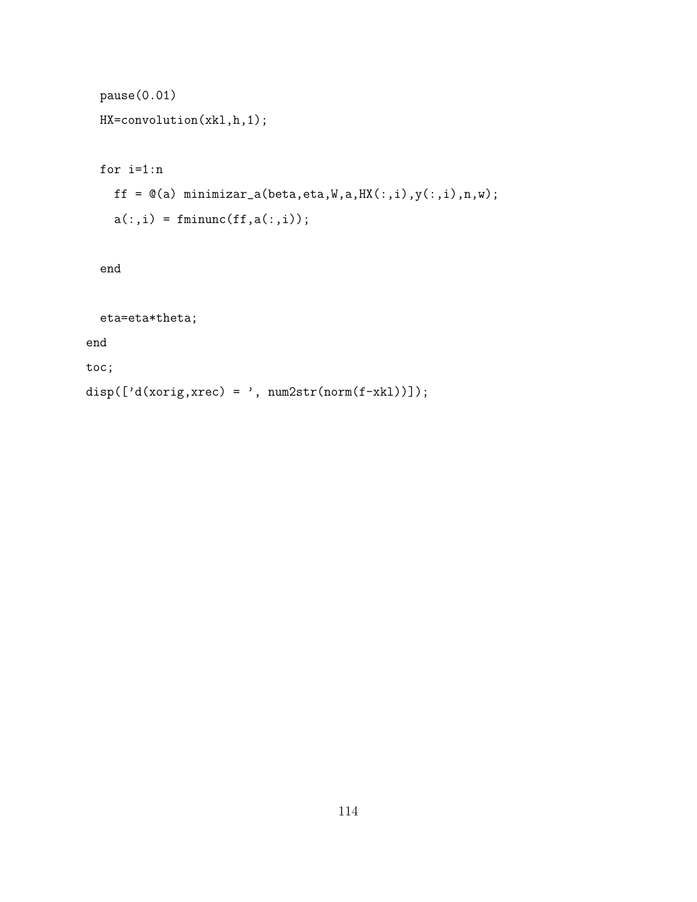```
pause(0.01)
HX=convolution(xkl,h,1);
for i=1:n
  ff = \mathfrak{A}(a) minimizar_a(beta,eta,W,a,HX(:,i),y(:,i),n,w);
  a(:,i) = fminunc(f, a(:,i));
```
end

eta=eta\*theta;

end

toc;

disp( $[ 'd(xorig, xrec) = ', num2str(norm(f-xk1)) ]$ );